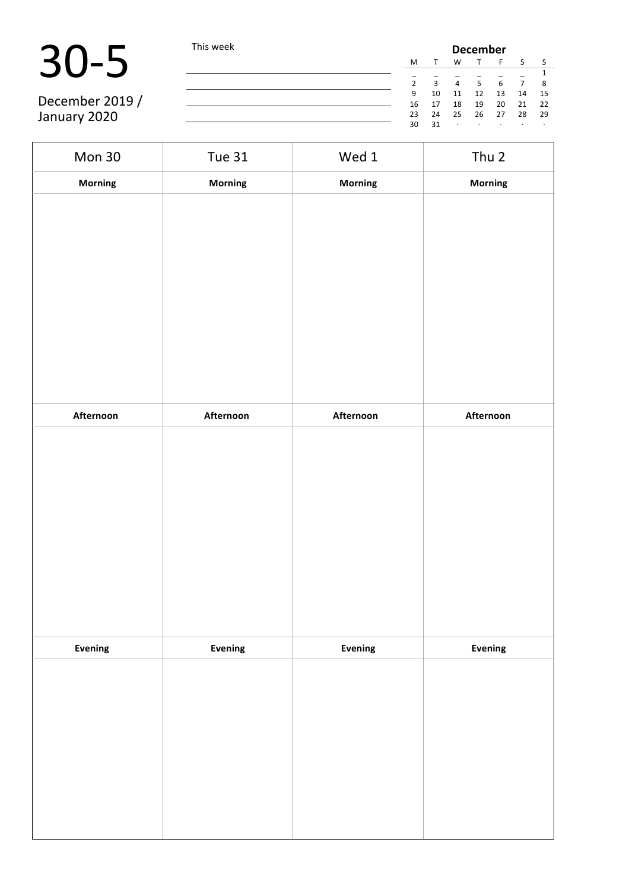30-5 This week **December December December December December December December December December December December December December December December December December December Decembe**  $\begin{array}{ccccccccc}\nT & F & S & S \\
\hline\n& - & - & - & 1\n\end{array}$  $\frac{1}{5}$   $\frac{1}{6}$   $\frac{1}{7}$   $\frac{1}{8}$ 2 3 4 5 6 7 8 9 10 11 12 13 14 15 16 17 18 19 20 21 22 23 24 25 26 27 28 29  $\sim$   $30$ 

December 2019 / January 2020

| Mon 30         | <b>Tue 31</b> | Wed 1     | Thu 2     |
|----------------|---------------|-----------|-----------|
| Morning        | Morning       | Morning   | Morning   |
|                |               |           |           |
|                |               |           |           |
| Afternoon      | Afternoon     | Afternoon | Afternoon |
|                |               |           |           |
| <b>Evening</b> | Evening       | Evening   | Evening   |
|                |               |           |           |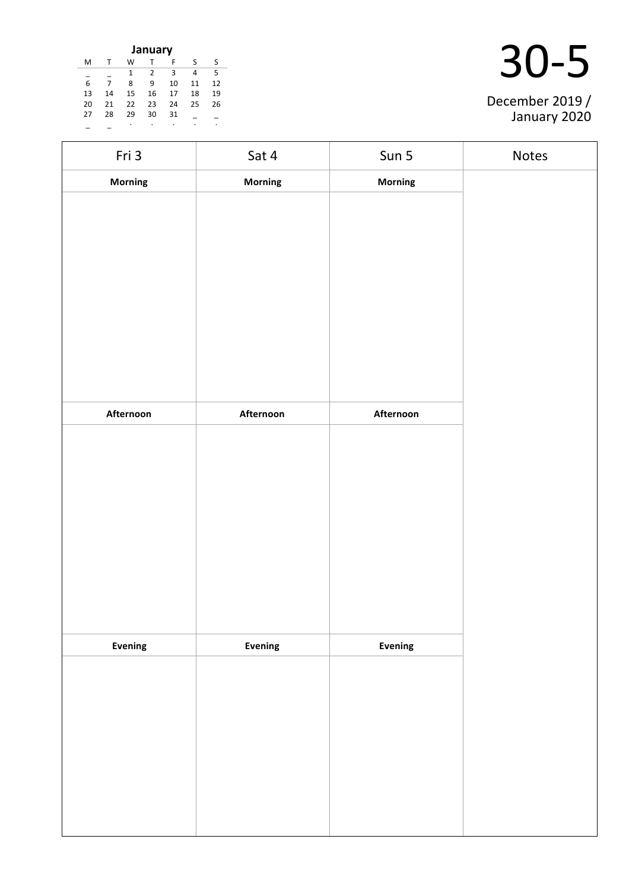| January                            |    |    |    |    |    |    |  |
|------------------------------------|----|----|----|----|----|----|--|
| м                                  |    | w  |    | F  | S  | S  |  |
| 5<br>3<br>$\overline{2}$<br>1<br>4 |    |    |    |    |    |    |  |
| 6                                  | 7  | 8  | 9  | 10 | 11 | 12 |  |
| 13                                 | 14 | 15 | 16 | 17 | 18 | 19 |  |
| 20                                 | 21 | 22 | 23 | 24 | 25 | 26 |  |
| 27                                 | 28 | 29 | 30 | 31 |    |    |  |
|                                    |    | ٠  |    |    |    | ٠  |  |

| December 2019 /<br>January 2020 |
|---------------------------------|

| Fri 3          | Sat 4          | Sun 5          | Notes |
|----------------|----------------|----------------|-------|
| <b>Morning</b> | <b>Morning</b> | Morning        |       |
|                |                |                |       |
|                |                |                |       |
|                |                |                |       |
|                |                |                |       |
|                |                |                |       |
|                |                |                |       |
|                |                |                |       |
|                |                |                |       |
| Afternoon      | Afternoon      | Afternoon      |       |
|                |                |                |       |
|                |                |                |       |
|                |                |                |       |
|                |                |                |       |
|                |                |                |       |
|                |                |                |       |
|                |                |                |       |
|                |                |                |       |
|                |                |                |       |
| <b>Evening</b> | Evening        | <b>Evening</b> |       |
|                |                |                |       |
|                |                |                |       |
|                |                |                |       |
|                |                |                |       |
|                |                |                |       |
|                |                |                |       |
|                |                |                |       |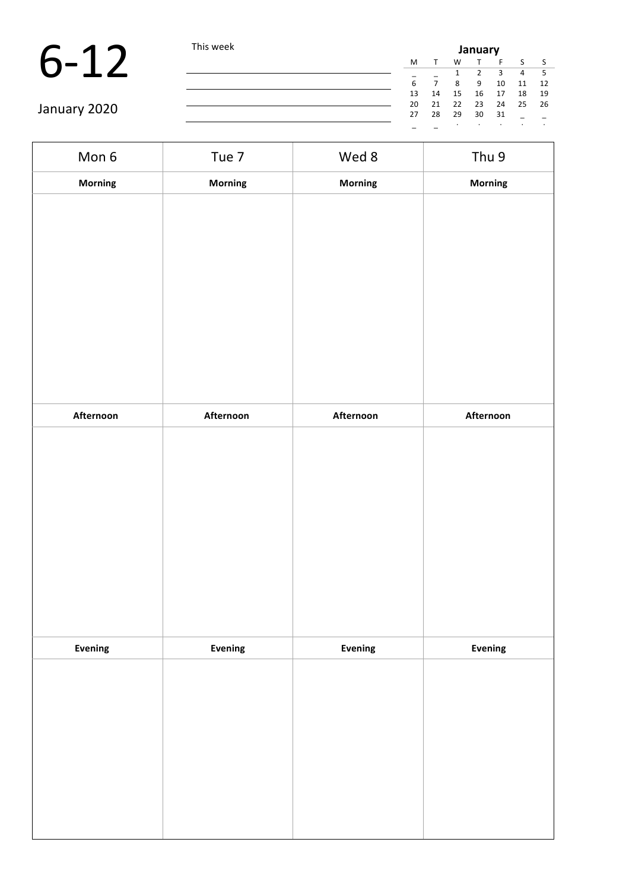|              | This week |    | January |    |    |    |            |      |  |
|--------------|-----------|----|---------|----|----|----|------------|------|--|
|              |           | M  |         | W  |    |    | $\epsilon$ |      |  |
|              |           |    |         |    |    |    | 4          | -5   |  |
|              |           | 6  |         | 8  | 9  | 10 | 11         | 12   |  |
|              |           | 13 | 14      | 15 | 16 | 17 | 18         | 19   |  |
|              |           | 20 | 21      | 22 | 23 | 24 | 25         | - 26 |  |
| January 2020 |           | 27 | 28      | 29 | 30 | 31 |            |      |  |
|              |           |    |         |    |    |    |            |      |  |

| Mon 6          | Tue 7     | Wed 8     | Thu 9     |
|----------------|-----------|-----------|-----------|
| <b>Morning</b> | Morning   | Morning   | Morning   |
|                |           |           |           |
|                |           |           |           |
|                |           |           |           |
|                |           |           |           |
|                |           |           |           |
|                |           |           |           |
|                |           |           |           |
|                |           |           |           |
|                |           |           |           |
| Afternoon      | Afternoon | Afternoon | Afternoon |
|                |           |           |           |
|                |           |           |           |
|                |           |           |           |
|                |           |           |           |
|                |           |           |           |
|                |           |           |           |
|                |           |           |           |
|                |           |           |           |
| <b>Evening</b> | Evening   | Evening   | Evening   |
|                |           |           |           |
|                |           |           |           |
|                |           |           |           |
|                |           |           |           |
|                |           |           |           |
|                |           |           |           |
|                |           |           |           |
|                |           |           |           |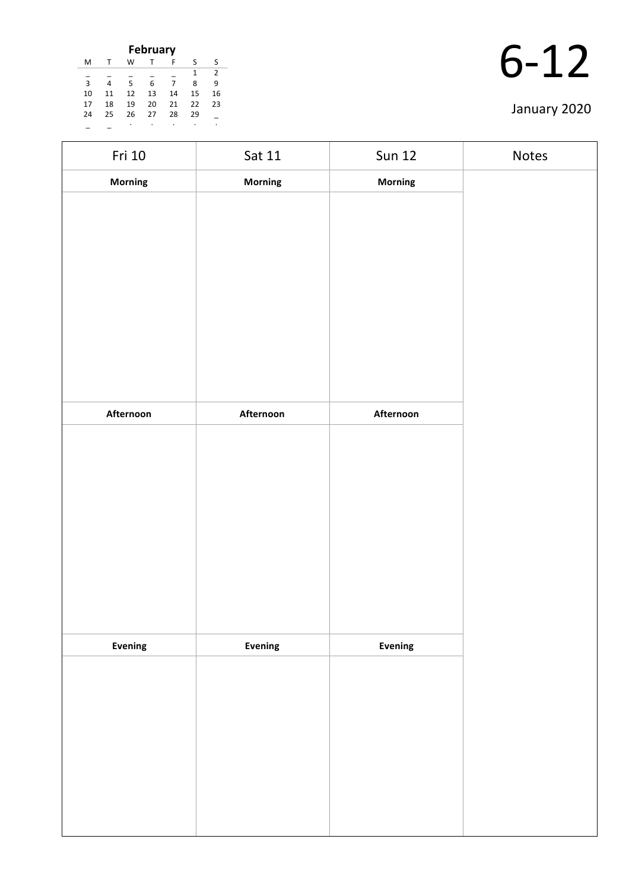| <b>February</b> |    |    |    |    |    |               |
|-----------------|----|----|----|----|----|---------------|
| M               |    | w  |    | F  | S  | S             |
|                 |    |    |    |    | 1  | $\mathcal{P}$ |
| $\overline{3}$  | 4  | 5  | 6  | 7  | 8  | q             |
| 10              | 11 | 12 | 13 | 14 | 15 | 16            |
| 17              | 18 | 19 | 20 | 21 | 22 | 23            |
| 24              | 25 | 26 | 27 | 28 | 29 |               |
|                 |    |    |    |    |    |               |

| Fri 10    | Sat 11    | <b>Sun 12</b>  | Notes |
|-----------|-----------|----------------|-------|
| Morning   | Morning   | Morning        |       |
|           |           |                |       |
|           |           |                |       |
|           |           |                |       |
|           |           |                |       |
|           |           |                |       |
|           |           |                |       |
|           |           |                |       |
|           |           |                |       |
|           |           |                |       |
| Afternoon | Afternoon | Afternoon      |       |
|           |           |                |       |
|           |           |                |       |
|           |           |                |       |
|           |           |                |       |
|           |           |                |       |
|           |           |                |       |
|           |           |                |       |
|           |           |                |       |
|           |           |                |       |
| Evening   | Evening   | <b>Evening</b> |       |
|           |           |                |       |
|           |           |                |       |
|           |           |                |       |
|           |           |                |       |
|           |           |                |       |
|           |           |                |       |
|           |           |                |       |
|           |           |                |       |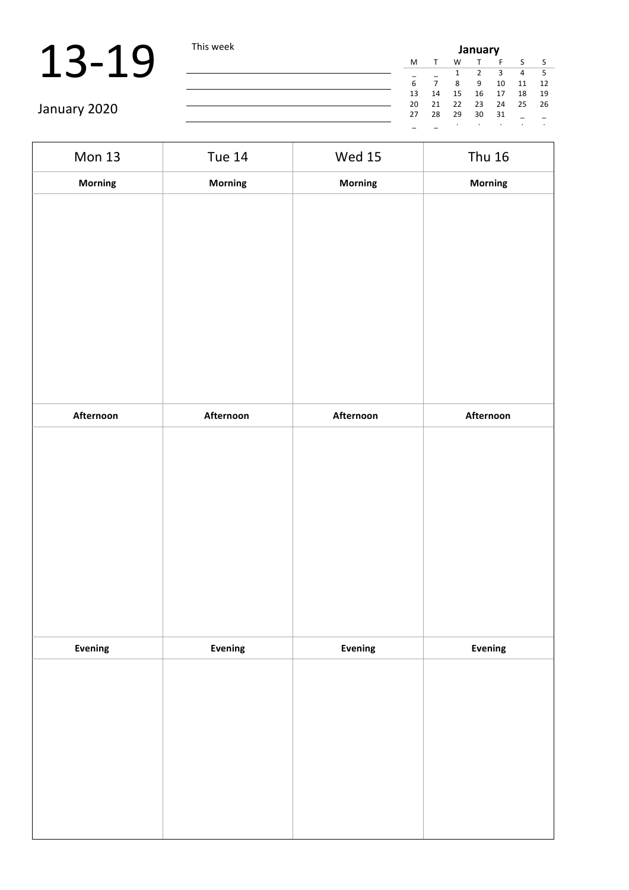| <b>IIS WEEK</b> | <b>January</b> |    |    |    |    |    |     |
|-----------------|----------------|----|----|----|----|----|-----|
|                 | м              | т  | W  | т  | F  | S  | - S |
|                 |                |    |    | 2  | 3  | 4  | 5   |
|                 | 6              | 7  | 8  | 9  | 10 | 11 | 12  |
|                 | 13             | 14 | 15 | 16 | 17 | 18 | 19  |
|                 | 20             | 21 | 22 | 23 | 24 | 25 | 26  |
|                 | 27             | 28 | 29 | 30 | 31 |    |     |
|                 |                |    | ٠  |    |    |    | ٠   |

| Mon 13         | <b>Tue 14</b> | <b>Wed 15</b> | <b>Thu 16</b> |
|----------------|---------------|---------------|---------------|
| Morning        | Morning       | Morning       | Morning       |
|                |               |               |               |
|                |               |               |               |
| Afternoon      | Afternoon     | Afternoon     | Afternoon     |
|                |               |               |               |
| <b>Evening</b> | Evening       | Evening       | Evening       |
|                |               |               |               |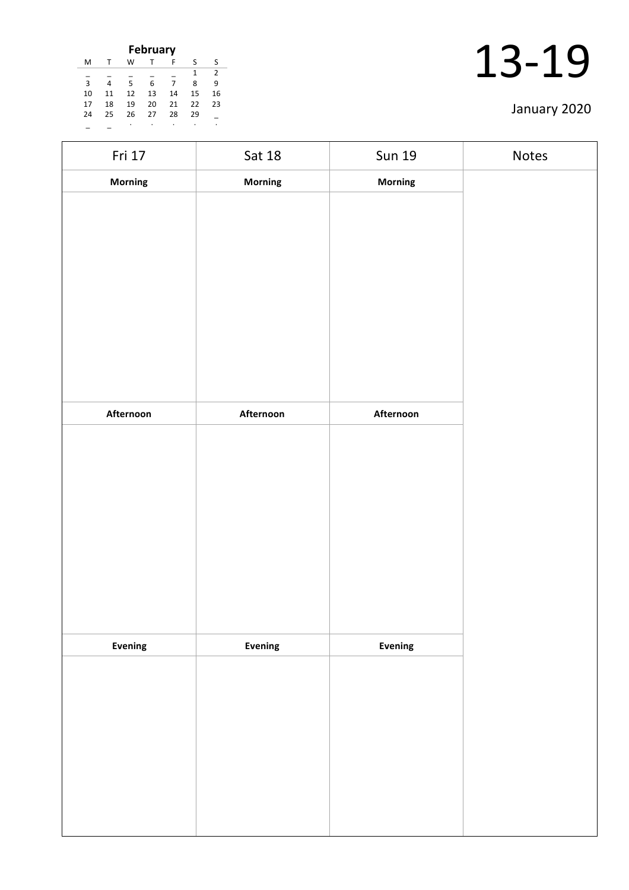| <b>February</b> |    |    |    |    |    |                |
|-----------------|----|----|----|----|----|----------------|
| M               |    | W  |    | F  | S  | S              |
|                 |    |    |    |    | 1  | $\overline{2}$ |
| $\overline{3}$  | 4  | 5  | 6  | 7  | 8  | 9              |
| 10              | 11 | 12 | 13 | 14 | 15 | 16             |
| 17              | 18 | 19 | 20 | 21 | 22 | 23             |
| 24              | 25 | 26 | 27 | 28 | 29 |                |
|                 |    |    |    | ٠  | ٠  | ٠              |

| Fri 17    | Sat 18    | <b>Sun 19</b>  | Notes |
|-----------|-----------|----------------|-------|
| Morning   | Morning   | Morning        |       |
|           |           |                |       |
|           |           |                |       |
|           |           |                |       |
|           |           |                |       |
|           |           |                |       |
|           |           |                |       |
|           |           |                |       |
|           |           |                |       |
|           |           |                |       |
| Afternoon | Afternoon | Afternoon      |       |
|           |           |                |       |
|           |           |                |       |
|           |           |                |       |
|           |           |                |       |
|           |           |                |       |
|           |           |                |       |
|           |           |                |       |
|           |           |                |       |
| Evening   | Evening   | <b>Evening</b> |       |
|           |           |                |       |
|           |           |                |       |
|           |           |                |       |
|           |           |                |       |
|           |           |                |       |
|           |           |                |       |
|           |           |                |       |
|           |           |                |       |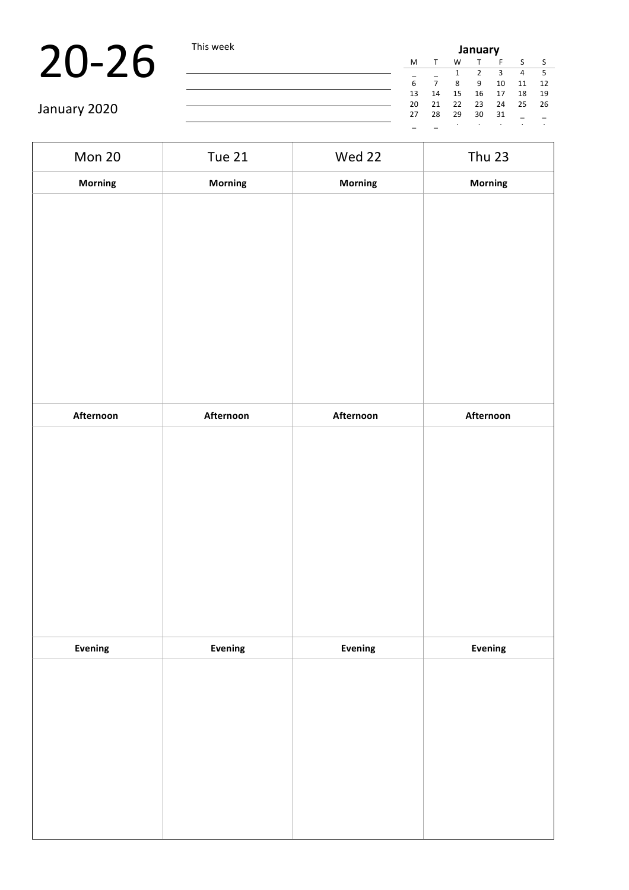| iis week | January |    |    |              |    |              |     |  |
|----------|---------|----|----|--------------|----|--------------|-----|--|
|          | м       | т  | W  | $\mathsf{T}$ | F  | <sub>S</sub> | - S |  |
|          |         |    |    | 2            | 3  | 4            | 5   |  |
|          | 6       | 7  | 8  | 9            | 10 | 11           | 12  |  |
|          | 13      | 14 | 15 | 16           | 17 | 18           | 19  |  |
|          | 20      | 21 | 22 | 23           | 24 | 25           | 26  |  |
|          | 27      | 28 | 29 | 30           | 31 |              |     |  |
|          |         |    |    | ٠            | ٠  |              | ٠   |  |

| Mon 20    | <b>Tue 21</b> | Wed 22    | <b>Thu 23</b> |
|-----------|---------------|-----------|---------------|
| Morning   | Morning       | Morning   | Morning       |
|           |               |           |               |
|           |               |           |               |
|           |               |           |               |
|           |               |           |               |
|           |               |           |               |
|           |               |           |               |
|           |               |           |               |
|           |               |           |               |
| Afternoon | Afternoon     | Afternoon | Afternoon     |
|           |               |           |               |
|           |               |           |               |
|           |               |           |               |
|           |               |           |               |
|           |               |           |               |
|           |               |           |               |
|           |               |           |               |
|           |               |           |               |
| Evening   | Evening       | Evening   | Evening       |
|           |               |           |               |
|           |               |           |               |
|           |               |           |               |
|           |               |           |               |
|           |               |           |               |
|           |               |           |               |
|           |               |           |               |
|           |               |           |               |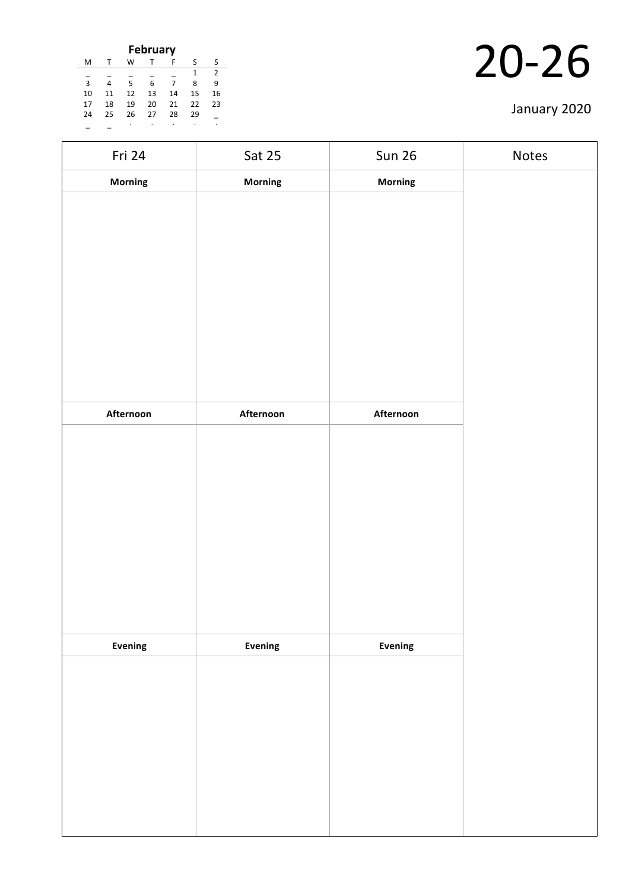| <b>February</b>    |    |    |    |    |    |    |  |  |  |
|--------------------|----|----|----|----|----|----|--|--|--|
| M                  | т  | W  |    | F  | ς  | ς  |  |  |  |
| $\mathcal{P}$<br>1 |    |    |    |    |    |    |  |  |  |
| $\overline{3}$     | 4  | 5  | 6  | 7  | 8  | ٩  |  |  |  |
| 10                 | 11 | 12 | 13 | 14 | 15 | 16 |  |  |  |
| 17                 | 18 | 19 | 20 | 21 | 22 | 23 |  |  |  |
| 24                 | 25 | 26 | 27 | 28 | 29 |    |  |  |  |
|                    |    |    |    |    |    |    |  |  |  |

| Fri 24    | Sat 25    | <b>Sun 26</b> | Notes |
|-----------|-----------|---------------|-------|
| Morning   | Morning   | Morning       |       |
|           |           |               |       |
|           |           |               |       |
|           |           |               |       |
|           |           |               |       |
|           |           |               |       |
|           |           |               |       |
|           |           |               |       |
|           |           |               |       |
| Afternoon | Afternoon | Afternoon     |       |
|           |           |               |       |
|           |           |               |       |
|           |           |               |       |
|           |           |               |       |
|           |           |               |       |
|           |           |               |       |
|           |           |               |       |
|           |           |               |       |
|           |           |               |       |
| Evening   | Evening   | Evening       |       |
|           |           |               |       |
|           |           |               |       |
|           |           |               |       |
|           |           |               |       |
|           |           |               |       |
|           |           |               |       |
|           |           |               |       |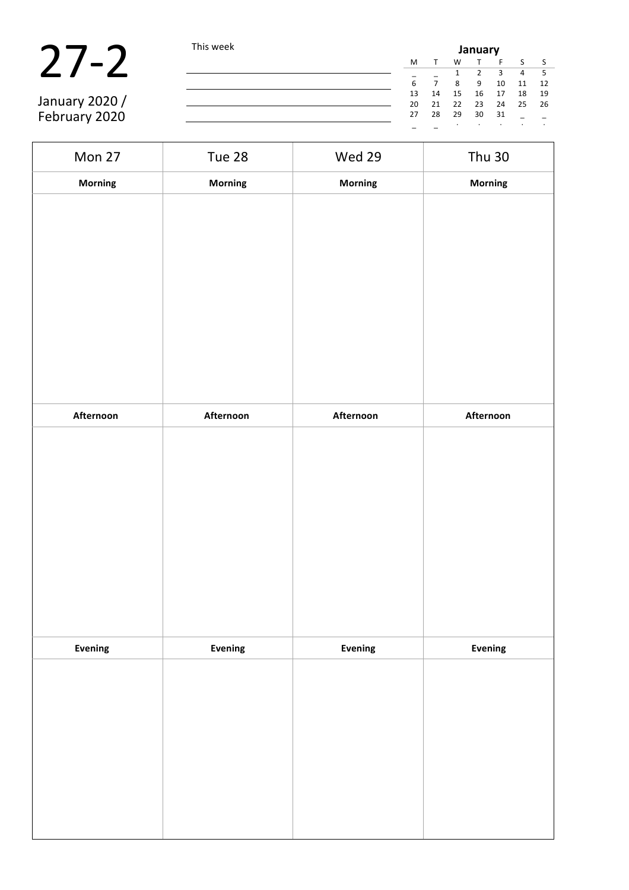|                | This week |    | January |    |    |    |    |      |  |  |  |
|----------------|-----------|----|---------|----|----|----|----|------|--|--|--|
|                |           | M  |         | W  |    |    |    |      |  |  |  |
|                |           |    |         |    |    |    | 4  |      |  |  |  |
|                |           | 6  |         | 8  | 9  | 10 | 11 | 12   |  |  |  |
|                |           | 13 | 14      | 15 | 16 | 17 | 18 | 19   |  |  |  |
| January 2020 / |           | 20 | 21      | 22 | 23 | 24 | 25 | - 26 |  |  |  |
| February 2020  |           | 27 | 28      | 29 | 30 | 31 |    |      |  |  |  |
|                |           |    |         |    |    |    |    |      |  |  |  |

| Mon 27    | Tue 28         | Wed 29    | <b>Thu 30</b> |
|-----------|----------------|-----------|---------------|
| Morning   | Morning        | Morning   | Morning       |
|           |                |           |               |
|           |                |           |               |
|           |                |           |               |
|           |                |           |               |
|           |                |           |               |
|           |                |           |               |
|           |                |           |               |
|           |                |           |               |
| Afternoon | Afternoon      | Afternoon | Afternoon     |
|           |                |           |               |
|           |                |           |               |
|           |                |           |               |
|           |                |           |               |
|           |                |           |               |
|           |                |           |               |
|           |                |           |               |
|           |                |           |               |
|           |                |           |               |
| Evening   | <b>Evening</b> | Evening   | Evening       |
|           |                |           |               |
|           |                |           |               |
|           |                |           |               |
|           |                |           |               |
|           |                |           |               |
|           |                |           |               |
|           |                |           |               |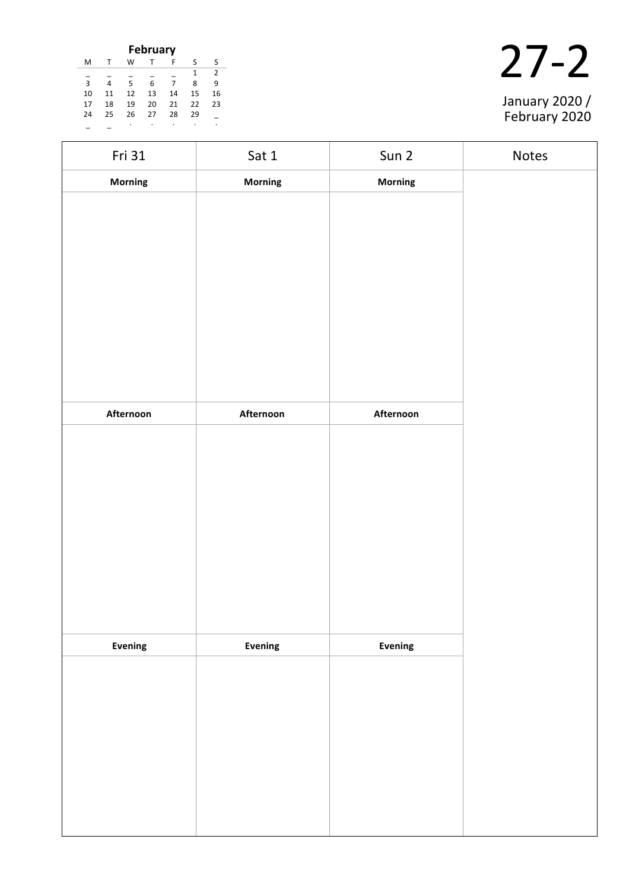| <b>February</b>    |    |    |    |    |    |    |  |  |  |
|--------------------|----|----|----|----|----|----|--|--|--|
| M                  |    | W  |    | F  | S  | ς  |  |  |  |
| $\mathcal{P}$<br>1 |    |    |    |    |    |    |  |  |  |
| $\overline{3}$     |    | 5  | 6  |    | 8  | ٩  |  |  |  |
| 10                 | 11 | 12 | 13 | 14 | 15 | 16 |  |  |  |
| 17                 | 18 | 19 | 20 | 21 | 22 | 23 |  |  |  |
| 24                 | 25 | 26 | 27 | 28 | 29 |    |  |  |  |
|                    |    |    |    |    |    |    |  |  |  |



| Fri 31    | Sat 1          | Sun 2     | Notes |
|-----------|----------------|-----------|-------|
| Morning   | Morning        | Morning   |       |
|           |                |           |       |
|           |                |           |       |
|           |                |           |       |
|           |                |           |       |
|           |                |           |       |
|           |                |           |       |
|           |                |           |       |
|           |                |           |       |
| Afternoon | Afternoon      | Afternoon |       |
|           |                |           |       |
|           |                |           |       |
|           |                |           |       |
|           |                |           |       |
|           |                |           |       |
|           |                |           |       |
|           |                |           |       |
|           |                |           |       |
|           |                |           |       |
| Evening   | <b>Evening</b> | Evening   |       |
|           |                |           |       |
|           |                |           |       |
|           |                |           |       |
|           |                |           |       |
|           |                |           |       |
|           |                |           |       |
|           |                |           |       |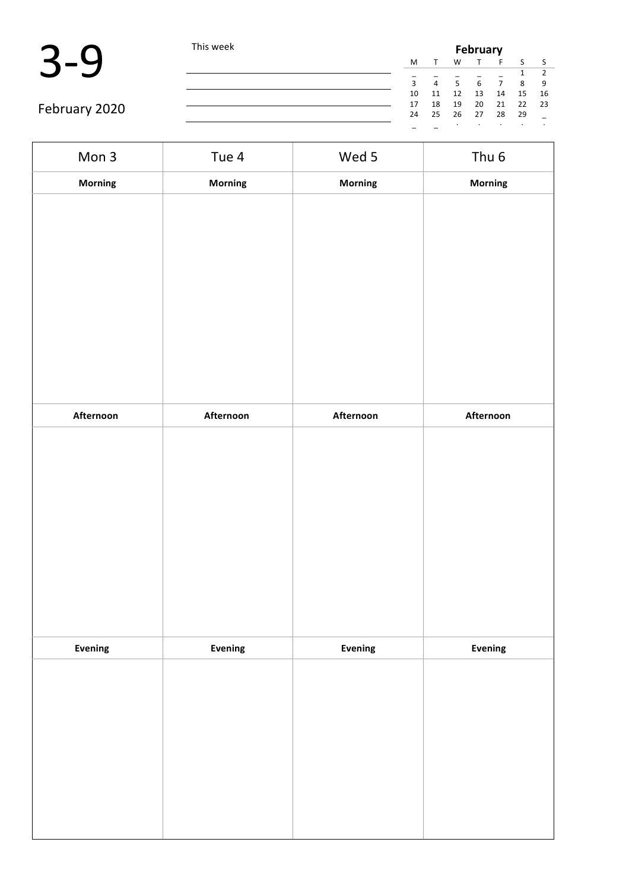|               | This week |              | February       |                |    |    |              |      |  |  |
|---------------|-----------|--------------|----------------|----------------|----|----|--------------|------|--|--|
|               |           | M            |                | W              |    |    | $\mathbf{c}$ |      |  |  |
|               |           |              |                |                |    |    |              |      |  |  |
|               |           | $\mathbf{R}$ | $\overline{4}$ | 5 <sup>5</sup> | 6  |    | 8            | 9    |  |  |
|               |           | 10           | 11             | 12             | 13 | 14 | 15           | 16   |  |  |
|               |           | 17           | 18             | 19             | 20 | 21 | 22           | - 23 |  |  |
| February 2020 |           | 24           | 25             | 26             | 27 | 28 | 29           |      |  |  |
|               |           |              |                |                |    |    |              |      |  |  |

| Mon 3          | Tue 4          | Wed 5     | Thu <sub>6</sub> |
|----------------|----------------|-----------|------------------|
| Morning        | <b>Morning</b> | Morning   | Morning          |
|                |                |           |                  |
|                |                |           |                  |
|                |                |           |                  |
|                |                |           |                  |
|                |                |           |                  |
|                |                |           |                  |
|                |                |           |                  |
|                |                |           |                  |
|                |                |           |                  |
| Afternoon      | Afternoon      | Afternoon | Afternoon        |
|                |                |           |                  |
|                |                |           |                  |
|                |                |           |                  |
|                |                |           |                  |
|                |                |           |                  |
|                |                |           |                  |
|                |                |           |                  |
|                |                |           |                  |
| <b>Evening</b> | Evening        | Evening   | Evening          |
|                |                |           |                  |
|                |                |           |                  |
|                |                |           |                  |
|                |                |           |                  |
|                |                |           |                  |
|                |                |           |                  |
|                |                |           |                  |
|                |                |           |                  |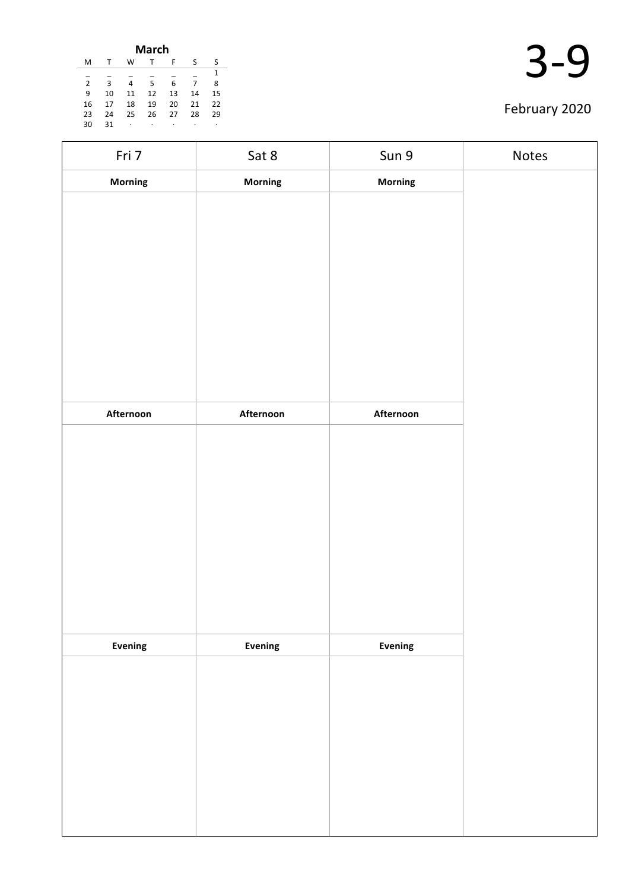| March          |    |    |    |    |    |    |  |  |
|----------------|----|----|----|----|----|----|--|--|
| м              | т  | W  | т  | F  | ς  | S  |  |  |
|                |    |    |    |    |    | 1  |  |  |
| $\overline{2}$ | 3  | 4  | 5  | 6  |    | 8  |  |  |
| 9              | 10 | 11 | 12 | 13 | 14 | 15 |  |  |
| 16             | 17 | 18 | 19 | 20 | 21 | 22 |  |  |
| 23             | 24 | 25 | 26 | 27 | 28 | 29 |  |  |
| 30             | 31 | ٠  | ۰  | ٠  | ٠  | ٠  |  |  |

| Fri 7     | Sat 8     | Sun 9     | Notes |
|-----------|-----------|-----------|-------|
| Morning   | Morning   | Morning   |       |
|           |           |           |       |
|           |           |           |       |
|           |           |           |       |
|           |           |           |       |
|           |           |           |       |
|           |           |           |       |
|           |           |           |       |
|           |           |           |       |
|           |           |           |       |
| Afternoon | Afternoon | Afternoon |       |
|           |           |           |       |
|           |           |           |       |
|           |           |           |       |
|           |           |           |       |
|           |           |           |       |
|           |           |           |       |
|           |           |           |       |
|           |           |           |       |
|           |           |           |       |
| Evening   | Evening   | Evening   |       |
|           |           |           |       |
|           |           |           |       |
|           |           |           |       |
|           |           |           |       |
|           |           |           |       |
|           |           |           |       |
|           |           |           |       |
|           |           |           |       |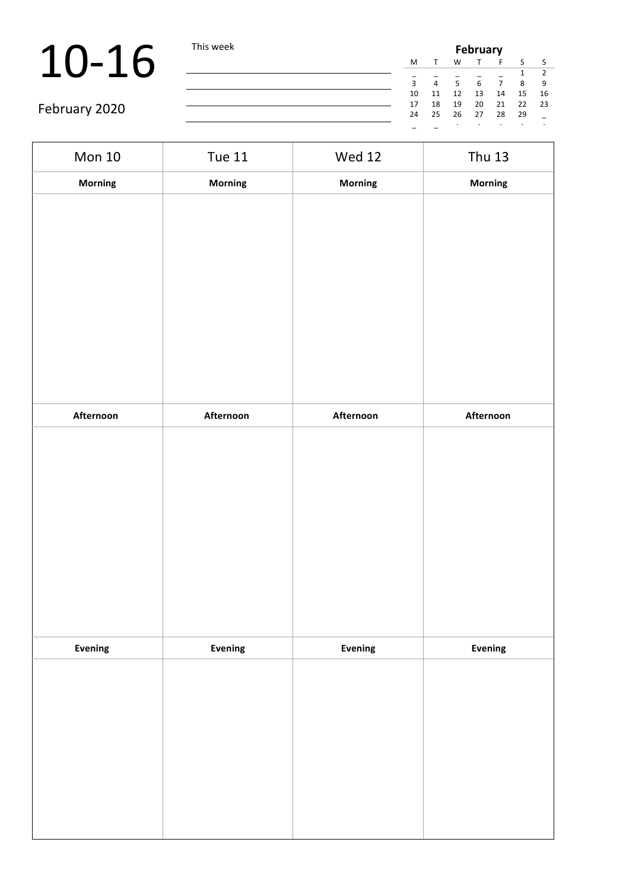# 10-16 This week

| <b>February</b> |    |    |    |    |    |    |  |
|-----------------|----|----|----|----|----|----|--|
| M               |    | W  |    | F  | -S |    |  |
|                 |    |    |    |    |    | 2  |  |
| 3               | 4  | 5  | 6  | 7  | 8  | 9  |  |
| 10              | 11 | 12 | 13 | 14 | 15 | 16 |  |
| 17              | 18 | 19 | 20 | 21 | 22 | 23 |  |
| 24              | 25 | 26 | 27 | 28 | 29 |    |  |
|                 |    |    |    |    |    |    |  |

| Mon 10    | <b>Tue 11</b> | <b>Wed 12</b> | <b>Thu 13</b> |
|-----------|---------------|---------------|---------------|
| Morning   | Morning       | Morning       | Morning       |
|           |               |               |               |
|           |               |               |               |
|           |               |               |               |
|           |               |               |               |
|           |               |               |               |
|           |               |               |               |
|           |               |               |               |
|           |               |               |               |
|           |               |               |               |
| Afternoon | Afternoon     | Afternoon     | Afternoon     |
|           |               |               |               |
|           |               |               |               |
|           |               |               |               |
|           |               |               |               |
|           |               |               |               |
|           |               |               |               |
|           |               |               |               |
|           |               |               |               |
|           |               |               |               |
| Evening   | Evening       | Evening       | Evening       |
|           |               |               |               |
|           |               |               |               |
|           |               |               |               |
|           |               |               |               |
|           |               |               |               |
|           |               |               |               |
|           |               |               |               |
|           |               |               |               |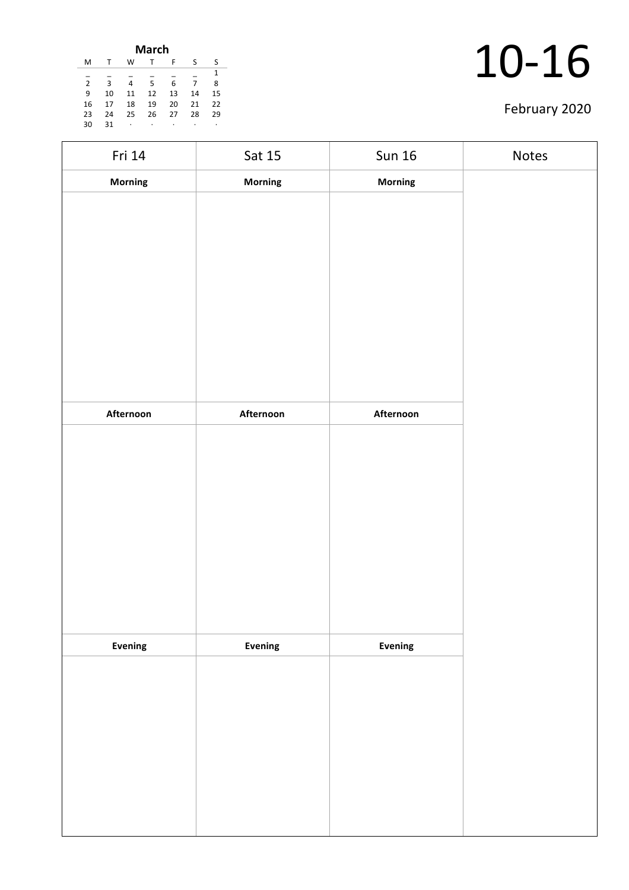| <b>March</b>   |    |    |    |    |    |    |  |
|----------------|----|----|----|----|----|----|--|
| M              | т  | w  | т  | F  | ς  | S  |  |
|                |    |    |    |    |    | 1  |  |
| $\overline{2}$ | 3  | 4  | 5  | 6  | 7  | 8  |  |
| 9              | 10 | 11 | 12 | 13 | 14 | 15 |  |
| 16             | 17 | 18 | 19 | 20 | 21 | 22 |  |
| 23             | 24 | 25 | 26 | 27 | 28 | 29 |  |
| 30             | 31 | ٠  | ٠  | ٠  |    | ٠  |  |
|                |    |    |    |    |    |    |  |

| Fri 14    | Sat 15    | <b>Sun 16</b> | Notes |
|-----------|-----------|---------------|-------|
| Morning   | Morning   | Morning       |       |
|           |           |               |       |
|           |           |               |       |
|           |           |               |       |
|           |           |               |       |
|           |           |               |       |
|           |           |               |       |
|           |           |               |       |
|           |           |               |       |
|           |           |               |       |
| Afternoon | Afternoon | Afternoon     |       |
|           |           |               |       |
|           |           |               |       |
|           |           |               |       |
|           |           |               |       |
|           |           |               |       |
|           |           |               |       |
|           |           |               |       |
|           |           |               |       |
| Evening   | Evening   | Evening       |       |
|           |           |               |       |
|           |           |               |       |
|           |           |               |       |
|           |           |               |       |
|           |           |               |       |
|           |           |               |       |
|           |           |               |       |
|           |           |               |       |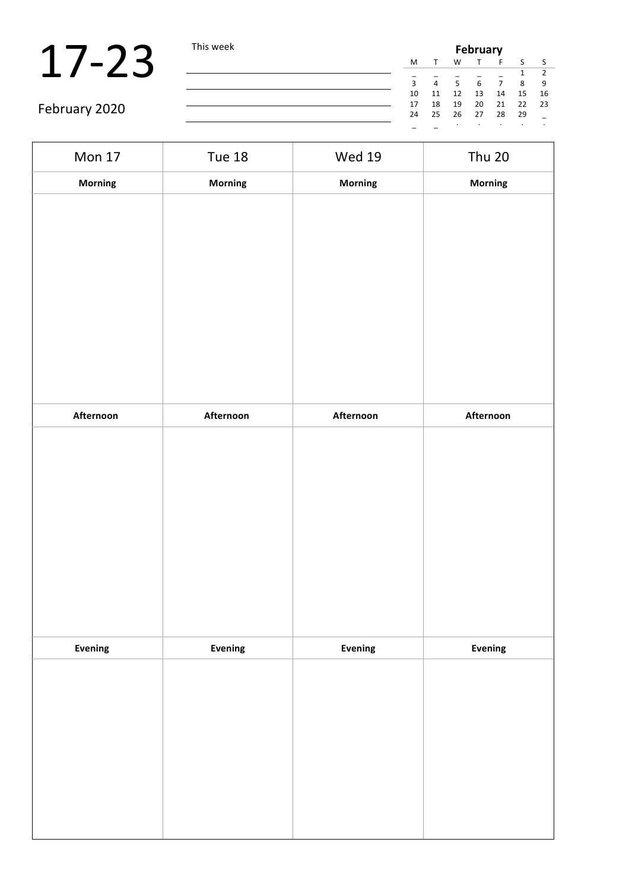### $17-23$  This week

| is week | <b>February</b> |    |       |    |    |    |     |
|---------|-----------------|----|-------|----|----|----|-----|
|         | M               | т  | W     | т  | F  | S  |     |
|         |                 |    |       |    |    | 1  |     |
|         | 3               | 4  | 5     | 6  | 7  | 8  | 9   |
|         | 10              | 11 | 12    | 13 | 14 | 15 | 16  |
|         | 17              | 18 | 19    | 20 | 21 | 22 | -23 |
|         | 24              | 25 | 26 27 |    | 28 | 29 |     |
|         |                 |    |       | ٠  | ٠  |    | ٠   |

| <b>Mon 17</b> | <b>Tue 18</b> | <b>Wed 19</b> | <b>Thu 20</b> |
|---------------|---------------|---------------|---------------|
| Morning       | Morning       | Morning       | Morning       |
|               |               |               |               |
|               |               |               |               |
|               |               |               |               |
|               |               |               |               |
|               |               |               |               |
|               |               |               |               |
|               |               |               |               |
|               |               |               |               |
|               |               |               |               |
| Afternoon     | Afternoon     | Afternoon     | Afternoon     |
|               |               |               |               |
|               |               |               |               |
|               |               |               |               |
|               |               |               |               |
|               |               |               |               |
|               |               |               |               |
|               |               |               |               |
|               |               |               |               |
|               |               |               |               |
| Evening       | Evening       | Evening       | Evening       |
|               |               |               |               |
|               |               |               |               |
|               |               |               |               |
|               |               |               |               |
|               |               |               |               |
|               |               |               |               |
|               |               |               |               |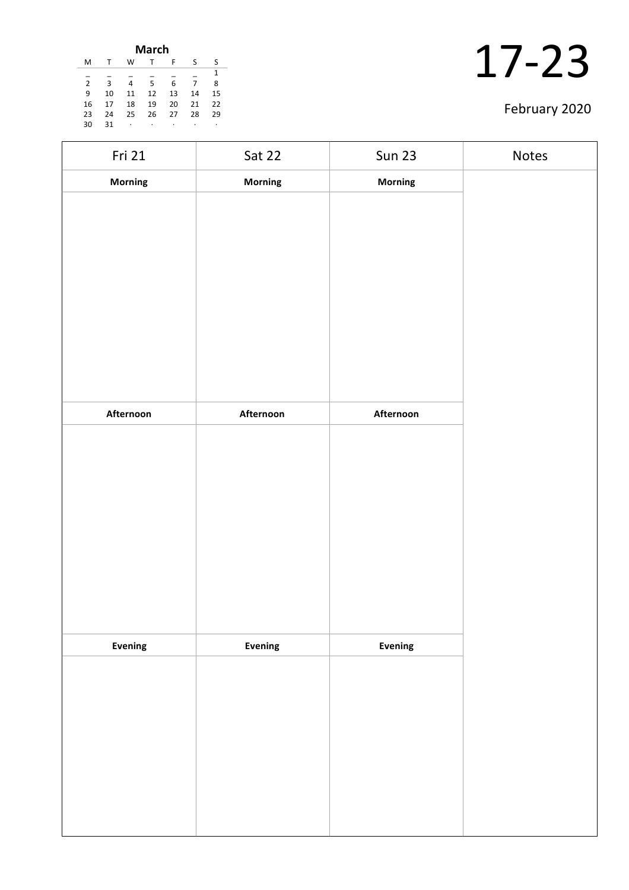| March          |    |    |    |    |    |    |  |
|----------------|----|----|----|----|----|----|--|
| м              |    | W  |    | F  | ς  | ς  |  |
|                |    |    |    |    |    | 1  |  |
| $\overline{2}$ | 3  | 4  | 5  | 6  | 7  | 8  |  |
| 9              | 10 | 11 | 12 | 13 | 14 | 15 |  |
| 16             | 17 | 18 | 19 | 20 | 21 | 22 |  |
| 23             | 24 | 25 | 26 | 27 | 28 | 29 |  |
| 30             | 31 | ٠  |    | ٠  |    | ٠  |  |
|                |    |    |    |    |    |    |  |

| Fri 21         | Sat 22         | <b>Sun 23</b> | Notes |
|----------------|----------------|---------------|-------|
| Morning        | <b>Morning</b> | Morning       |       |
|                |                |               |       |
|                |                |               |       |
|                |                |               |       |
|                |                |               |       |
|                |                |               |       |
|                |                |               |       |
|                |                |               |       |
|                |                |               |       |
|                |                |               |       |
| Afternoon      | Afternoon      | Afternoon     |       |
|                |                |               |       |
|                |                |               |       |
|                |                |               |       |
|                |                |               |       |
|                |                |               |       |
|                |                |               |       |
|                |                |               |       |
|                |                |               |       |
|                |                |               |       |
| <b>Evening</b> | Evening        | Evening       |       |
|                |                |               |       |
|                |                |               |       |
|                |                |               |       |
|                |                |               |       |
|                |                |               |       |
|                |                |               |       |
|                |                |               |       |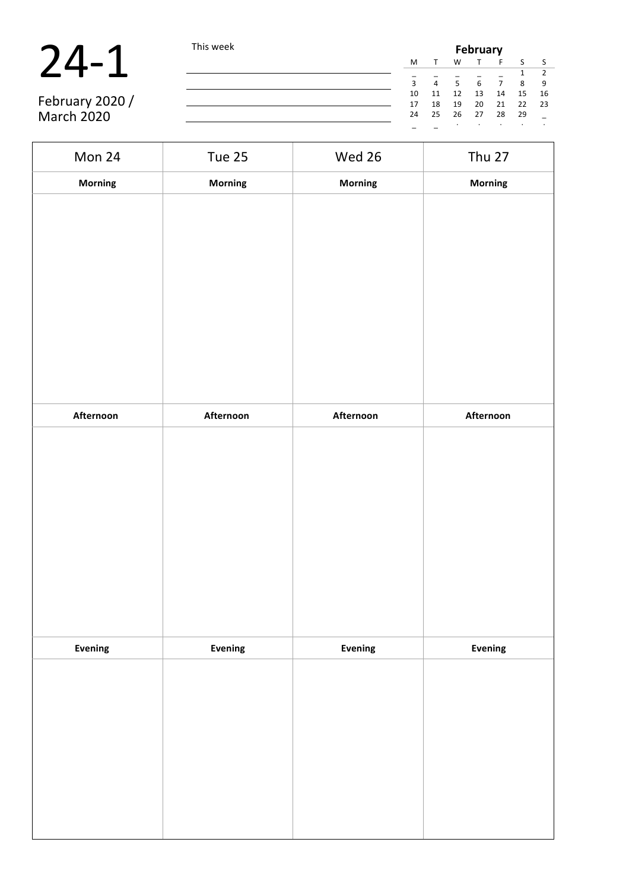| 24 |  |
|----|--|
|    |  |

|                   | This week |    | <b>February</b> |      |    |                |    |      |  |  |  |
|-------------------|-----------|----|-----------------|------|----|----------------|----|------|--|--|--|
|                   |           | M  |                 | W    |    |                |    |      |  |  |  |
|                   |           |    |                 |      |    |                |    |      |  |  |  |
|                   |           | ς  | $\Delta$        | 5    | 6  | $\overline{7}$ | 8  | q    |  |  |  |
|                   |           | 10 | 11              | 12   | 13 | 14             | 15 | - 16 |  |  |  |
| February 2020 /   |           | 17 | 18              | 19   | 20 | 21             | 22 | - 23 |  |  |  |
| <b>March 2020</b> |           | 24 | 25              | - 26 | 27 | - 28           | 29 |      |  |  |  |
|                   |           |    |                 |      |    |                |    |      |  |  |  |

| Mon 24    | Tue 25         | Wed 26    | Thu 27    |
|-----------|----------------|-----------|-----------|
| Morning   | <b>Morning</b> | Morning   | Morning   |
|           |                |           |           |
|           |                |           |           |
|           |                |           |           |
|           |                |           |           |
|           |                |           |           |
|           |                |           |           |
|           |                |           |           |
|           |                |           |           |
|           |                |           |           |
| Afternoon | Afternoon      | Afternoon | Afternoon |
|           |                |           |           |
|           |                |           |           |
|           |                |           |           |
|           |                |           |           |
|           |                |           |           |
|           |                |           |           |
|           |                |           |           |
|           |                |           |           |
|           |                |           |           |
|           |                |           |           |
| Evening   | Evening        | Evening   | Evening   |
|           |                |           |           |
|           |                |           |           |
|           |                |           |           |
|           |                |           |           |
|           |                |           |           |
|           |                |           |           |
|           |                |           |           |
|           |                |           |           |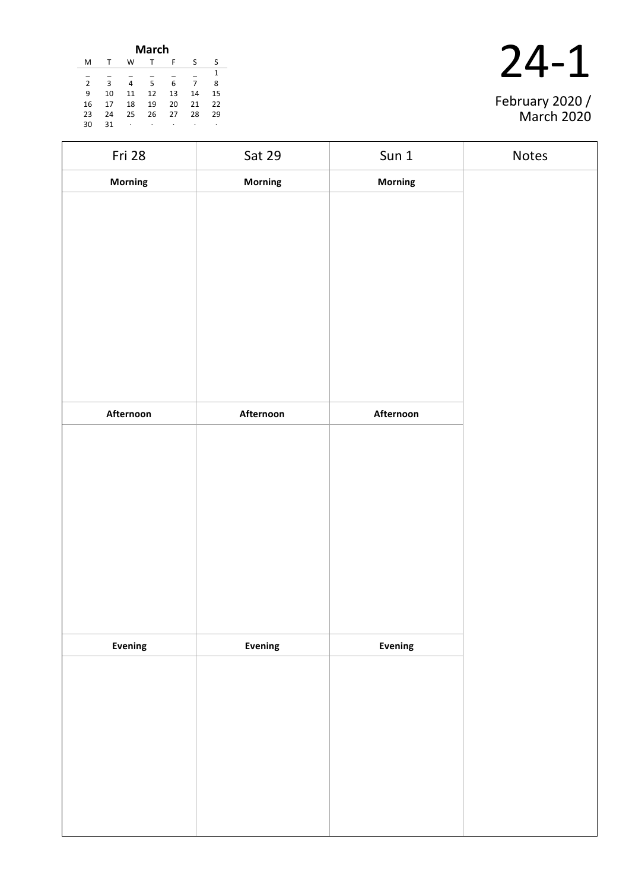| March          |    |    |    |    |    |    |  |
|----------------|----|----|----|----|----|----|--|
| м              |    | W  | т  | F  | S  | ς  |  |
|                |    |    |    |    |    | 1  |  |
| $\overline{2}$ | 3  | 4  | 5  | 6  | 7  | 8  |  |
| 9              | 10 | 11 | 12 | 13 | 14 | 15 |  |
| 16             | 17 | 18 | 19 | 20 | 21 | 22 |  |
| 23             | 24 | 25 | 26 | 27 | 28 | 29 |  |
| 30             | 31 | ٠  | ٠  | ٠  | ٠  | ٠  |  |



| Fri 28    | Sat 29    | Sun <sub>1</sub> | Notes |
|-----------|-----------|------------------|-------|
| Morning   | Morning   | Morning          |       |
|           |           |                  |       |
|           |           |                  |       |
|           |           |                  |       |
|           |           |                  |       |
|           |           |                  |       |
|           |           |                  |       |
|           |           |                  |       |
|           |           |                  |       |
|           |           |                  |       |
| Afternoon | Afternoon | Afternoon        |       |
|           |           |                  |       |
|           |           |                  |       |
|           |           |                  |       |
|           |           |                  |       |
|           |           |                  |       |
|           |           |                  |       |
|           |           |                  |       |
|           |           |                  |       |
| Evening   | Evening   | Evening          |       |
|           |           |                  |       |
|           |           |                  |       |
|           |           |                  |       |
|           |           |                  |       |
|           |           |                  |       |
|           |           |                  |       |
|           |           |                  |       |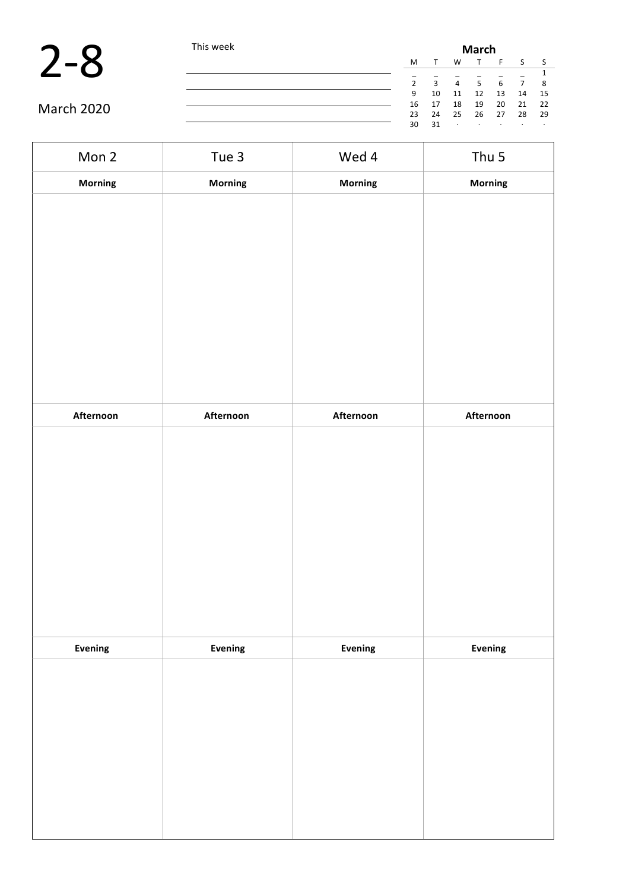

|            | This week |    | <b>March</b> |         |         |         |                |      |  |  |
|------------|-----------|----|--------------|---------|---------|---------|----------------|------|--|--|
|            |           | M  |              | W       |         |         |                |      |  |  |
|            |           |    |              |         |         |         |                |      |  |  |
|            |           | 2  | 3            | 4       | -5      |         | $\overline{ }$ |      |  |  |
|            |           | 9  | 10           | 11      | 12      | 13      | 14             | - 15 |  |  |
| March 2020 |           | 16 | 17           | 18      | 19      | 20      | 21             | - 22 |  |  |
|            |           | 23 | 24           | 25      | 26      | 27      | 28             | 29   |  |  |
|            |           | 30 | 31           | $\cdot$ | $\cdot$ | $\cdot$ | $\cdot$        |      |  |  |

| Mon 2     | Tue 3     | Wed 4     | Thu 5     |
|-----------|-----------|-----------|-----------|
| Morning   | Morning   | Morning   | Morning   |
|           |           |           |           |
|           |           |           |           |
|           |           |           |           |
|           |           |           |           |
|           |           |           |           |
|           |           |           |           |
|           |           |           |           |
|           |           |           |           |
|           |           |           |           |
| Afternoon | Afternoon | Afternoon | Afternoon |
|           |           |           |           |
|           |           |           |           |
|           |           |           |           |
|           |           |           |           |
|           |           |           |           |
|           |           |           |           |
|           |           |           |           |
|           |           |           |           |
| Evening   | Evening   | Evening   | Evening   |
|           |           |           |           |
|           |           |           |           |
|           |           |           |           |
|           |           |           |           |
|           |           |           |           |
|           |           |           |           |
|           |           |           |           |
|           |           |           |           |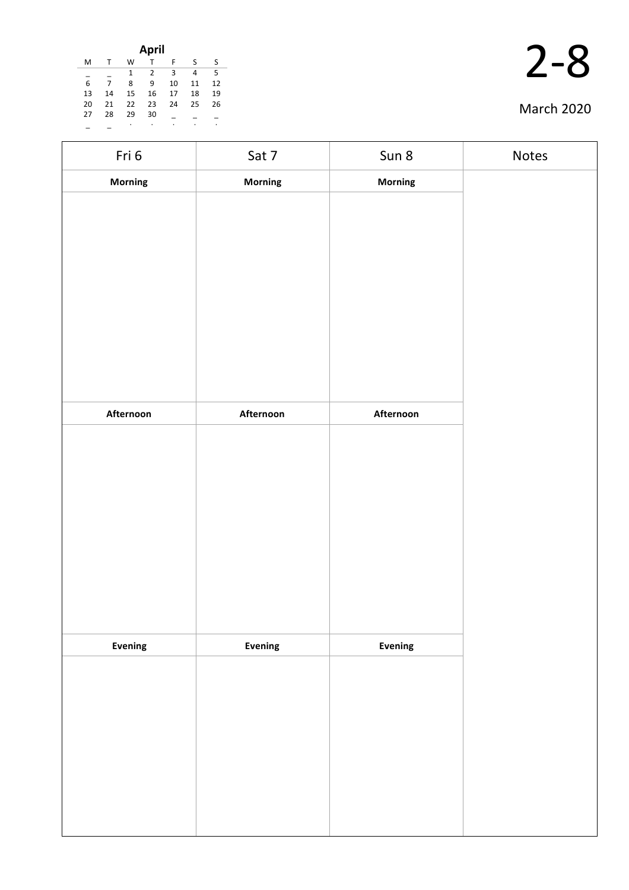| April |    |    |                |    |    |    |  |  |  |
|-------|----|----|----------------|----|----|----|--|--|--|
| M     |    | W  |                | F  | S  | S  |  |  |  |
|       |    | 1  | $\overline{2}$ | 3  | 4  | 5  |  |  |  |
| 6     | 7  | 8  | 9              | 10 | 11 | 12 |  |  |  |
| 13    | 14 | 15 | 16             | 17 | 18 | 19 |  |  |  |
| 20    | 21 | 22 | 23             | 24 | 25 | 26 |  |  |  |
| 27    | 28 | 29 | 30             |    |    |    |  |  |  |
|       |    | ٠  | ٠              | ٠  | ٠  | ٠  |  |  |  |

| Fri 6     | Sat 7     | Sun 8          | Notes |
|-----------|-----------|----------------|-------|
| Morning   | Morning   | <b>Morning</b> |       |
|           |           |                |       |
|           |           |                |       |
|           |           |                |       |
|           |           |                |       |
|           |           |                |       |
|           |           |                |       |
|           |           |                |       |
|           |           |                |       |
| Afternoon | Afternoon | Afternoon      |       |
|           |           |                |       |
|           |           |                |       |
|           |           |                |       |
|           |           |                |       |
|           |           |                |       |
|           |           |                |       |
|           |           |                |       |
|           |           |                |       |
|           |           |                |       |
| Evening   | Evening   | <b>Evening</b> |       |
|           |           |                |       |
|           |           |                |       |
|           |           |                |       |
|           |           |                |       |
|           |           |                |       |
|           |           |                |       |
|           |           |                |       |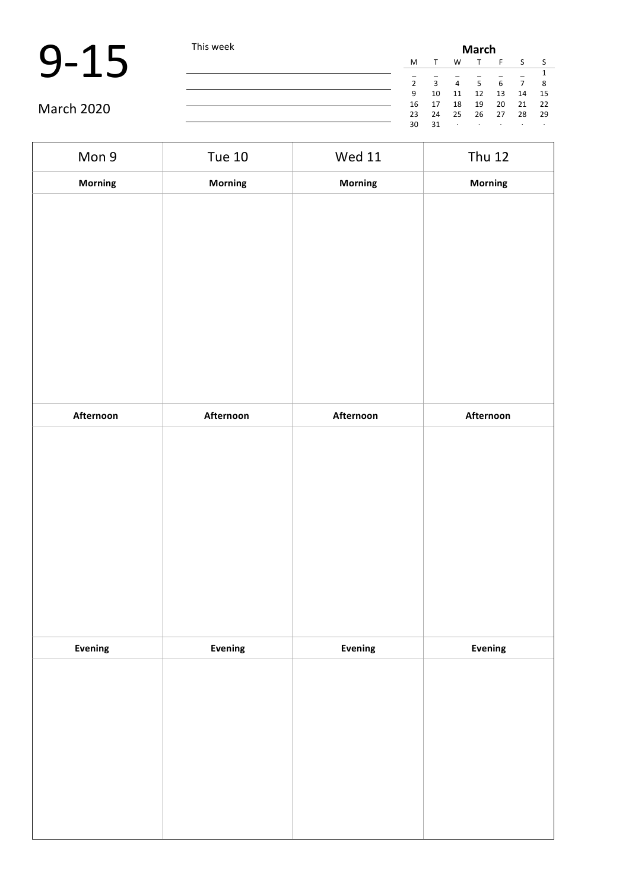|            | This week |    |                         | <b>March</b>   |         |         |    |      |  |  |  |
|------------|-----------|----|-------------------------|----------------|---------|---------|----|------|--|--|--|
|            |           | M  |                         | W              |         |         |    |      |  |  |  |
|            |           |    |                         |                |         |         |    |      |  |  |  |
|            |           |    | $\overline{\mathbf{a}}$ | $\overline{4}$ | 5       | 6       |    | - 8  |  |  |  |
|            |           | 9  | 10                      | 11             | 12      | 13      | 14 | - 15 |  |  |  |
| March 2020 |           | 16 | 17                      | 18             | 19      | 20      | 21 | - 22 |  |  |  |
|            |           | 23 | 24                      | $\sim$ 25      | 26 27   |         | 28 | - 29 |  |  |  |
|            |           | 30 | 31                      | $\cdot$        | $\cdot$ | $\cdot$ |    |      |  |  |  |

| Mon 9     | <b>Tue 10</b> | <b>Wed 11</b> | <b>Thu 12</b> |
|-----------|---------------|---------------|---------------|
| Morning   | Morning       | Morning       | Morning       |
|           |               |               |               |
|           |               |               |               |
|           |               |               |               |
|           |               |               |               |
|           |               |               |               |
|           |               |               |               |
|           |               |               |               |
|           |               |               |               |
|           |               |               |               |
| Afternoon | Afternoon     | Afternoon     | Afternoon     |
|           |               |               |               |
|           |               |               |               |
|           |               |               |               |
|           |               |               |               |
|           |               |               |               |
|           |               |               |               |
|           |               |               |               |
|           |               |               |               |
|           |               |               |               |
| Evening   | Evening       | Evening       | Evening       |
|           |               |               |               |
|           |               |               |               |
|           |               |               |               |
|           |               |               |               |
|           |               |               |               |
|           |               |               |               |
|           |               |               |               |
|           |               |               |               |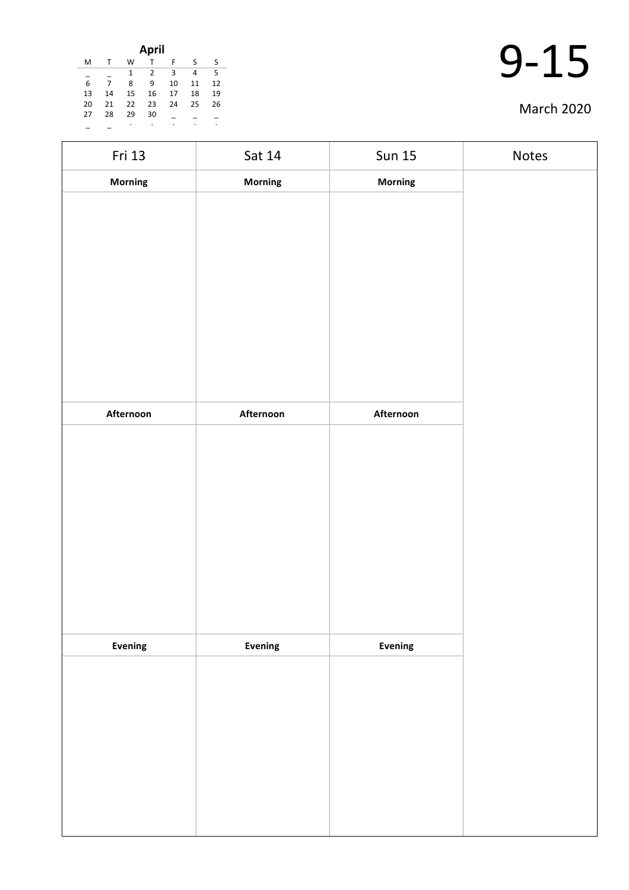| April |    |    |                |    |    |    |  |  |  |
|-------|----|----|----------------|----|----|----|--|--|--|
| M     | т  | W  | T              | F  | S  | ς  |  |  |  |
|       |    | 1  | $\overline{2}$ | 3  | 4  | 5  |  |  |  |
| 6     |    | 8  | 9              | 10 | 11 | 12 |  |  |  |
| 13    | 14 | 15 | 16             | 17 | 18 | 19 |  |  |  |
| 20    | 21 | 22 | 23             | 24 | 25 | 26 |  |  |  |
| 27    | 28 | 29 | 30             |    |    |    |  |  |  |
|       |    | ٠  | ٠              | ٠  | ٠  | ٠  |  |  |  |

| Fri 13    | Sat 14    | <b>Sun 15</b> | Notes |
|-----------|-----------|---------------|-------|
| Morning   | Morning   | Morning       |       |
|           |           |               |       |
|           |           |               |       |
|           |           |               |       |
|           |           |               |       |
|           |           |               |       |
|           |           |               |       |
|           |           |               |       |
|           |           |               |       |
|           |           |               |       |
| Afternoon | Afternoon | Afternoon     |       |
|           |           |               |       |
|           |           |               |       |
|           |           |               |       |
|           |           |               |       |
|           |           |               |       |
|           |           |               |       |
|           |           |               |       |
|           |           |               |       |
|           |           |               |       |
| Evening   | Evening   | Evening       |       |
|           |           |               |       |
|           |           |               |       |
|           |           |               |       |
|           |           |               |       |
|           |           |               |       |
|           |           |               |       |
|           |           |               |       |
|           |           |               |       |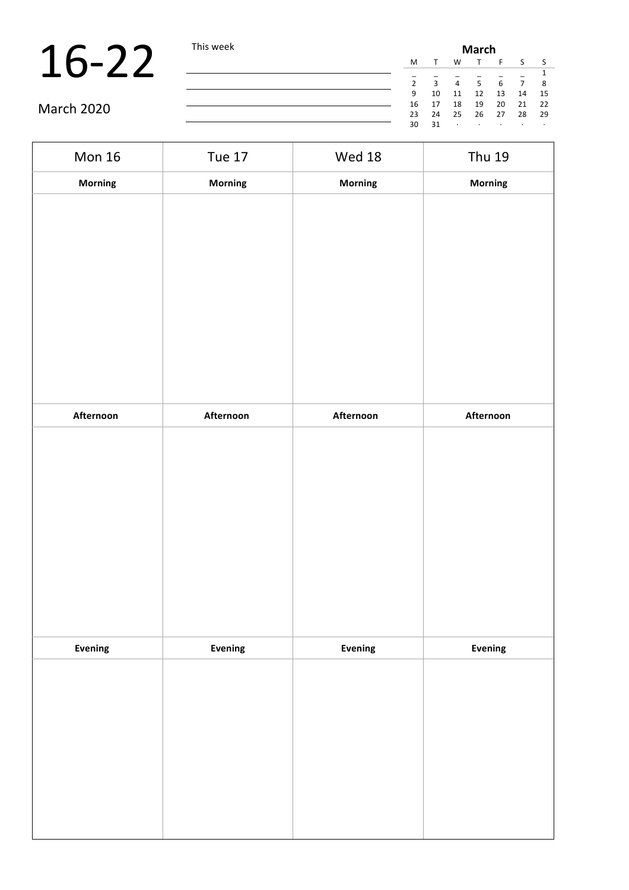|                   | This week |    |              | <b>March</b>   |       |    |    |      |  |  |  |
|-------------------|-----------|----|--------------|----------------|-------|----|----|------|--|--|--|
|                   |           | M  |              | W              |       |    |    |      |  |  |  |
|                   |           |    |              |                |       |    |    |      |  |  |  |
|                   |           |    | $\mathbf{3}$ | $\overline{4}$ | -5    | 6  |    | - 8  |  |  |  |
|                   |           | 9  | 10           | 11             | 12    | 13 | 14 | - 15 |  |  |  |
|                   |           | 16 | 17           | 18             | 19    | 20 | 21 | - 22 |  |  |  |
| <b>March 2020</b> |           | 23 | 24           | 25             | 26 27 |    | 28 | - 29 |  |  |  |
|                   |           | 30 | 31           | $\cdot$        |       |    |    |      |  |  |  |

| <b>Mon 16</b> | <b>Tue 17</b>  | <b>Wed 18</b> | <b>Thu 19</b> |
|---------------|----------------|---------------|---------------|
| Morning       | <b>Morning</b> | Morning       | Morning       |
|               |                |               |               |
|               |                |               |               |
|               |                |               |               |
|               |                |               |               |
|               |                |               |               |
|               |                |               |               |
|               |                |               |               |
|               |                |               |               |
|               |                |               |               |
| Afternoon     | Afternoon      | Afternoon     | Afternoon     |
|               |                |               |               |
|               |                |               |               |
|               |                |               |               |
|               |                |               |               |
|               |                |               |               |
|               |                |               |               |
|               |                |               |               |
|               |                |               |               |
| Evening       | Evening        | Evening       | Evening       |
|               |                |               |               |
|               |                |               |               |
|               |                |               |               |
|               |                |               |               |
|               |                |               |               |
|               |                |               |               |
|               |                |               |               |
|               |                |               |               |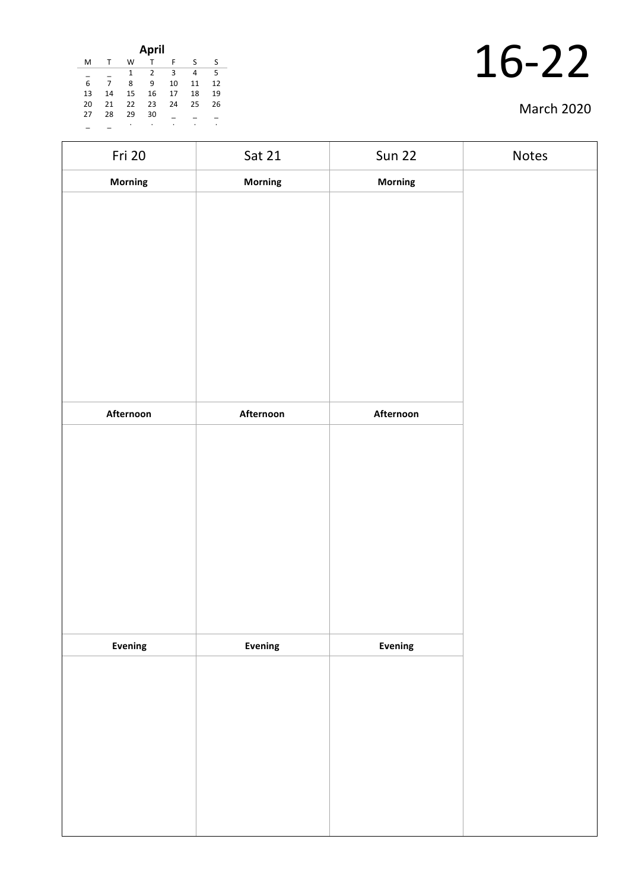| April |    |              |    |    |    |    |  |  |  |
|-------|----|--------------|----|----|----|----|--|--|--|
| M     |    | W            |    | F  | S  | S  |  |  |  |
|       |    | $\mathbf{1}$ | 2  | 3  | 4  | 5  |  |  |  |
| 6     |    | 8            | 9  | 10 | 11 | 12 |  |  |  |
| 13    | 14 | 15           | 16 | 17 | 18 | 19 |  |  |  |
| 20    | 21 | 22           | 23 | 24 | 25 | 26 |  |  |  |
| 27    | 28 | 29           | 30 |    |    |    |  |  |  |
|       |    | ٠            |    | ٠  | ٠  | ٠  |  |  |  |

| Fri 20    | Sat 21    | <b>Sun 22</b>  | Notes |
|-----------|-----------|----------------|-------|
| Morning   | Morning   | Morning        |       |
|           |           |                |       |
|           |           |                |       |
|           |           |                |       |
|           |           |                |       |
|           |           |                |       |
|           |           |                |       |
|           |           |                |       |
|           |           |                |       |
|           |           |                |       |
| Afternoon | Afternoon | Afternoon      |       |
|           |           |                |       |
|           |           |                |       |
|           |           |                |       |
|           |           |                |       |
|           |           |                |       |
|           |           |                |       |
|           |           |                |       |
|           |           |                |       |
|           |           |                |       |
| Evening   | Evening   | <b>Evening</b> |       |
|           |           |                |       |
|           |           |                |       |
|           |           |                |       |
|           |           |                |       |
|           |           |                |       |
|           |           |                |       |
|           |           |                |       |
|           |           |                |       |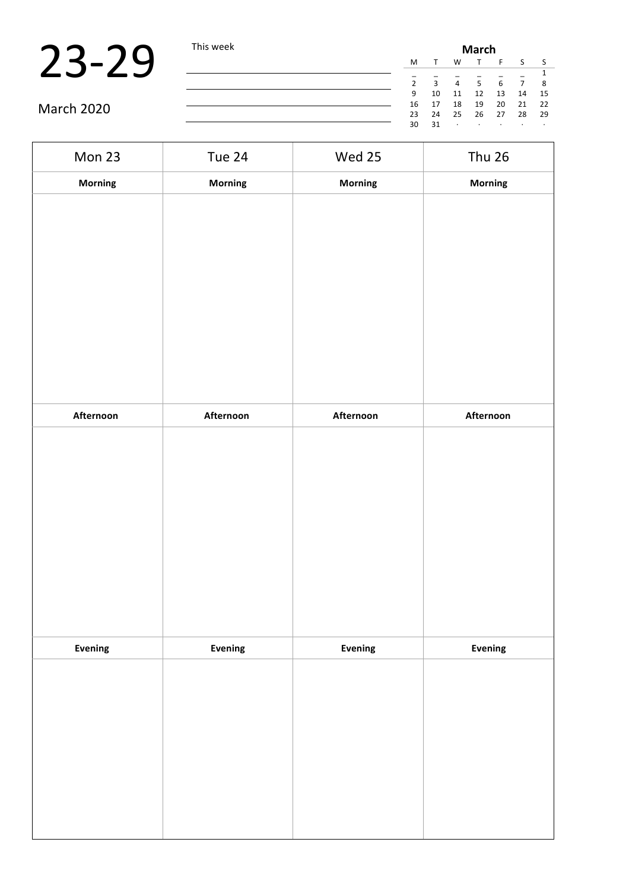|            | This week | <b>March</b> |    |         |         |         |         |      |  |  |
|------------|-----------|--------------|----|---------|---------|---------|---------|------|--|--|
|            |           | M            |    | W       |         |         |         |      |  |  |
|            |           |              |    |         |         |         |         |      |  |  |
|            |           |              | 3  | 4       | 5       |         |         | 8    |  |  |
|            |           | 9            | 10 | 11      | 12      | 13      | 14      | 15   |  |  |
| March 2020 |           | 16           | 17 | 18      | 19      | 20      | 21      | 22   |  |  |
|            |           | 23           | 24 | 25      | 26      | 27      | 28      | - 29 |  |  |
|            |           | 30           | 31 | $\cdot$ | $\cdot$ | $\cdot$ | $\cdot$ |      |  |  |

| Mon 23    | Tue 24         | Wed 25    | <b>Thu 26</b> |
|-----------|----------------|-----------|---------------|
| Morning   | Morning        | Morning   | Morning       |
|           |                |           |               |
|           |                |           |               |
|           |                |           |               |
|           |                |           |               |
|           |                |           |               |
|           |                |           |               |
|           |                |           |               |
|           |                |           |               |
| Afternoon | Afternoon      | Afternoon | Afternoon     |
|           |                |           |               |
|           |                |           |               |
|           |                |           |               |
|           |                |           |               |
|           |                |           |               |
|           |                |           |               |
|           |                |           |               |
|           |                |           |               |
| Evening   | <b>Evening</b> | Evening   | Evening       |
|           |                |           |               |
|           |                |           |               |
|           |                |           |               |
|           |                |           |               |
|           |                |           |               |
|           |                |           |               |
|           |                |           |               |
|           |                |           |               |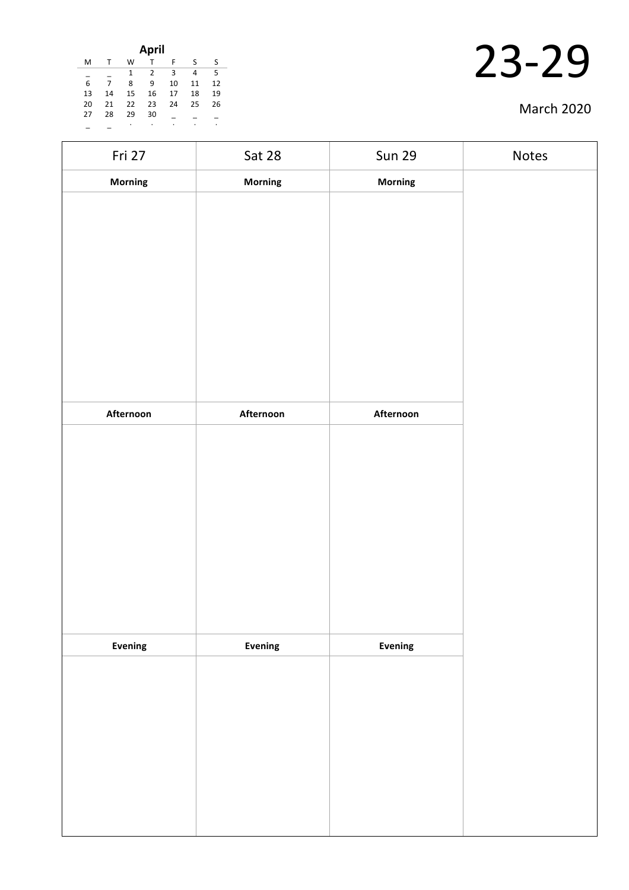| April |    |    |    |    |    |    |  |  |
|-------|----|----|----|----|----|----|--|--|
| M     | т  | W  |    | F  | S  | S  |  |  |
|       |    | 1  | 2  | 3  | 4  | 5  |  |  |
| 6     | 7  | 8  | 9  | 10 | 11 | 12 |  |  |
| 13    | 14 | 15 | 16 | 17 | 18 | 19 |  |  |
| 20    | 21 | 22 | 23 | 24 | 25 | 26 |  |  |
| 27    | 28 | 29 | 30 |    |    |    |  |  |
|       |    | ٠  | ٠  | ٠  | ٠  | ٠  |  |  |

| Fri 27    | Sat 28    | <b>Sun 29</b> | Notes |
|-----------|-----------|---------------|-------|
| Morning   | Morning   | Morning       |       |
|           |           |               |       |
|           |           |               |       |
|           |           |               |       |
|           |           |               |       |
|           |           |               |       |
|           |           |               |       |
|           |           |               |       |
|           |           |               |       |
|           |           |               |       |
| Afternoon | Afternoon | Afternoon     |       |
|           |           |               |       |
|           |           |               |       |
|           |           |               |       |
|           |           |               |       |
|           |           |               |       |
|           |           |               |       |
|           |           |               |       |
|           |           |               |       |
|           |           |               |       |
| Evening   | Evening   | Evening       |       |
|           |           |               |       |
|           |           |               |       |
|           |           |               |       |
|           |           |               |       |
|           |           |               |       |
|           |           |               |       |
|           |           |               |       |
|           |           |               |       |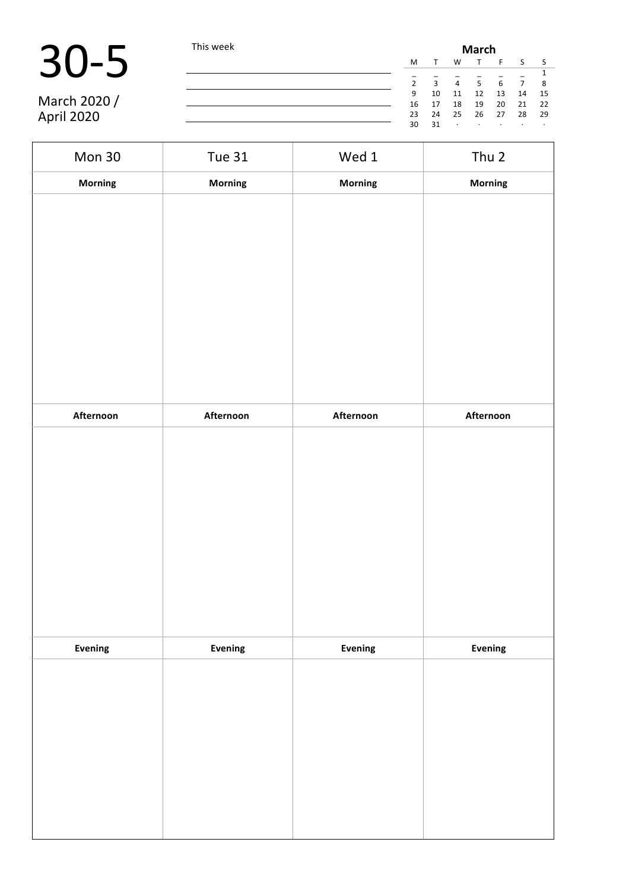$\blacksquare$ 

|              | This week |               | <b>March</b> |                |     |    |                |      |  |  |  |
|--------------|-----------|---------------|--------------|----------------|-----|----|----------------|------|--|--|--|
|              |           | M             |              | w              |     |    |                |      |  |  |  |
|              |           | $\mathcal{L}$ | $\mathbf{R}$ | $\overline{4}$ | 5   | 6  | $\overline{7}$ | 8    |  |  |  |
|              |           | 9             | 10           | 11             | 12  | 13 | 14             | 15   |  |  |  |
| March 2020 / |           | 16            | 17           | 18             | 19  | 20 | 21             | 22   |  |  |  |
| April 2020   |           | 23            | 24           | 25             | -26 | 27 | 28             | - 29 |  |  |  |
|              |           | 30            | 31           |                |     |    | $\sim$         |      |  |  |  |

7

| Mon 30    | <b>Tue 31</b>  | Wed 1     | Thu 2     |
|-----------|----------------|-----------|-----------|
| Morning   | <b>Morning</b> | Morning   | Morning   |
|           |                |           |           |
|           |                |           |           |
|           |                |           |           |
|           |                |           |           |
|           |                |           |           |
|           |                |           |           |
|           |                |           |           |
|           |                |           |           |
|           |                |           |           |
| Afternoon | Afternoon      | Afternoon | Afternoon |
|           |                |           |           |
|           |                |           |           |
|           |                |           |           |
|           |                |           |           |
|           |                |           |           |
|           |                |           |           |
|           |                |           |           |
|           |                |           |           |
|           |                |           |           |
| Evening   | Evening        | Evening   | Evening   |
|           |                |           |           |
|           |                |           |           |
|           |                |           |           |
|           |                |           |           |
|           |                |           |           |
|           |                |           |           |
|           |                |           |           |
|           |                |           |           |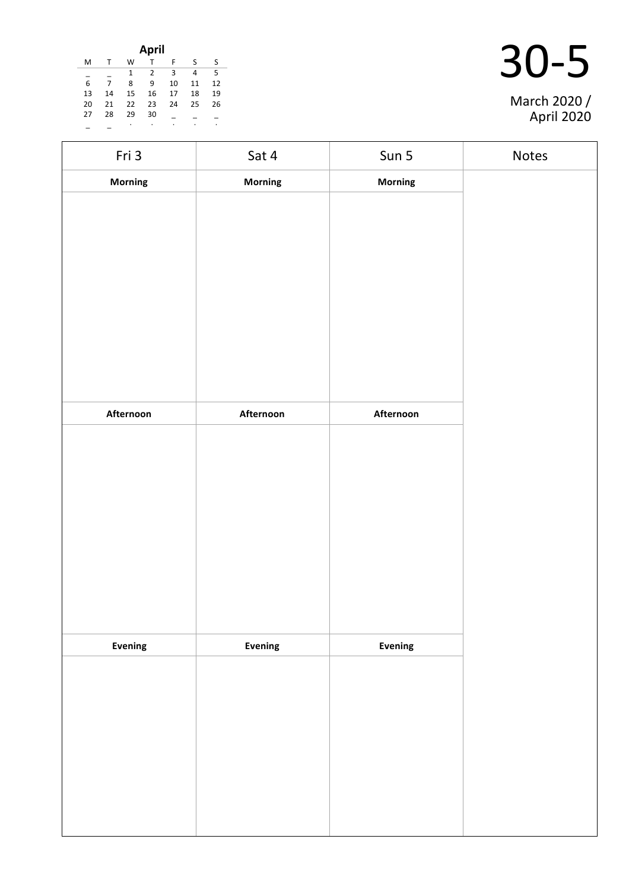|    |              |    | April        |     |    |    |
|----|--------------|----|--------------|-----|----|----|
| м  | $\mathsf{T}$ | W  | $\mathsf{T}$ | F   | -S | S. |
|    |              | 1  | 2            | - 3 | 4  | -5 |
| 6  | 7            | 8  | 9            | 10  | 11 | 12 |
| 13 | 14           | 15 | 16           | 17  | 18 | 19 |
| 20 | 21           | 22 | 23           | 24  | 25 | 26 |
| 27 | 28           | 29 | 30           |     |    |    |
|    |              | ٠  | ٠            | ٠   | ٠  | ٠  |

| March 2020 /<br>April 2020 |
|----------------------------|

| Fri 3     | Sat 4     | Sun 5          | Notes |
|-----------|-----------|----------------|-------|
| Morning   | Morning   | <b>Morning</b> |       |
|           |           |                |       |
|           |           |                |       |
|           |           |                |       |
|           |           |                |       |
|           |           |                |       |
|           |           |                |       |
|           |           |                |       |
|           |           |                |       |
|           |           |                |       |
| Afternoon | Afternoon | Afternoon      |       |
|           |           |                |       |
|           |           |                |       |
|           |           |                |       |
|           |           |                |       |
|           |           |                |       |
|           |           |                |       |
|           |           |                |       |
|           |           |                |       |
| Evening   | Evening   | Evening        |       |
|           |           |                |       |
|           |           |                |       |
|           |           |                |       |
|           |           |                |       |
|           |           |                |       |
|           |           |                |       |
|           |           |                |       |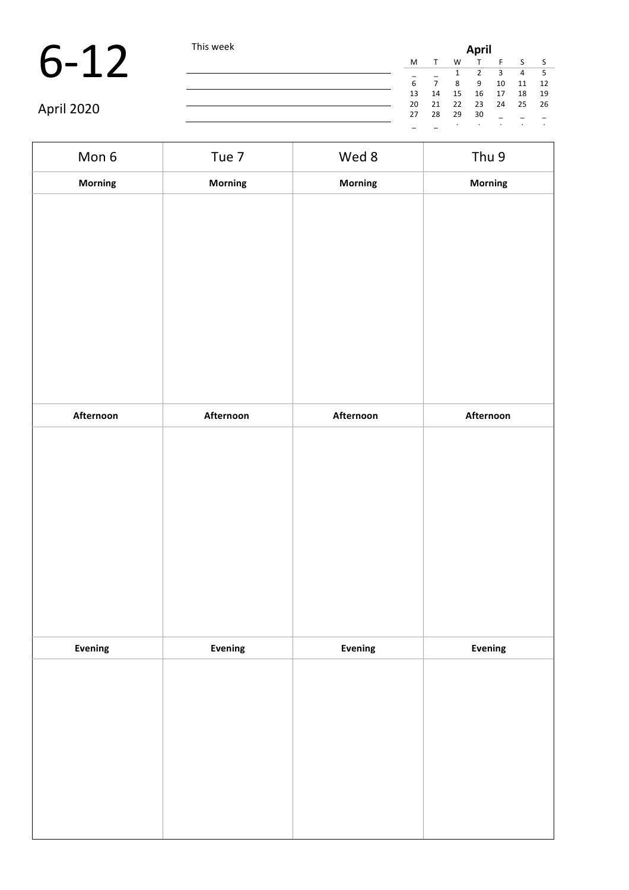|            | This week |    | <b>April</b> |    |    |    |    |      |  |  |
|------------|-----------|----|--------------|----|----|----|----|------|--|--|
|            |           | M  |              | W  |    |    |    |      |  |  |
|            |           |    |              |    |    | З  | 4  |      |  |  |
|            |           | 6  |              | 8  | 9  | 10 | 11 | 12   |  |  |
|            |           | 13 | 14           | 15 | 16 | 17 | 18 | - 19 |  |  |
|            |           | 20 | 21           | 22 | 23 | 24 | 25 | 26   |  |  |
| April 2020 |           | 27 | 28           | 29 | 30 |    |    |      |  |  |
|            |           |    |              |    |    |    |    |      |  |  |

| Mon 6          | Tue 7     | Wed 8     | Thu 9          |
|----------------|-----------|-----------|----------------|
| Morning        | Morning   | Morning   | Morning        |
|                |           |           |                |
|                |           |           |                |
|                |           |           |                |
|                |           |           |                |
|                |           |           |                |
|                |           |           |                |
|                |           |           |                |
|                |           |           |                |
| Afternoon      | Afternoon | Afternoon | Afternoon      |
|                |           |           |                |
|                |           |           |                |
|                |           |           |                |
|                |           |           |                |
|                |           |           |                |
|                |           |           |                |
|                |           |           |                |
|                |           |           |                |
| <b>Evening</b> | Evening   | Evening   | <b>Evening</b> |
|                |           |           |                |
|                |           |           |                |
|                |           |           |                |
|                |           |           |                |
|                |           |           |                |
|                |           |           |                |
|                |           |           |                |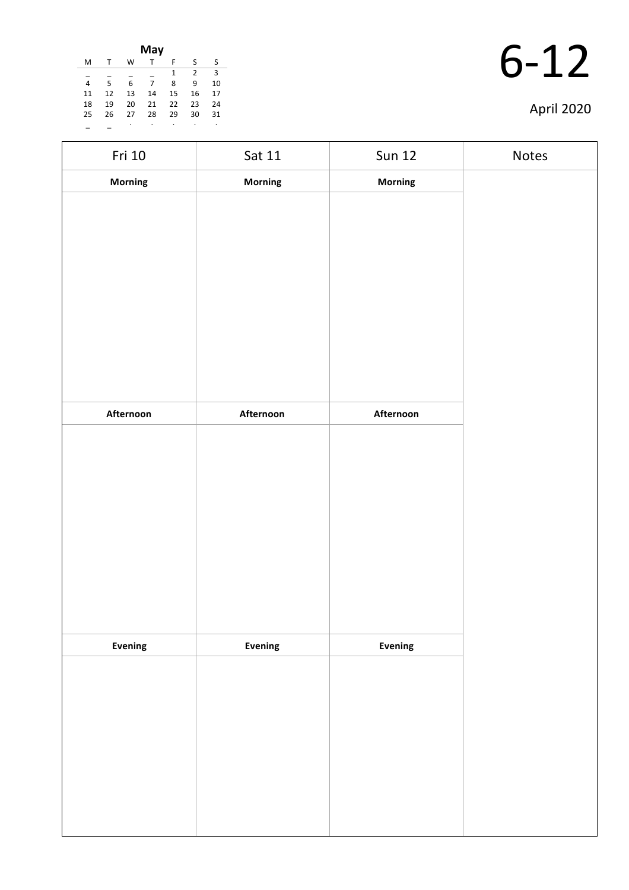|    |              |    | May |    |                |    |
|----|--------------|----|-----|----|----------------|----|
| M  | $\mathsf{T}$ | W  | т   | F  | S              | ς  |
|    |              |    |     | 1  | $\overline{2}$ | 3  |
| 4  | 5            | 6  | 7   | 8  | 9              | 10 |
| 11 | 12           | 13 | 14  | 15 | 16             | 17 |
| 18 | 19           | 20 | 21  | 22 | 23             | 24 |
| 25 | 26           | 27 | 28  | 29 | 30             | 31 |
|    |              | ٠  | ٠   |    | ٠              | ٠  |

| Fri 10    | Sat 11    | <b>Sun 12</b> | Notes |
|-----------|-----------|---------------|-------|
| Morning   | Morning   | Morning       |       |
|           |           |               |       |
|           |           |               |       |
|           |           |               |       |
|           |           |               |       |
|           |           |               |       |
|           |           |               |       |
|           |           |               |       |
|           |           |               |       |
| Afternoon | Afternoon | Afternoon     |       |
|           |           |               |       |
|           |           |               |       |
|           |           |               |       |
|           |           |               |       |
|           |           |               |       |
|           |           |               |       |
|           |           |               |       |
|           |           |               |       |
| Evening   | Evening   | Evening       |       |
|           |           |               |       |
|           |           |               |       |
|           |           |               |       |
|           |           |               |       |
|           |           |               |       |
|           |           |               |       |
|           |           |               |       |
|           |           |               |       |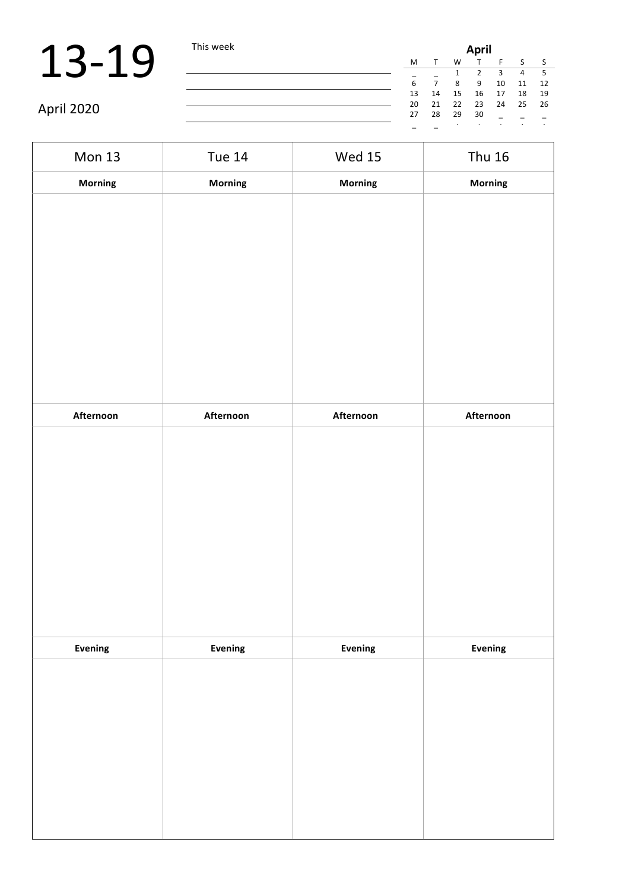|            | This week | <b>April</b> |    |         |         |    |    |     |  |
|------------|-----------|--------------|----|---------|---------|----|----|-----|--|
|            |           | M            |    | W       |         |    |    |     |  |
|            |           |              |    |         |         |    | 4  |     |  |
|            |           |              |    |         | 9       | 10 | 11 | 12  |  |
|            |           | 13           | 14 | 15      | 16      | 17 | 18 | 19  |  |
|            |           | 20           | 21 | 22      | 23      | 24 | 25 | -26 |  |
| April 2020 |           | 27           | 28 | 29      | 30      |    |    |     |  |
|            |           |              |    | $\cdot$ | $\cdot$ |    |    |     |  |

| <b>Mon 13</b> | <b>Tue 14</b> | <b>Wed 15</b> | <b>Thu 16</b> |
|---------------|---------------|---------------|---------------|
| Morning       | Morning       | Morning       | Morning       |
|               |               |               |               |
| Afternoon     | Afternoon     | Afternoon     | Afternoon     |
|               |               |               |               |
| Evening       | Evening       | Evening       | Evening       |
|               |               |               |               |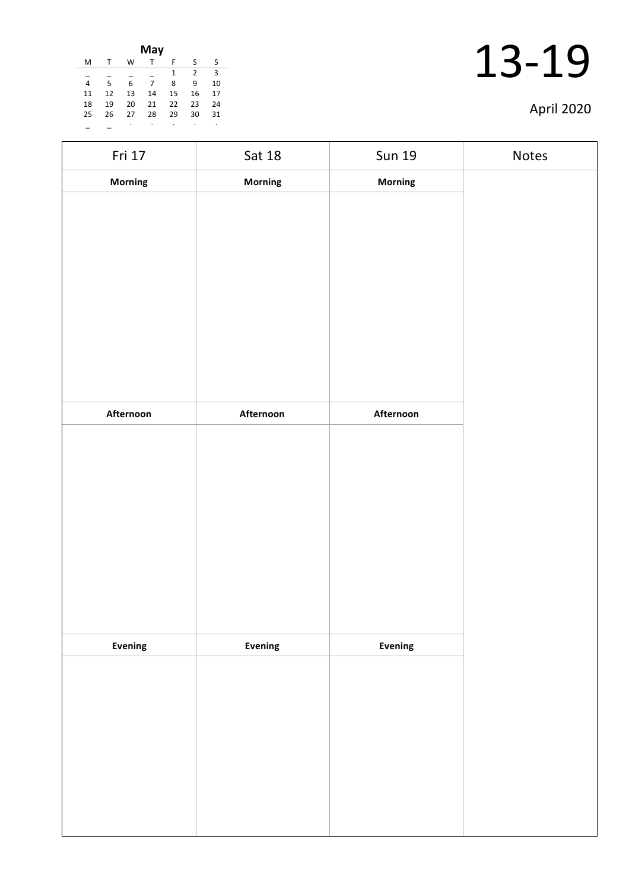|    |    |    | May |    |                |    |
|----|----|----|-----|----|----------------|----|
| M  |    | W  | т   | F  | ς              | S  |
|    |    |    |     | 1  | $\overline{2}$ | 3  |
| 4  | 5  | 6  | 7   | 8  | 9              | 10 |
| 11 | 12 | 13 | 14  | 15 | 16             | 17 |
| 18 | 19 | 20 | 21  | 22 | 23             | 24 |
| 25 | 26 | 27 | 28  | 29 | 30             | 31 |
|    |    |    | ۰   | ٠  |                | ۰  |

| Fri 17    | Sat 18         | <b>Sun 19</b>  | Notes |
|-----------|----------------|----------------|-------|
| Morning   | Morning        | Morning        |       |
|           |                |                |       |
|           |                |                |       |
|           |                |                |       |
|           |                |                |       |
|           |                |                |       |
|           |                |                |       |
|           |                |                |       |
|           |                |                |       |
|           |                |                |       |
| Afternoon | Afternoon      | Afternoon      |       |
|           |                |                |       |
|           |                |                |       |
|           |                |                |       |
|           |                |                |       |
|           |                |                |       |
|           |                |                |       |
|           |                |                |       |
|           |                |                |       |
| Evening   | <b>Evening</b> | <b>Evening</b> |       |
|           |                |                |       |
|           |                |                |       |
|           |                |                |       |
|           |                |                |       |
|           |                |                |       |
|           |                |                |       |
|           |                |                |       |
|           |                |                |       |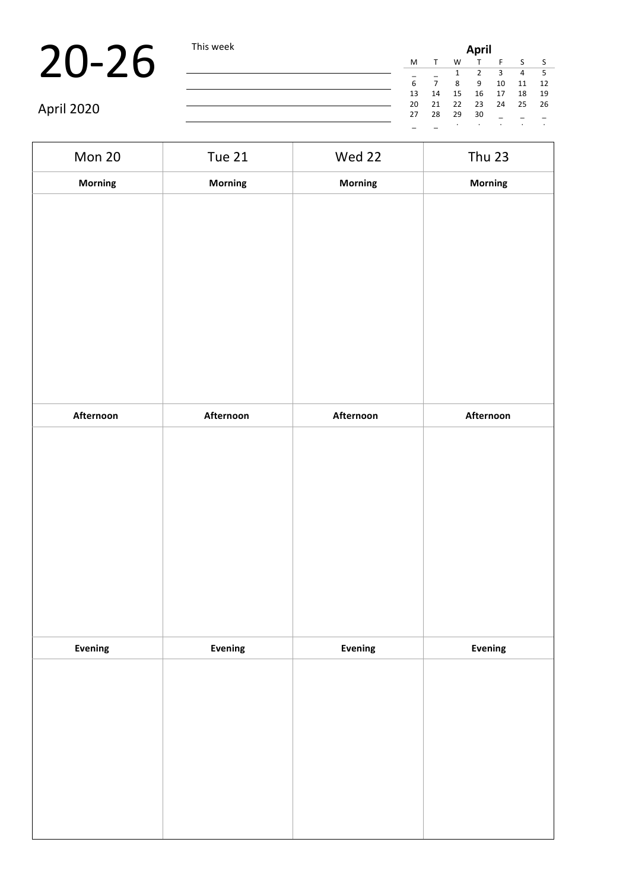|            | This week |    |    |         |           |    | <b>April</b> |    |  |  |  |  |  |  |  |
|------------|-----------|----|----|---------|-----------|----|--------------|----|--|--|--|--|--|--|--|
|            |           | M  |    | W       | $\mathbf$ |    |              |    |  |  |  |  |  |  |  |
|            |           |    |    |         |           | 3  | 4            |    |  |  |  |  |  |  |  |
|            |           | 6  |    | 8       | 9         | 10 | 11           | 12 |  |  |  |  |  |  |  |
|            |           | 13 | 14 | 15      | 16        | 17 | 18           | 19 |  |  |  |  |  |  |  |
|            |           | 20 | 21 | 22      | 23        | 24 | 25           | 26 |  |  |  |  |  |  |  |
| April 2020 |           | 27 | 28 | 29      | 30        |    |              |    |  |  |  |  |  |  |  |
|            |           |    |    | $\cdot$ |           |    |              |    |  |  |  |  |  |  |  |

| Mon 20    | Tue 21    | Wed 22    | <b>Thu 23</b> |
|-----------|-----------|-----------|---------------|
| Morning   | Morning   | Morning   | Morning       |
|           |           |           |               |
|           |           |           |               |
|           |           |           |               |
|           |           |           |               |
|           |           |           |               |
|           |           |           |               |
|           |           |           |               |
|           |           |           |               |
|           |           |           |               |
| Afternoon | Afternoon | Afternoon | Afternoon     |
|           |           |           |               |
|           |           |           |               |
|           |           |           |               |
|           |           |           |               |
|           |           |           |               |
|           |           |           |               |
|           |           |           |               |
|           |           |           |               |
|           |           |           |               |
| Evening   | Evening   | Evening   | Evening       |
|           |           |           |               |
|           |           |           |               |
|           |           |           |               |
|           |           |           |               |
|           |           |           |               |
|           |           |           |               |
|           |           |           |               |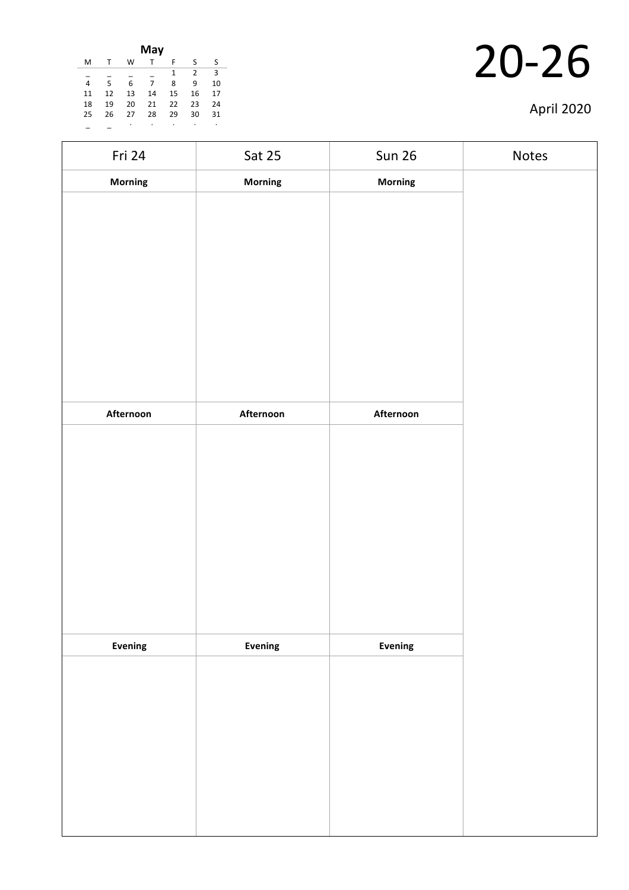|    |    |    | May |    |               |    |
|----|----|----|-----|----|---------------|----|
| M  | т  | W  |     | F  | S             | S  |
|    |    |    |     | 1  | $\mathcal{P}$ | 3  |
| 4  | 5  | 6  | 7   | 8  | 9             | 10 |
| 11 | 12 | 13 | 14  | 15 | 16            | 17 |
| 18 | 19 | 20 | 21  | 22 | 23            | 24 |
| 25 | 26 | 27 | 28  | 29 | 30            | 31 |
|    |    | ٠  |     |    |               | ۰  |

| Fri 24    | <b>Sat 25</b> | <b>Sun 26</b>  | Notes |
|-----------|---------------|----------------|-------|
| Morning   | Morning       | Morning        |       |
|           |               |                |       |
|           |               |                |       |
|           |               |                |       |
|           |               |                |       |
|           |               |                |       |
|           |               |                |       |
|           |               |                |       |
|           |               |                |       |
|           |               |                |       |
| Afternoon | Afternoon     | Afternoon      |       |
|           |               |                |       |
|           |               |                |       |
|           |               |                |       |
|           |               |                |       |
|           |               |                |       |
|           |               |                |       |
|           |               |                |       |
|           |               |                |       |
|           |               |                |       |
| Evening   | Evening       | <b>Evening</b> |       |
|           |               |                |       |
|           |               |                |       |
|           |               |                |       |
|           |               |                |       |
|           |               |                |       |
|           |               |                |       |
|           |               |                |       |
|           |               |                |       |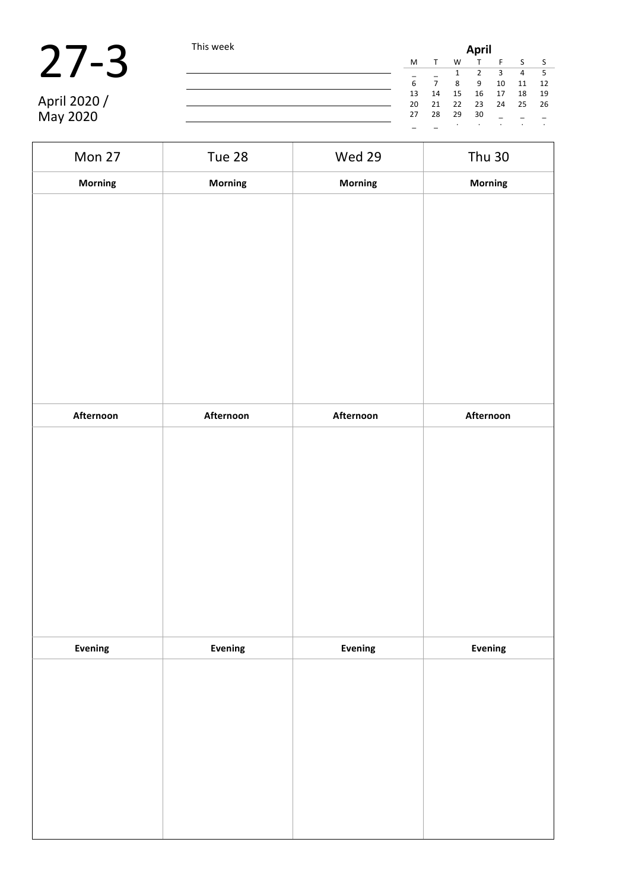| $\boldsymbol{I}$ |
|------------------|
|------------------|

April 2020 / May 2020

**27-3** This week **April** M T W T F S S  $\frac{1}{6}$   $\frac{1}{7}$   $\frac{2}{8}$   $\frac{3}{9}$   $\frac{4}{10}$   $\frac{5}{11}$   $\frac{2}{12}$ 6 7 8 9 10 11 12 13 14 15 16 17 18 19 20 21 22 23 24 25 26  $13$   $14$   $15$   $16$   $17$   $18$   $19$ <br>  $20$   $21$   $22$   $23$   $24$   $25$   $26$ <br>  $27$   $28$   $29$   $30$   $-$ \_ \_ · · · · ·

| Mon 27         | Tue 28    | Wed 29    | <b>Thu 30</b> |
|----------------|-----------|-----------|---------------|
| Morning        | Morning   | Morning   | Morning       |
|                |           |           |               |
|                |           |           |               |
|                |           |           |               |
|                |           |           |               |
|                |           |           |               |
|                |           |           |               |
|                |           |           |               |
|                |           |           |               |
|                |           |           |               |
|                |           |           |               |
| Afternoon      | Afternoon | Afternoon | Afternoon     |
|                |           |           |               |
|                |           |           |               |
|                |           |           |               |
|                |           |           |               |
|                |           |           |               |
|                |           |           |               |
|                |           |           |               |
|                |           |           |               |
|                |           |           |               |
| <b>Evening</b> | Evening   | Evening   | Evening       |
|                |           |           |               |
|                |           |           |               |
|                |           |           |               |
|                |           |           |               |
|                |           |           |               |
|                |           |           |               |
|                |           |           |               |
|                |           |           |               |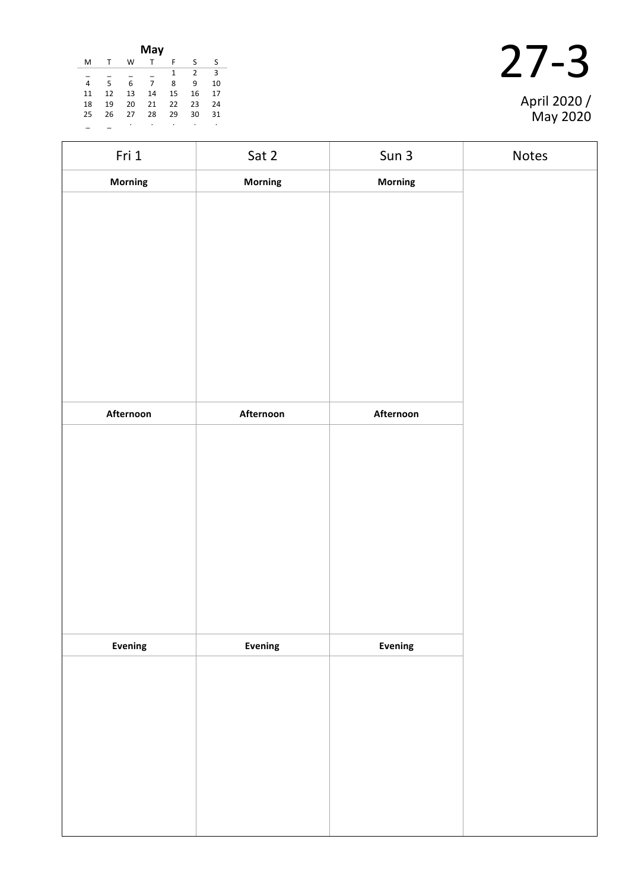|    |    |    | May          |    |    |    |
|----|----|----|--------------|----|----|----|
| M  | т  | W  | $\mathsf{T}$ | F. | -S | -S |
|    |    |    |              | 1  | 2  | 3  |
| 4  | 5  | 6  | 7            | 8  | -9 | 10 |
| 11 | 12 | 13 | 14           | 15 | 16 | 17 |
| 18 | 19 | 20 | 21           | 22 | 23 | 24 |
| 25 | 26 | 27 | 28           | 29 | 30 | 31 |
|    |    | ٠  | ٠            | ٠  | ٠  | ٠  |

|  | April 2020 /<br>May 2020 |
|--|--------------------------|

| Fri 1     | Sat 2     | Sun 3          | Notes |
|-----------|-----------|----------------|-------|
| Morning   | Morning   | <b>Morning</b> |       |
|           |           |                |       |
|           |           |                |       |
|           |           |                |       |
|           |           |                |       |
|           |           |                |       |
|           |           |                |       |
|           |           |                |       |
|           |           |                |       |
| Afternoon | Afternoon | Afternoon      |       |
|           |           |                |       |
|           |           |                |       |
|           |           |                |       |
|           |           |                |       |
|           |           |                |       |
|           |           |                |       |
|           |           |                |       |
|           |           |                |       |
|           |           |                |       |
| Evening   | Evening   | Evening        |       |
|           |           |                |       |
|           |           |                |       |
|           |           |                |       |
|           |           |                |       |
|           |           |                |       |
|           |           |                |       |
|           |           |                |       |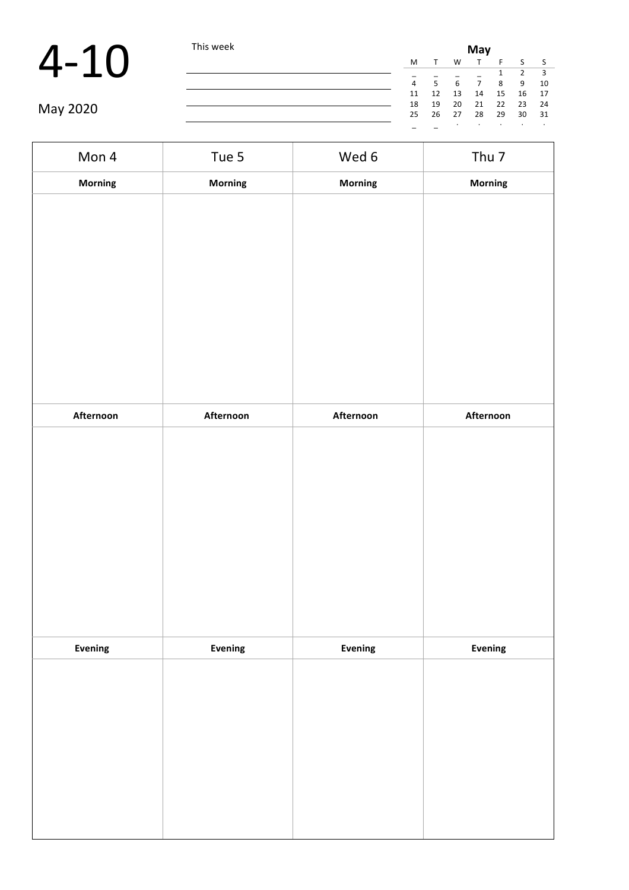|          | This week | May |    |    |    |    |    |      |  |
|----------|-----------|-----|----|----|----|----|----|------|--|
|          |           | M   |    | W  |    |    |    |      |  |
|          |           | -   |    |    |    |    |    |      |  |
|          |           | 4   |    | 6  |    | Ջ  | 9  | 10   |  |
|          |           | 11  | 12 | 13 | 14 | 15 | 16 | - 17 |  |
|          |           | 18  | 19 | 20 | 21 | 22 | 23 | -24  |  |
| May 2020 |           | 25  | 26 | 27 | 28 | 29 | 30 | - 31 |  |
|          |           |     |    |    |    |    |    |      |  |

| Mon 4     | Tue 5     | Wed 6     | Thu <sub>7</sub> |
|-----------|-----------|-----------|------------------|
| Morning   | Morning   | Morning   | Morning          |
|           |           |           |                  |
|           |           |           |                  |
|           |           |           |                  |
|           |           |           |                  |
|           |           |           |                  |
|           |           |           |                  |
|           |           |           |                  |
|           |           |           |                  |
|           |           |           |                  |
| Afternoon | Afternoon | Afternoon | Afternoon        |
|           |           |           |                  |
|           |           |           |                  |
|           |           |           |                  |
|           |           |           |                  |
|           |           |           |                  |
|           |           |           |                  |
|           |           |           |                  |
|           |           |           |                  |
| Evening   | Evening   | Evening   | Evening          |
|           |           |           |                  |
|           |           |           |                  |
|           |           |           |                  |
|           |           |           |                  |
|           |           |           |                  |
|           |           |           |                  |
|           |           |           |                  |
|           |           |           |                  |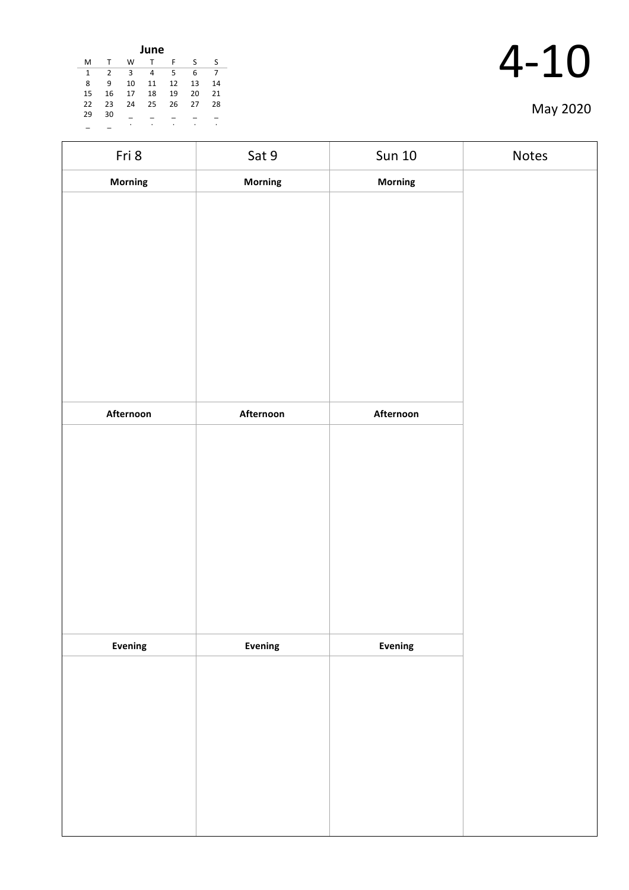| June |    |    |    |    |    |    |  |  |  |  |
|------|----|----|----|----|----|----|--|--|--|--|
| M    | т  | w  | T  | F  | ς  | ς  |  |  |  |  |
| 1    | 2  | 3  | 4  | 5  | 6  | 7  |  |  |  |  |
| 8    | 9  | 10 | 11 | 12 | 13 | 14 |  |  |  |  |
| 15   | 16 | 17 | 18 | 19 | 20 | 21 |  |  |  |  |
| 22   | 23 | 24 | 25 | 26 | 27 | 28 |  |  |  |  |
| 29   | 30 |    |    |    |    |    |  |  |  |  |
|      |    | ٠  | ٠  | ٠  | ٠  | ٠  |  |  |  |  |

| Fri 8     | Sat 9          | <b>Sun 10</b> | Notes |
|-----------|----------------|---------------|-------|
| Morning   | <b>Morning</b> | Morning       |       |
|           |                |               |       |
|           |                |               |       |
|           |                |               |       |
|           |                |               |       |
|           |                |               |       |
|           |                |               |       |
|           |                |               |       |
|           |                |               |       |
|           |                |               |       |
| Afternoon | Afternoon      | Afternoon     |       |
|           |                |               |       |
|           |                |               |       |
|           |                |               |       |
|           |                |               |       |
|           |                |               |       |
|           |                |               |       |
|           |                |               |       |
|           |                |               |       |
|           |                |               |       |
| Evening   | Evening        | Evening       |       |
|           |                |               |       |
|           |                |               |       |
|           |                |               |       |
|           |                |               |       |
|           |                |               |       |
|           |                |               |       |
|           |                |               |       |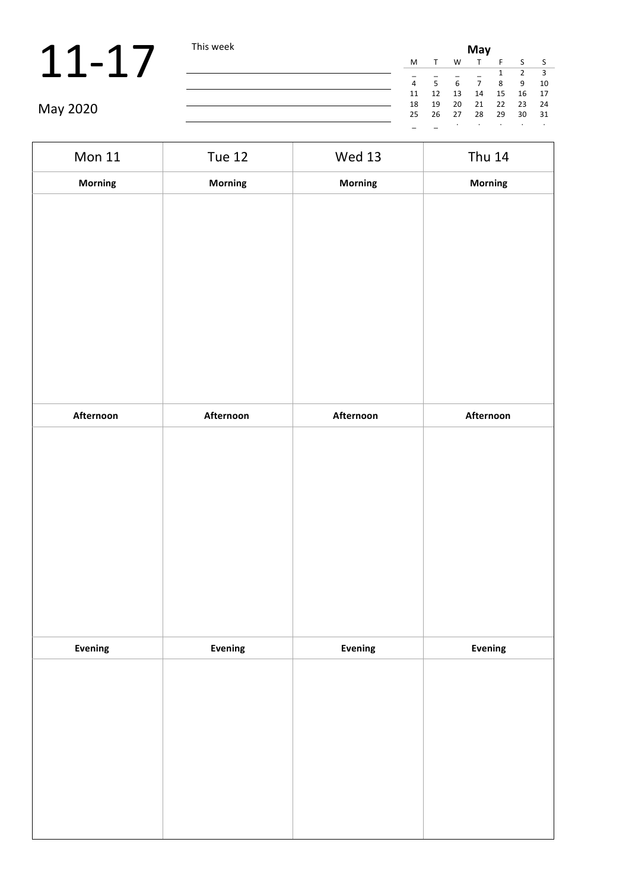|          | This week | May |    |    |    |    |    |      |  |
|----------|-----------|-----|----|----|----|----|----|------|--|
|          |           | M   |    | W  |    |    |    |      |  |
|          |           |     |    |    |    |    |    |      |  |
|          |           |     |    | ĥ  |    | 8  | 9  | 10   |  |
|          |           | 11  | 12 | 13 | 14 | 15 | 16 | 17   |  |
|          |           | 18  | 19 | 20 | 21 | 22 | 23 | -24  |  |
| May 2020 |           | 25  | 26 | 27 | 28 | 29 | 30 | - 31 |  |
|          |           |     |    |    |    |    |    |      |  |

| <b>Mon 11</b> | <b>Tue 12</b> | <b>Wed 13</b> | <b>Thu 14</b>  |
|---------------|---------------|---------------|----------------|
| Morning       | Morning       | Morning       | Morning        |
|               |               |               |                |
|               |               |               |                |
|               |               |               |                |
|               |               |               |                |
|               |               |               |                |
|               |               |               |                |
|               |               |               |                |
|               |               |               |                |
|               |               |               |                |
| Afternoon     | Afternoon     | Afternoon     | Afternoon      |
|               |               |               |                |
|               |               |               |                |
|               |               |               |                |
|               |               |               |                |
|               |               |               |                |
|               |               |               |                |
|               |               |               |                |
|               |               |               |                |
|               |               |               |                |
| Evening       | Evening       | Evening       | <b>Evening</b> |
|               |               |               |                |
|               |               |               |                |
|               |               |               |                |
|               |               |               |                |
|               |               |               |                |
|               |               |               |                |
|               |               |               |                |
|               |               |               |                |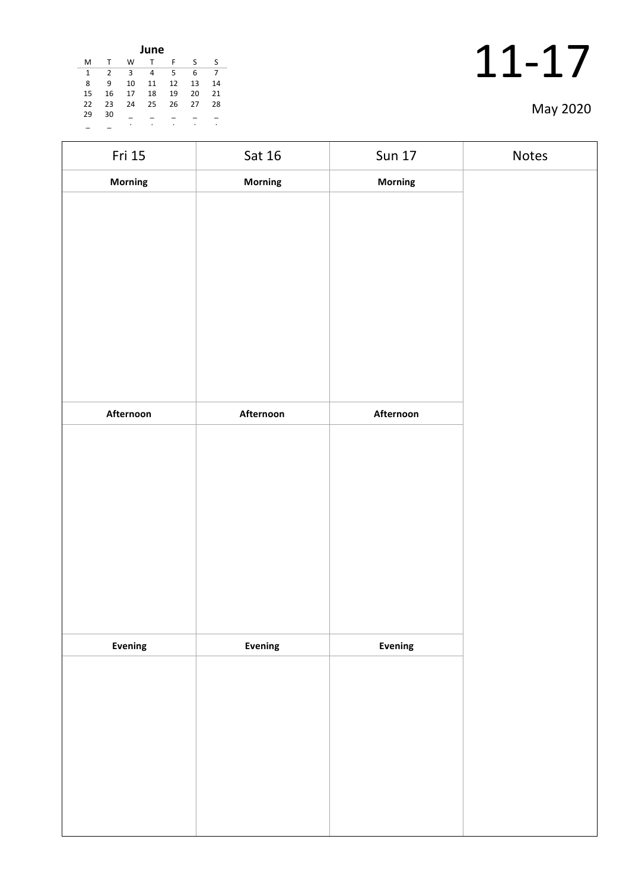| June |    |    |    |    |    |    |  |  |  |  |
|------|----|----|----|----|----|----|--|--|--|--|
| м    |    | W  | т  | F  | S  | S  |  |  |  |  |
| 1    | 2  | 3  | 4  | 5  | 6  |    |  |  |  |  |
| 8    | 9  | 10 | 11 | 12 | 13 | 14 |  |  |  |  |
| 15   | 16 | 17 | 18 | 19 | 20 | 21 |  |  |  |  |
| 22   | 23 | 24 | 25 | 26 | 27 | 28 |  |  |  |  |
| 29   | 30 |    |    |    |    |    |  |  |  |  |
|      |    | ٠  | ٠  | ٠  | ٠  | ٠  |  |  |  |  |

| Fri 15    | Sat 16    | <b>Sun 17</b>  | Notes |
|-----------|-----------|----------------|-------|
| Morning   | Morning   | Morning        |       |
|           |           |                |       |
|           |           |                |       |
|           |           |                |       |
|           |           |                |       |
|           |           |                |       |
|           |           |                |       |
|           |           |                |       |
|           |           |                |       |
|           |           |                |       |
| Afternoon | Afternoon | Afternoon      |       |
|           |           |                |       |
|           |           |                |       |
|           |           |                |       |
|           |           |                |       |
|           |           |                |       |
|           |           |                |       |
|           |           |                |       |
|           |           |                |       |
| Evening   | Evening   | <b>Evening</b> |       |
|           |           |                |       |
|           |           |                |       |
|           |           |                |       |
|           |           |                |       |
|           |           |                |       |
|           |           |                |       |
|           |           |                |       |
|           |           |                |       |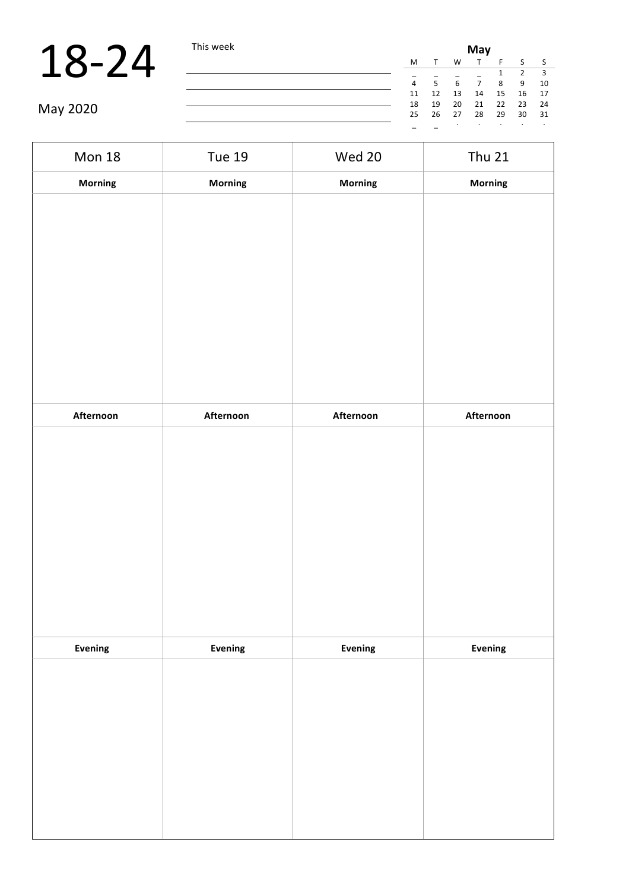|          | This week |                | May |    |    |    |    |                         |  |
|----------|-----------|----------------|-----|----|----|----|----|-------------------------|--|
|          |           | M              |     | W  |    |    |    | - S                     |  |
|          |           |                |     |    |    |    |    | $\overline{\mathbf{3}}$ |  |
|          |           | $\overline{4}$ | 5.  |    |    | 8  | -9 | 10                      |  |
|          |           | 11             | 12  | 13 | 14 | 15 | 16 | 17                      |  |
|          |           | 18             | 19  | 20 | 21 | 22 | 23 | 24                      |  |
| May 2020 |           | 25             | 26  | 27 | 28 | 29 | 30 | 31                      |  |
|          |           |                |     |    |    |    |    | $\cdot$                 |  |

| <b>Mon 18</b> | <b>Tue 19</b> | Wed 20    | <b>Thu 21</b> |
|---------------|---------------|-----------|---------------|
| Morning       | Morning       | Morning   | Morning       |
|               |               |           |               |
|               |               |           |               |
|               |               |           |               |
|               |               |           |               |
|               |               |           |               |
|               |               |           |               |
|               |               |           |               |
|               |               |           |               |
|               |               |           |               |
| Afternoon     | Afternoon     | Afternoon | Afternoon     |
|               |               |           |               |
|               |               |           |               |
|               |               |           |               |
|               |               |           |               |
|               |               |           |               |
|               |               |           |               |
|               |               |           |               |
|               |               |           |               |
| Evening       | Evening       | Evening   | Evening       |
|               |               |           |               |
|               |               |           |               |
|               |               |           |               |
|               |               |           |               |
|               |               |           |               |
|               |               |           |               |
|               |               |           |               |
|               |               |           |               |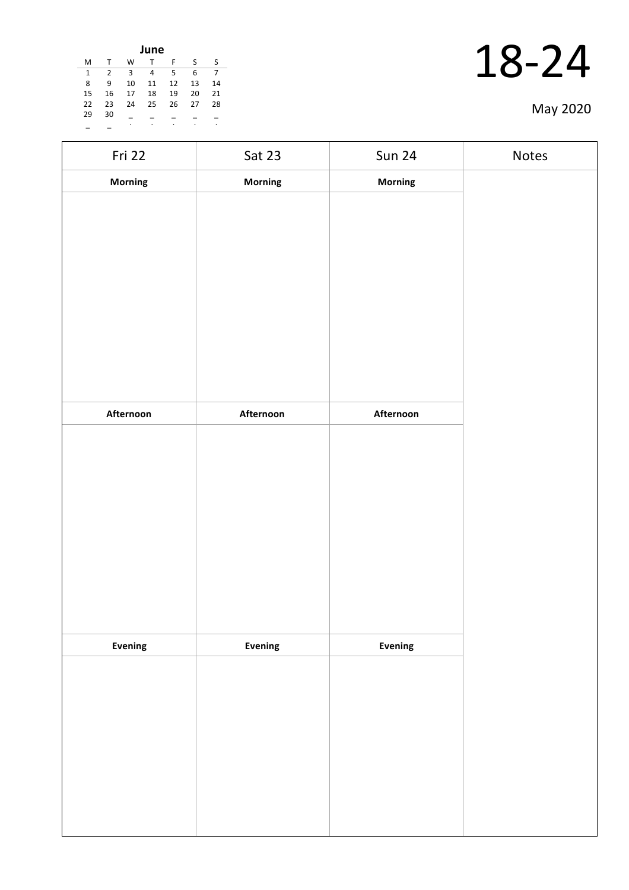| June |    |    |    |    |    |    |  |  |  |  |
|------|----|----|----|----|----|----|--|--|--|--|
| M    | т  | W  | т  | F  | ς  | S  |  |  |  |  |
| 1    | 2  | 3  | 4  | 5  | 6  |    |  |  |  |  |
| 8    | 9  | 10 | 11 | 12 | 13 | 14 |  |  |  |  |
| 15   | 16 | 17 | 18 | 19 | 20 | 21 |  |  |  |  |
| 22   | 23 | 24 | 25 | 26 | 27 | 28 |  |  |  |  |
| 29   | 30 |    |    |    |    |    |  |  |  |  |
|      |    | ٠  | ۰  | ٠  |    | ٠  |  |  |  |  |

| Fri 22    | Sat 23    | <b>Sun 24</b>  | Notes |
|-----------|-----------|----------------|-------|
| Morning   | Morning   | Morning        |       |
|           |           |                |       |
|           |           |                |       |
|           |           |                |       |
|           |           |                |       |
|           |           |                |       |
|           |           |                |       |
|           |           |                |       |
|           |           |                |       |
|           |           |                |       |
| Afternoon | Afternoon | Afternoon      |       |
|           |           |                |       |
|           |           |                |       |
|           |           |                |       |
|           |           |                |       |
|           |           |                |       |
|           |           |                |       |
|           |           |                |       |
|           |           |                |       |
|           |           |                |       |
| Evening   | Evening   | <b>Evening</b> |       |
|           |           |                |       |
|           |           |                |       |
|           |           |                |       |
|           |           |                |       |
|           |           |                |       |
|           |           |                |       |
|           |           |                |       |
|           |           |                |       |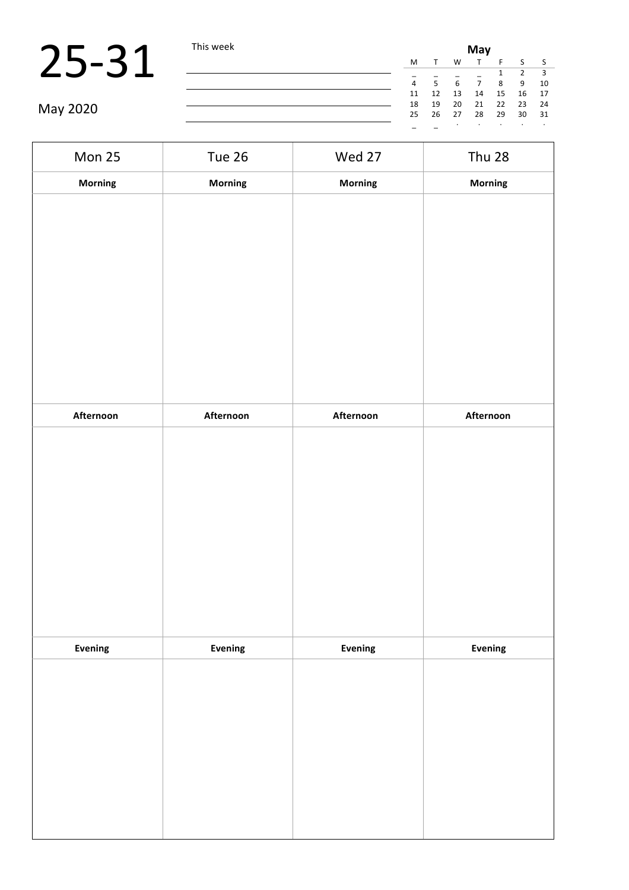|          | This week | May |    |              |    |    |    |      |  |  |
|----------|-----------|-----|----|--------------|----|----|----|------|--|--|
|          |           | M   |    | W            |    |    |    |      |  |  |
|          |           |     |    |              |    |    |    |      |  |  |
|          |           | 4   | К  | $\mathsf{6}$ |    | 8  | 9  | 10   |  |  |
|          |           | 11  | 12 | 13           | 14 | 15 | 16 | 17   |  |  |
| May 2020 |           | 18  | 19 | 20           | 21 | 22 | 23 | - 24 |  |  |
|          |           | 25  | 26 | 27           | 28 | 29 | 30 | 31   |  |  |
|          |           |     |    |              |    |    |    |      |  |  |

| Mon 25         | Tue 26    | Wed 27    | <b>Thu 28</b> |
|----------------|-----------|-----------|---------------|
| Morning        | Morning   | Morning   | Morning       |
|                |           |           |               |
|                |           |           |               |
|                |           |           |               |
|                |           |           |               |
|                |           |           |               |
|                |           |           |               |
|                |           |           |               |
|                |           |           |               |
|                |           |           |               |
| Afternoon      | Afternoon | Afternoon | Afternoon     |
|                |           |           |               |
|                |           |           |               |
|                |           |           |               |
|                |           |           |               |
|                |           |           |               |
|                |           |           |               |
|                |           |           |               |
|                |           |           |               |
|                |           |           |               |
| <b>Evening</b> | Evening   | Evening   | Evening       |
|                |           |           |               |
|                |           |           |               |
|                |           |           |               |
|                |           |           |               |
|                |           |           |               |
|                |           |           |               |
|                |           |           |               |
|                |           |           |               |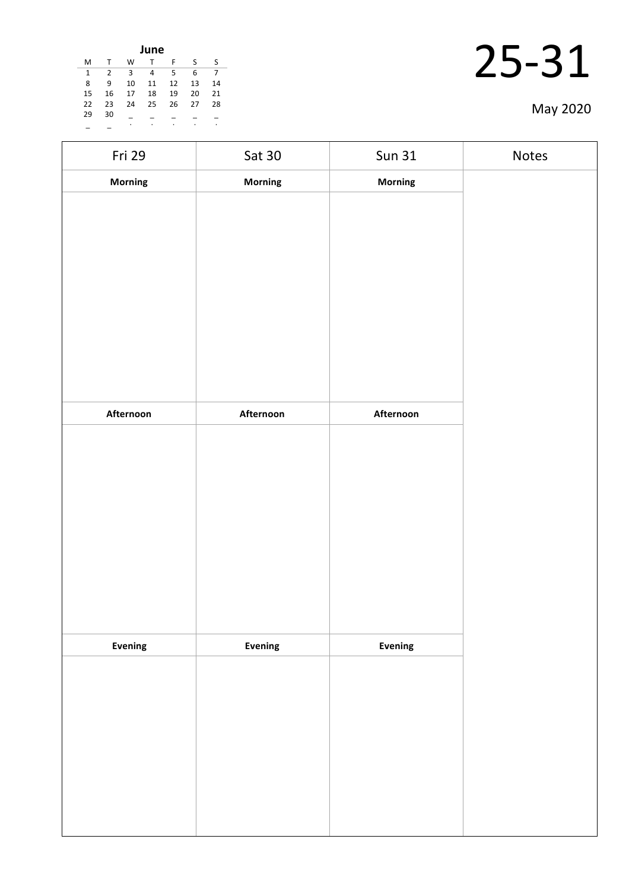| June |    |    |    |    |    |    |  |  |  |  |
|------|----|----|----|----|----|----|--|--|--|--|
| м    |    | W  | т  | F  | S  | S  |  |  |  |  |
| 1    | 2  | 3  | 4  | 5  | 6  |    |  |  |  |  |
| 8    | 9  | 10 | 11 | 12 | 13 | 14 |  |  |  |  |
| 15   | 16 | 17 | 18 | 19 | 20 | 21 |  |  |  |  |
| 22   | 23 | 24 | 25 | 26 | 27 | 28 |  |  |  |  |
| 29   | 30 |    |    |    |    |    |  |  |  |  |
|      |    | ٠  | ٠  | ٠  | ٠  | ٠  |  |  |  |  |

| Fri 29    | <b>Sat 30</b> | <b>Sun 31</b>  | Notes |
|-----------|---------------|----------------|-------|
| Morning   | Morning       | Morning        |       |
|           |               |                |       |
|           |               |                |       |
|           |               |                |       |
|           |               |                |       |
|           |               |                |       |
|           |               |                |       |
|           |               |                |       |
|           |               |                |       |
|           |               |                |       |
| Afternoon | Afternoon     | Afternoon      |       |
|           |               |                |       |
|           |               |                |       |
|           |               |                |       |
|           |               |                |       |
|           |               |                |       |
|           |               |                |       |
|           |               |                |       |
|           |               |                |       |
|           |               |                |       |
|           |               |                |       |
| Evening   | Evening       | <b>Evening</b> |       |
|           |               |                |       |
|           |               |                |       |
|           |               |                |       |
|           |               |                |       |
|           |               |                |       |
|           |               |                |       |
|           |               |                |       |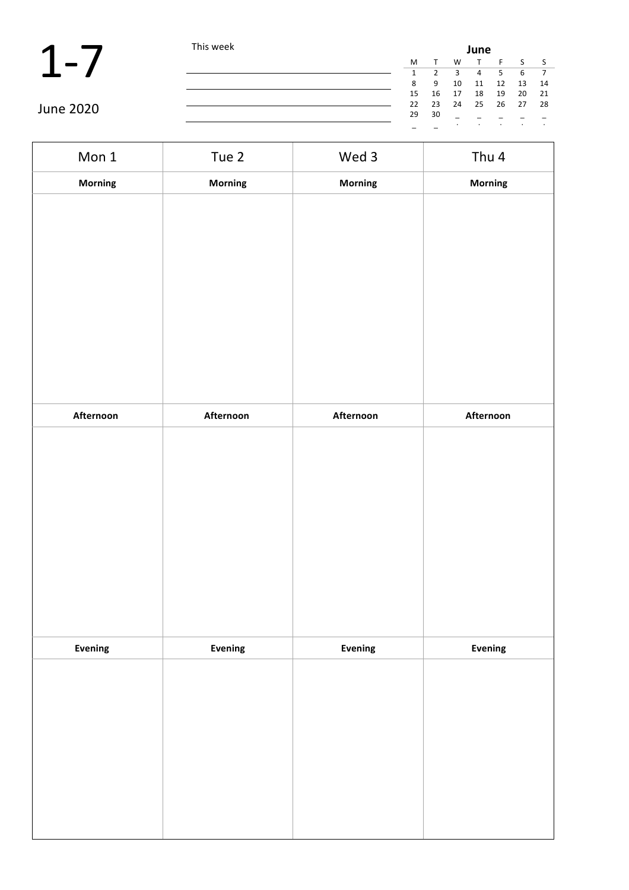$\blacksquare$ 

|                  | This week | June |    |    |    |      |    |     |  |  |
|------------------|-----------|------|----|----|----|------|----|-----|--|--|
|                  |           | M    |    | W  |    |      |    |     |  |  |
|                  |           |      |    | 3  | 4  | 5    | 6  |     |  |  |
|                  |           | 8    | 9  | 10 | 11 | 12   | 13 | 14  |  |  |
|                  |           | 15   | 16 | 17 | 18 | 19   | 20 | -21 |  |  |
|                  |           | 22   | 23 | 24 | 25 | - 26 | 27 | -28 |  |  |
| <b>June 2020</b> |           | 29   | 30 |    |    |      |    |     |  |  |
|                  |           |      |    |    |    |      |    |     |  |  |

٦

| Mon 1          | Tue 2     | Wed 3     | Thu 4     |
|----------------|-----------|-----------|-----------|
| Morning        | Morning   | Morning   | Morning   |
|                |           |           |           |
|                |           |           |           |
|                |           |           |           |
|                |           |           |           |
|                |           |           |           |
|                |           |           |           |
|                |           |           |           |
|                |           |           |           |
|                |           |           |           |
| Afternoon      | Afternoon | Afternoon | Afternoon |
|                |           |           |           |
|                |           |           |           |
|                |           |           |           |
|                |           |           |           |
|                |           |           |           |
|                |           |           |           |
|                |           |           |           |
|                |           |           |           |
|                |           |           |           |
| <b>Evening</b> | Evening   | Evening   | Evening   |
|                |           |           |           |
|                |           |           |           |
|                |           |           |           |
|                |           |           |           |
|                |           |           |           |
|                |           |           |           |
|                |           |           |           |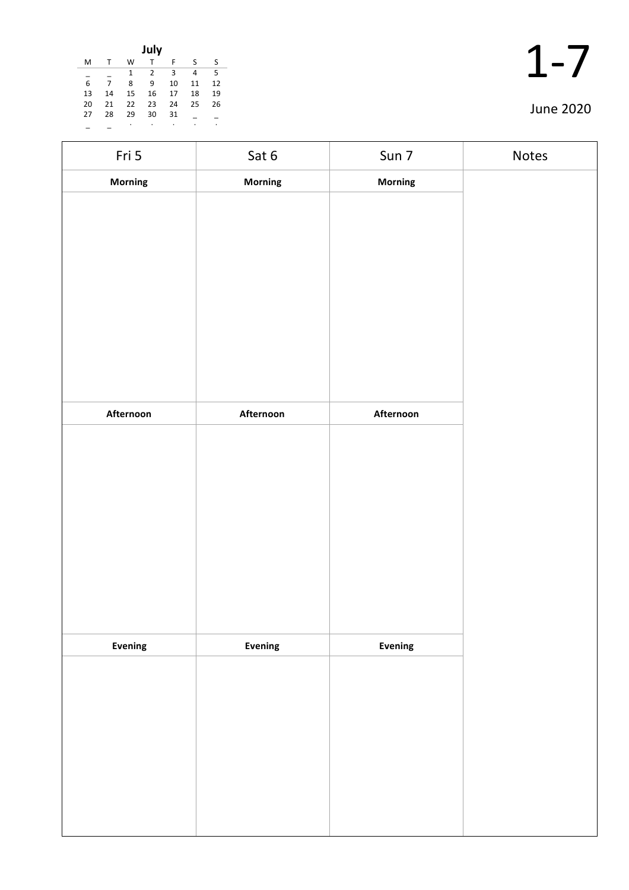| July |    |              |                |    |    |    |  |  |  |  |
|------|----|--------------|----------------|----|----|----|--|--|--|--|
| M    |    | W            | т              | F  | S  | ς  |  |  |  |  |
|      |    | $\mathbf{1}$ | $\overline{2}$ | 3  | 4  | 5  |  |  |  |  |
| 6    |    | 8            | 9              | 10 | 11 | 12 |  |  |  |  |
| 13   | 14 | 15           | 16             | 17 | 18 | 19 |  |  |  |  |
| 20   | 21 | 22           | 23             | 24 | 25 | 26 |  |  |  |  |
| 27   | 28 | 29           | 30             | 31 |    |    |  |  |  |  |
|      |    |              |                | ٠  | ٠  | ٠  |  |  |  |  |

| Fri 5     | Sat 6     | Sun 7     | Notes |
|-----------|-----------|-----------|-------|
| Morning   | Morning   | Morning   |       |
|           |           |           |       |
|           |           |           |       |
|           |           |           |       |
|           |           |           |       |
|           |           |           |       |
|           |           |           |       |
|           |           |           |       |
|           |           |           |       |
| Afternoon | Afternoon | Afternoon |       |
|           |           |           |       |
|           |           |           |       |
|           |           |           |       |
|           |           |           |       |
|           |           |           |       |
|           |           |           |       |
|           |           |           |       |
|           |           |           |       |
|           |           |           |       |
| Evening   | Evening   | Evening   |       |
|           |           |           |       |
|           |           |           |       |
|           |           |           |       |
|           |           |           |       |
|           |           |           |       |
|           |           |           |       |
|           |           |           |       |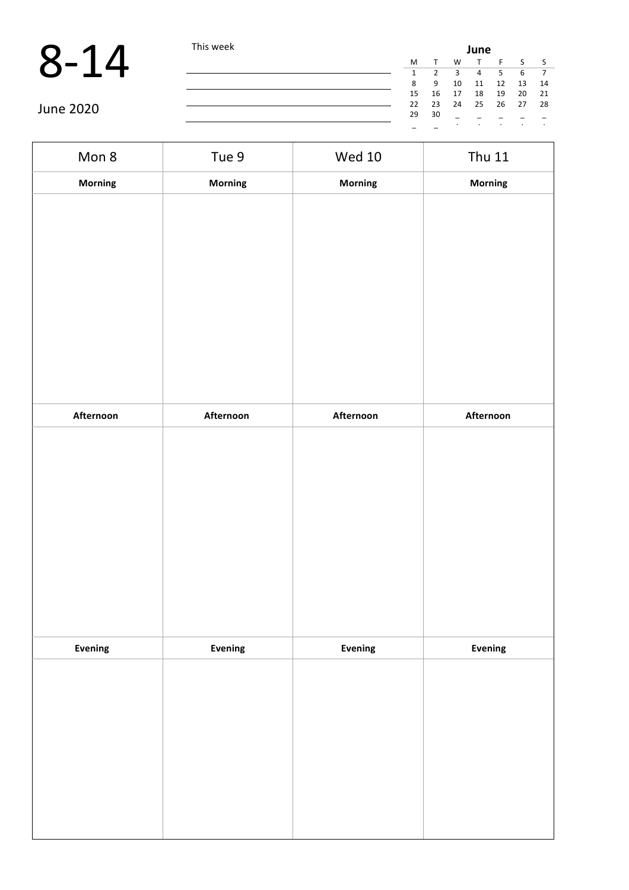|           | This week |    |    |    | June |      |    |      |
|-----------|-----------|----|----|----|------|------|----|------|
|           |           | M  |    | W  |      |      |    |      |
|           |           |    |    |    | 4    |      | 6  |      |
|           |           | 8  | -9 | 10 | 11   | 12   | 13 | 14   |
|           |           | 15 | 16 | 17 | 18   | 19   | 20 | - 21 |
|           |           | 22 | 23 | 24 | 25   | - 26 | 27 | - 28 |
| June 2020 |           | 29 | 30 |    |      |      |    |      |
|           |           |    |    |    |      |      |    |      |

| Mon 8          | Tue 9     | <b>Wed 10</b>  | <b>Thu 11</b> |
|----------------|-----------|----------------|---------------|
| Morning        | Morning   | Morning        | Morning       |
|                |           |                |               |
|                |           |                |               |
|                |           |                |               |
|                |           |                |               |
|                |           |                |               |
|                |           |                |               |
|                |           |                |               |
|                |           |                |               |
| Afternoon      | Afternoon | Afternoon      | Afternoon     |
|                |           |                |               |
|                |           |                |               |
|                |           |                |               |
|                |           |                |               |
|                |           |                |               |
|                |           |                |               |
|                |           |                |               |
|                |           |                |               |
| <b>Evening</b> | Evening   | <b>Evening</b> | Evening       |
|                |           |                |               |
|                |           |                |               |
|                |           |                |               |
|                |           |                |               |
|                |           |                |               |
|                |           |                |               |
|                |           |                |               |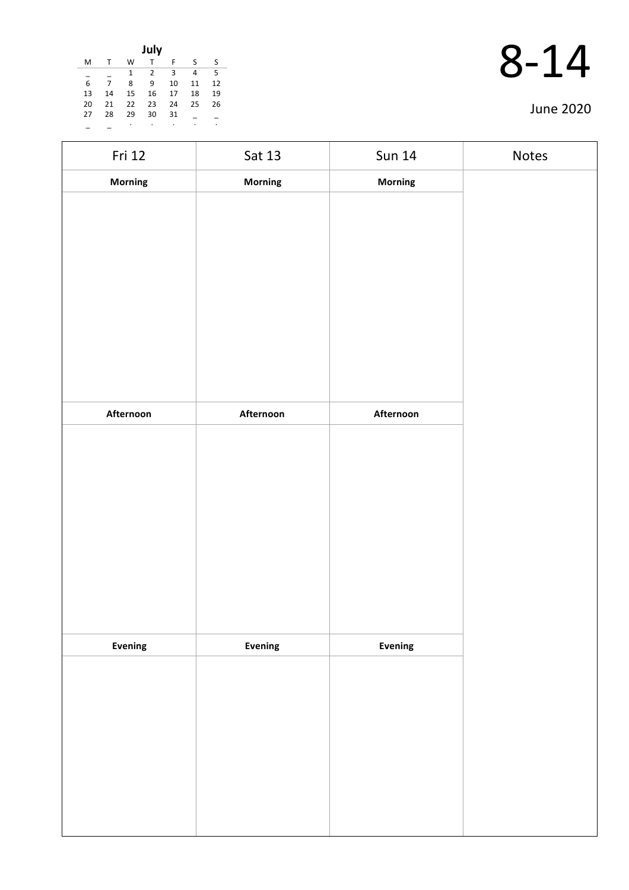| July |    |    |    |    |    |    |
|------|----|----|----|----|----|----|
| м    |    | w  | т  | F  | S  | S  |
|      |    | 1  | 2  | 3  | 4  | 5  |
| 6    | 7  | 8  | 9  | 10 | 11 | 12 |
| 13   | 14 | 15 | 16 | 17 | 18 | 19 |
| 20   | 21 | 22 | 23 | 24 | 25 | 26 |
| 27   | 28 | 29 | 30 | 31 |    |    |
|      |    | ٠  |    | ٠  | ٠  |    |

| Fri 12         | Sat 13    | <b>Sun 14</b> | Notes |
|----------------|-----------|---------------|-------|
| Morning        | Morning   | Morning       |       |
|                |           |               |       |
|                |           |               |       |
|                |           |               |       |
|                |           |               |       |
|                |           |               |       |
|                |           |               |       |
|                |           |               |       |
|                |           |               |       |
|                |           |               |       |
| Afternoon      | Afternoon | Afternoon     |       |
|                |           |               |       |
|                |           |               |       |
|                |           |               |       |
|                |           |               |       |
|                |           |               |       |
|                |           |               |       |
|                |           |               |       |
|                |           |               |       |
|                |           |               |       |
|                |           |               |       |
|                |           |               |       |
|                |           |               |       |
|                |           |               |       |
|                |           |               |       |
|                |           |               |       |
|                |           |               |       |
|                |           |               |       |
| <b>Evening</b> | Evening   | Evening       |       |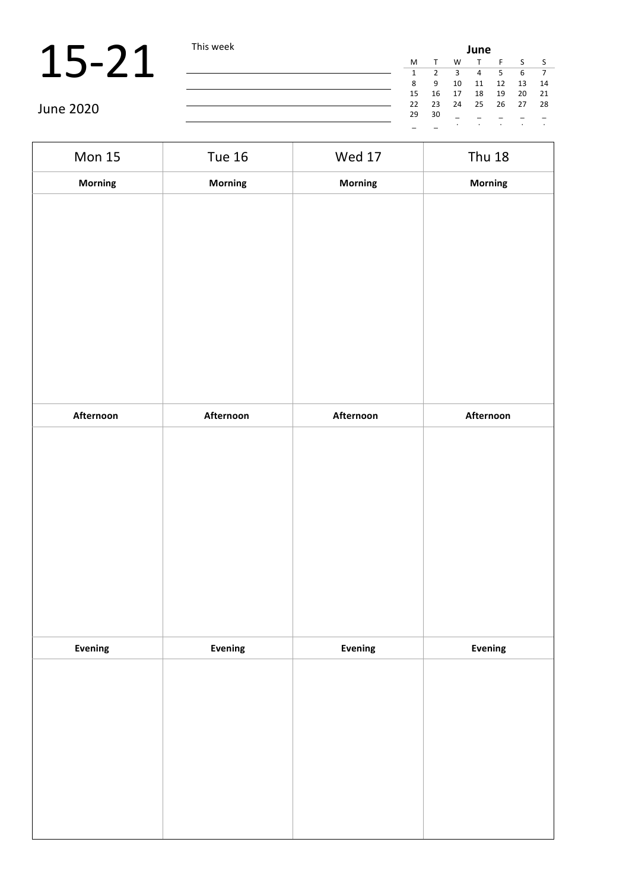### 15-21 This week

June 2020

| <b>ITIIS WEEN</b> | June |    |    |    |         |    |      |
|-------------------|------|----|----|----|---------|----|------|
|                   | M    | T. | W  | T. | F       | S. | - S  |
|                   | 1    | 2  | 3  | 4  | 5       | 6  | 7    |
|                   | 8    | 9  | 10 | 11 | 12      | 13 | 14   |
|                   | 15   | 16 | 17 | 18 | 19      | 20 | 21   |
|                   | 22   | 23 | 24 | 25 | 26 27   |    | - 28 |
|                   | 29   | 30 |    |    |         |    |      |
|                   |      |    | ٠  |    | $\cdot$ | ٠  | ٠    |

Mon 15 Tue 16 Wed 17 Thu 18 **Morning Morning Morning Morning Afternoon Afternoon Afternoon Afternoon Evening Evening Evening Evening**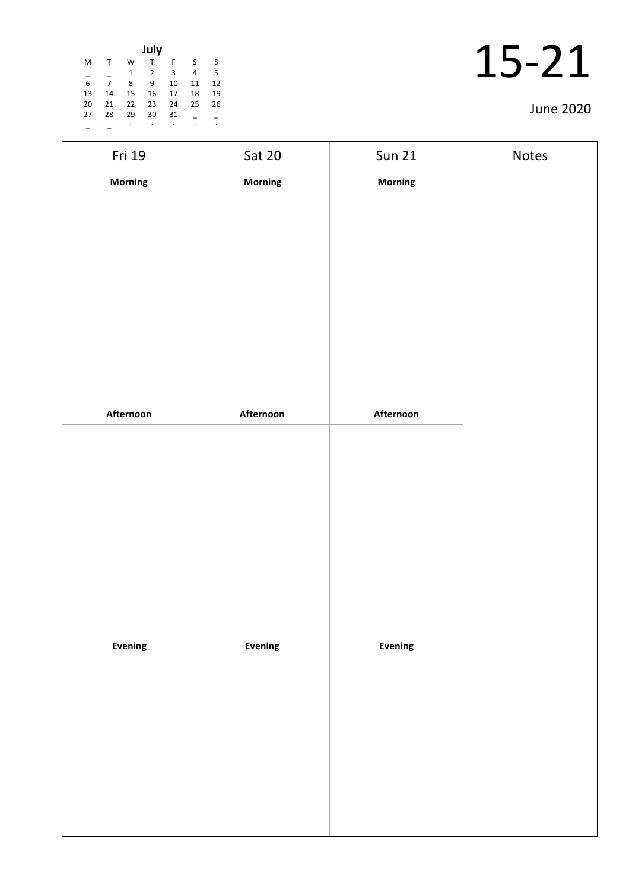| July |    |    |    |    |    |    |
|------|----|----|----|----|----|----|
| M    |    | W  | т  | F  | ς  | ς  |
|      |    | 1  | 2  | 3  | 4  | 5  |
| 6    |    | 8  | 9  | 10 | 11 | 12 |
| 13   | 14 | 15 | 16 | 17 | 18 | 19 |
| 20   | 21 | 22 | 23 | 24 | 25 | 26 |
| 27   | 28 | 29 | 30 | 31 |    |    |
|      |    | ٠  | ۰  | ٠  | ٠  | ٠  |

| Fri 19    | Sat 20    | <b>Sun 21</b> | Notes |
|-----------|-----------|---------------|-------|
| Morning   | Morning   | Morning       |       |
|           |           |               |       |
|           |           |               |       |
|           |           |               |       |
|           |           |               |       |
|           |           |               |       |
|           |           |               |       |
|           |           |               |       |
|           |           |               |       |
|           |           |               |       |
| Afternoon | Afternoon | Afternoon     |       |
|           |           |               |       |
|           |           |               |       |
|           |           |               |       |
|           |           |               |       |
|           |           |               |       |
|           |           |               |       |
|           |           |               |       |
|           |           |               |       |
|           |           |               |       |
| Evening   | Evening   | Evening       |       |
|           |           |               |       |
|           |           |               |       |
|           |           |               |       |
|           |           |               |       |
|           |           |               |       |
|           |           |               |       |
|           |           |               |       |
|           |           |               |       |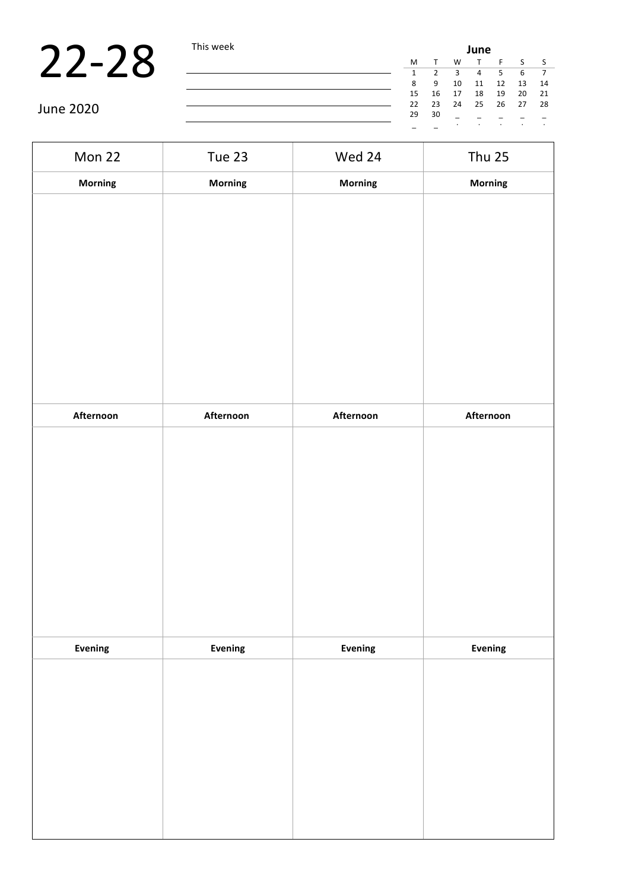June 2020

| eк | June |    |    |                |     |          |                |
|----|------|----|----|----------------|-----|----------|----------------|
|    | м    | T  | W  | $\top$         | F S |          | S S            |
|    | 1    | 2  | 3  | $\overline{4}$ | 5   | - 6      | $\overline{7}$ |
|    | 8    | 9  | 10 | 11             | 12  | 13       | 14             |
|    | 15   | 16 | 17 | 18             | 19  | 20       | 21             |
|    | 22   | 23 | 24 | 25             |     | 26 27 28 |                |
|    | 29   | 30 |    |                |     |          |                |
|    |      |    |    | ٠              | ٠   | ٠        |                |

Mon 22 Tue 23 Wed 24 Thu 25 **Morning Morning Morning Morning Afternoon Afternoon Afternoon Afternoon Evening Evening Evening Evening**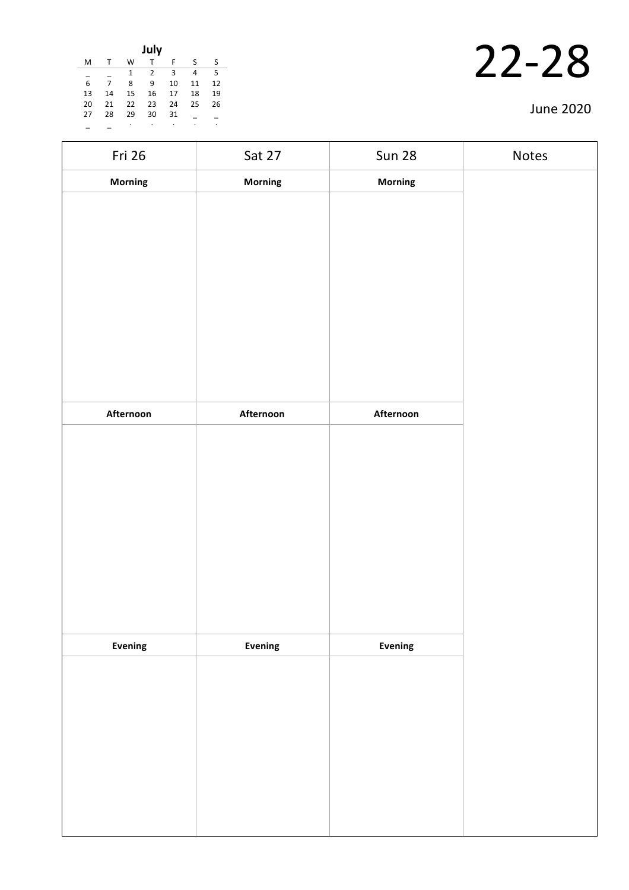|    |    |    | July           |    |    |    |
|----|----|----|----------------|----|----|----|
| M  | т  | W  | т              | F  | S  | S  |
|    |    | 1  | $\overline{2}$ | 3  | 4  | 5  |
| 6  | 7  | 8  | 9              | 10 | 11 | 12 |
| 13 | 14 | 15 | 16             | 17 | 18 | 19 |
| 20 | 21 | 22 | 23             | 24 | 25 | 26 |
| 27 | 28 | 29 | 30             | 31 |    |    |
|    |    |    |                | ٠  | ٠  | ٠  |

| Fri 26    | Sat 27         | <b>Sun 28</b> | Notes |
|-----------|----------------|---------------|-------|
| Morning   | Morning        | Morning       |       |
|           |                |               |       |
|           |                |               |       |
|           |                |               |       |
|           |                |               |       |
|           |                |               |       |
|           |                |               |       |
|           |                |               |       |
|           |                |               |       |
|           |                |               |       |
| Afternoon | Afternoon      | Afternoon     |       |
|           |                |               |       |
|           |                |               |       |
|           |                |               |       |
|           |                |               |       |
|           |                |               |       |
|           |                |               |       |
|           |                |               |       |
|           |                |               |       |
|           |                |               |       |
| Evening   | <b>Evening</b> | Evening       |       |
|           |                |               |       |
|           |                |               |       |
|           |                |               |       |
|           |                |               |       |
|           |                |               |       |
|           |                |               |       |
|           |                |               |       |
|           |                |               |       |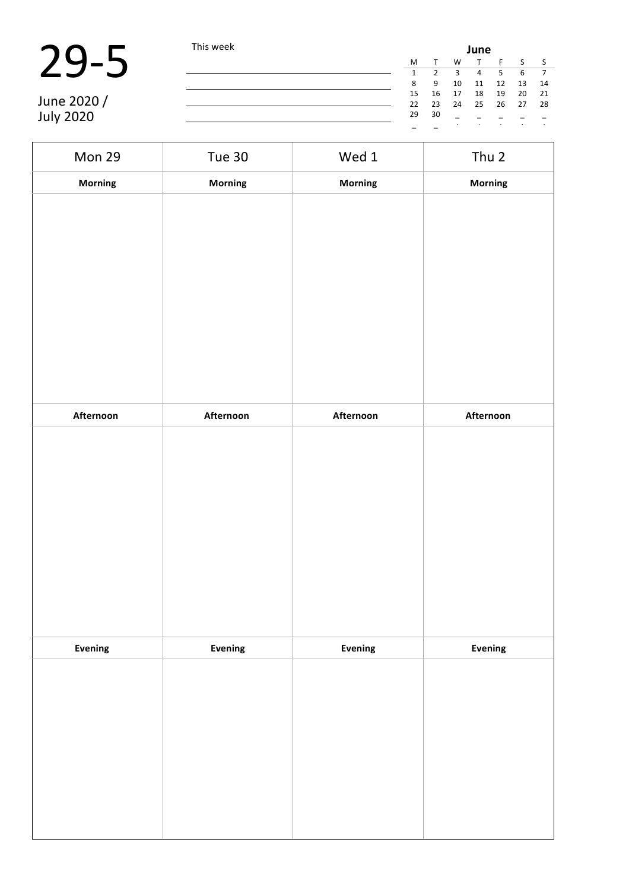| 29- |  |
|-----|--|
|-----|--|

|             | This week |    |      | June |    |    |    |                |  |  |  |  |
|-------------|-----------|----|------|------|----|----|----|----------------|--|--|--|--|
|             |           | M  |      | W    |    |    |    | $\mathsf{S}$   |  |  |  |  |
|             |           |    |      |      | 4  | 5  | 6  | $\overline{7}$ |  |  |  |  |
|             |           | 8  | -9   | 10   | 11 | 12 | 13 | 14             |  |  |  |  |
|             |           | 15 | 16   | 17   | 18 | 19 | 20 | 21             |  |  |  |  |
| June 2020 / |           | 22 | - 23 | 24   | 25 | 26 | 27 | - 28           |  |  |  |  |
| July 2020   |           | 29 | 30   |      |    |    |    |                |  |  |  |  |
|             |           |    |      |      |    |    |    |                |  |  |  |  |

 $\overline{\phantom{0}}$ 

| Mon 29         | <b>Tue 30</b>  | Wed 1     | Thu 2     |
|----------------|----------------|-----------|-----------|
| Morning        | Morning        | Morning   | Morning   |
|                |                |           |           |
|                |                |           |           |
|                |                |           |           |
|                |                |           |           |
|                |                |           |           |
|                |                |           |           |
|                |                |           |           |
|                |                |           |           |
|                |                |           |           |
| Afternoon      | Afternoon      | Afternoon | Afternoon |
|                |                |           |           |
|                |                |           |           |
|                |                |           |           |
|                |                |           |           |
|                |                |           |           |
|                |                |           |           |
|                |                |           |           |
|                |                |           |           |
|                |                |           |           |
|                |                |           |           |
| <b>Evening</b> | <b>Evening</b> | Evening   | Evening   |
|                |                |           |           |
|                |                |           |           |
|                |                |           |           |
|                |                |           |           |
|                |                |           |           |
|                |                |           |           |
|                |                |           |           |
|                |                |           |           |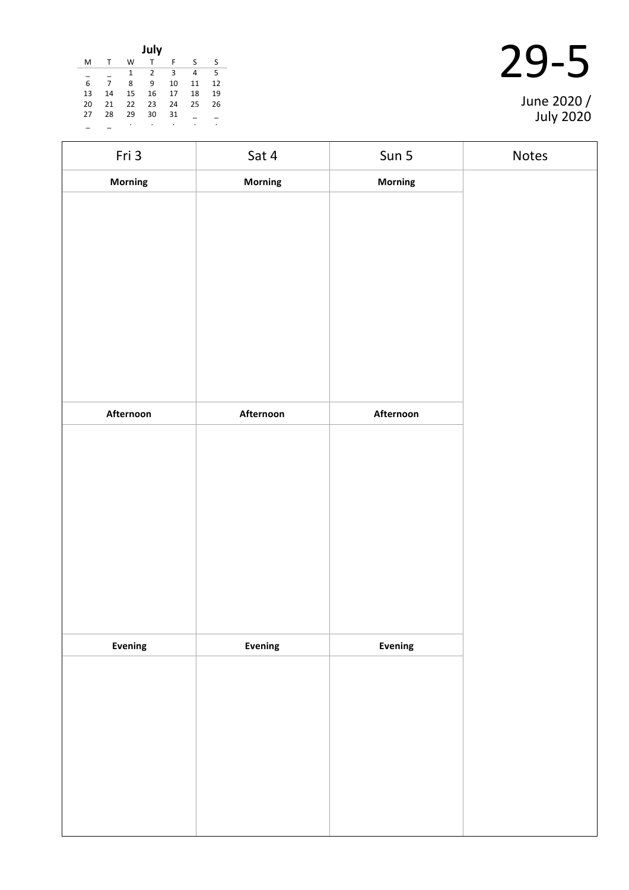| July                                          |    |    |    |    |    |    |  |  |  |
|-----------------------------------------------|----|----|----|----|----|----|--|--|--|
| M                                             | т  | W  |    | F  | S  | S  |  |  |  |
| 5<br>3<br>$\mathbf{1}$<br>$\overline{2}$<br>4 |    |    |    |    |    |    |  |  |  |
| $\overline{6}$                                | 7  | 8  | 9  | 10 | 11 | 12 |  |  |  |
| 13                                            | 14 | 15 | 16 | 17 | 18 | 19 |  |  |  |
| 20                                            | 21 | 22 | 23 | 24 | 25 | 26 |  |  |  |
| 27                                            | 28 | 29 | 30 | 31 |    |    |  |  |  |
|                                               |    | ċ  |    | ٠  | ٠  |    |  |  |  |

| June 2020 /<br><b>July 2020</b> |
|---------------------------------|

| Fri 3     | Sat 4     | Sun 5     | Notes |
|-----------|-----------|-----------|-------|
| Morning   | Morning   | Morning   |       |
|           |           |           |       |
|           |           |           |       |
|           |           |           |       |
|           |           |           |       |
|           |           |           |       |
|           |           |           |       |
|           |           |           |       |
|           |           |           |       |
|           |           |           |       |
| Afternoon | Afternoon | Afternoon |       |
|           |           |           |       |
|           |           |           |       |
|           |           |           |       |
|           |           |           |       |
|           |           |           |       |
|           |           |           |       |
|           |           |           |       |
|           |           |           |       |
|           |           |           |       |
| Evening   | Evening   | Evening   |       |
|           |           |           |       |
|           |           |           |       |
|           |           |           |       |
|           |           |           |       |
|           |           |           |       |
|           |           |           |       |
|           |           |           |       |
|           |           |           |       |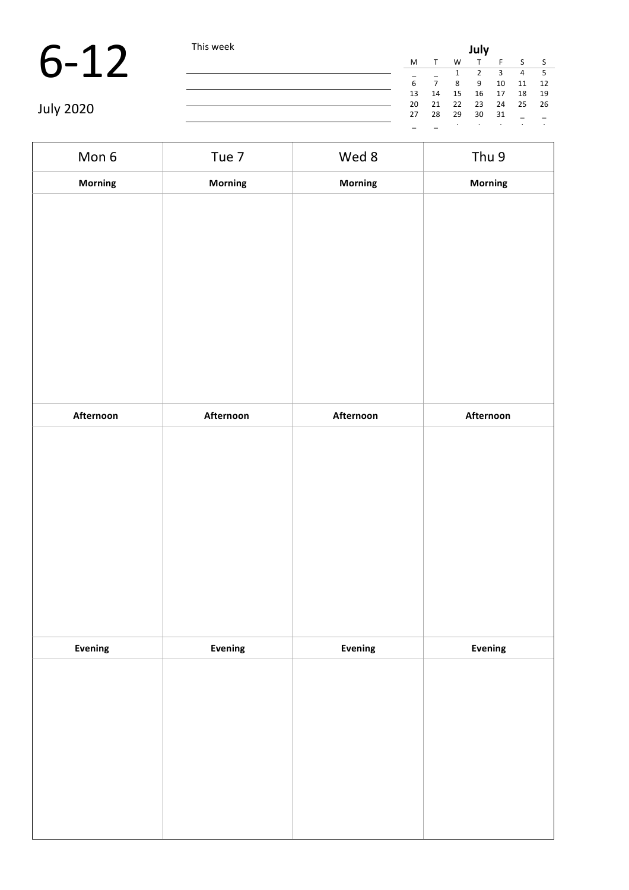|                  | This week |    | July |    |    |    |    |      |  |  |
|------------------|-----------|----|------|----|----|----|----|------|--|--|
|                  |           | M  |      | W  |    |    |    | - S  |  |  |
|                  |           |    |      |    |    |    | 4  | - 5  |  |  |
|                  |           | 6  |      | 8  | 9  | 10 | 11 | 12   |  |  |
|                  |           | 13 | 14   | 15 | 16 | 17 | 18 | 19   |  |  |
|                  |           | 20 | 21   | 22 | 23 | 24 | 25 | - 26 |  |  |
| <b>July 2020</b> |           | 27 | 28   | 29 | 30 | 31 |    |      |  |  |
|                  |           |    |      |    |    |    |    |      |  |  |

Mon 6 Tue 7 Wed 8 Thu 9 **Morning Morning Morning Morning Afternoon Afternoon Afternoon Afternoon Evening Evening Evening Evening**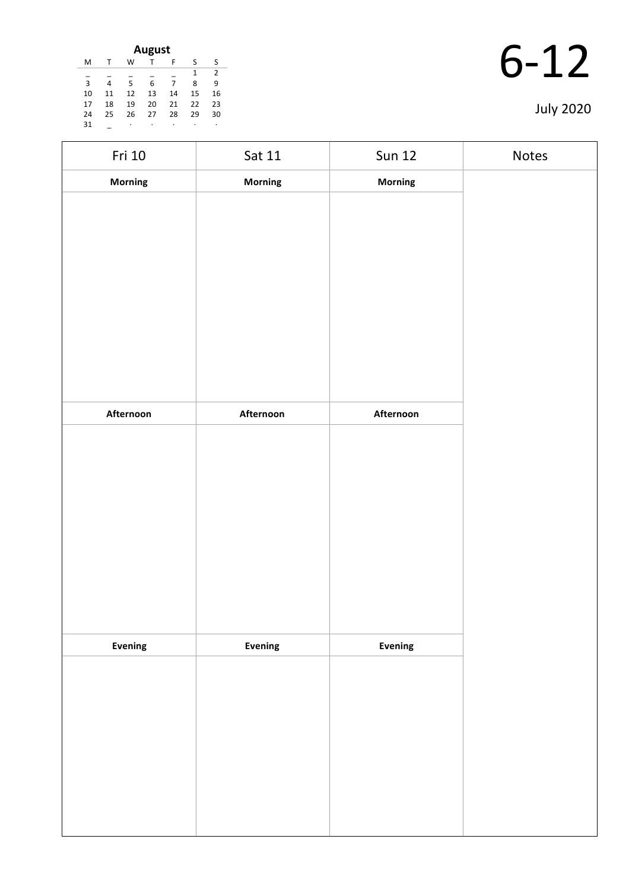| August |    |    |    |    |              |               |  |  |
|--------|----|----|----|----|--------------|---------------|--|--|
| м      |    | W  |    | F  | S            | S             |  |  |
|        |    |    |    |    | $\mathbf{1}$ | $\mathcal{P}$ |  |  |
| 3      | 4  | 5  | 6  | 7  | 8            | ٩             |  |  |
| 10     | 11 | 12 | 13 | 14 | 15           | 16            |  |  |
| 17     | 18 | 19 | 20 | 21 | 22           | 23            |  |  |
| 24     | 25 | 26 | 27 | 28 | 29           | 30            |  |  |
| 31     |    | ٠  | ٠  | ٠  | ٠            | ٠             |  |  |

| Fri 10    | Sat 11    | <b>Sun 12</b> | Notes |
|-----------|-----------|---------------|-------|
| Morning   | Morning   | Morning       |       |
|           |           |               |       |
|           |           |               |       |
|           |           |               |       |
|           |           |               |       |
|           |           |               |       |
|           |           |               |       |
|           |           |               |       |
|           |           |               |       |
|           |           |               |       |
| Afternoon | Afternoon | Afternoon     |       |
|           |           |               |       |
|           |           |               |       |
|           |           |               |       |
|           |           |               |       |
|           |           |               |       |
|           |           |               |       |
|           |           |               |       |
|           |           |               |       |
| Evening   | Evening   | Evening       |       |
|           |           |               |       |
|           |           |               |       |
|           |           |               |       |
|           |           |               |       |
|           |           |               |       |
|           |           |               |       |
|           |           |               |       |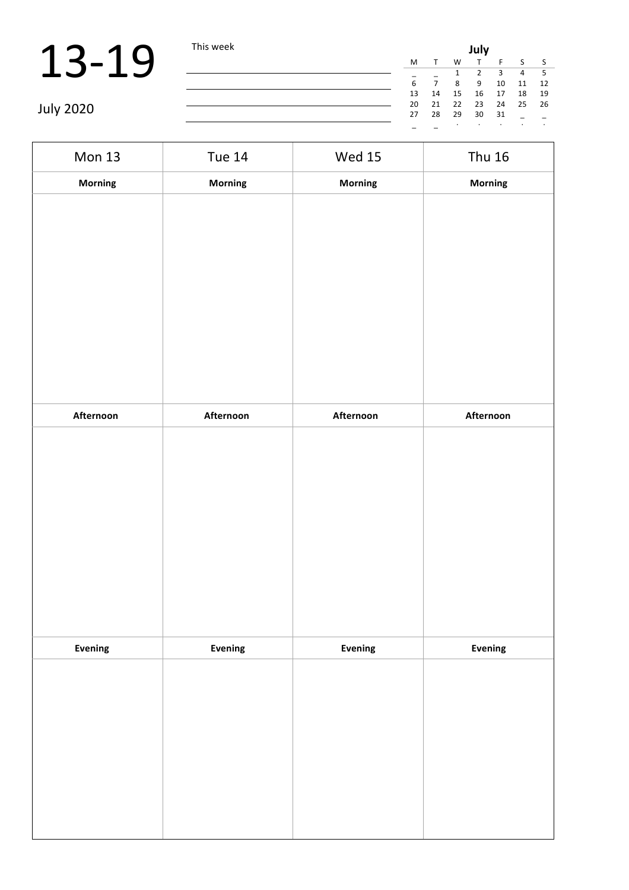|                  | This week |    | July |    |    |    |    |    |  |  |
|------------------|-----------|----|------|----|----|----|----|----|--|--|
|                  |           | M  |      | W  |    |    |    |    |  |  |
|                  |           |    |      |    |    | ς  | 4  |    |  |  |
|                  |           |    |      | 8  | 9  | 10 | 11 | 12 |  |  |
|                  |           | 13 | 14   | 15 | 16 | 17 | 18 | 19 |  |  |
|                  |           | 20 | 21   | 22 | 23 | 24 | 25 | 26 |  |  |
| <b>July 2020</b> |           | 27 | 28   | 29 | 30 | 31 |    |    |  |  |
|                  |           |    |      |    |    |    |    |    |  |  |

| <b>Mon 13</b> | <b>Tue 14</b>  | <b>Wed 15</b>  | <b>Thu 16</b> |
|---------------|----------------|----------------|---------------|
| Morning       | <b>Morning</b> | Morning        | Morning       |
|               |                |                |               |
|               |                |                |               |
|               |                |                |               |
|               |                |                |               |
|               |                |                |               |
|               |                |                |               |
|               |                |                |               |
|               |                |                |               |
|               |                |                |               |
| Afternoon     | Afternoon      | Afternoon      | Afternoon     |
|               |                |                |               |
|               |                |                |               |
|               |                |                |               |
|               |                |                |               |
|               |                |                |               |
|               |                |                |               |
|               |                |                |               |
|               |                |                |               |
|               |                |                |               |
| Evening       | Evening        | <b>Evening</b> | Evening       |
|               |                |                |               |
|               |                |                |               |
|               |                |                |               |
|               |                |                |               |
|               |                |                |               |
|               |                |                |               |
|               |                |                |               |
|               |                |                |               |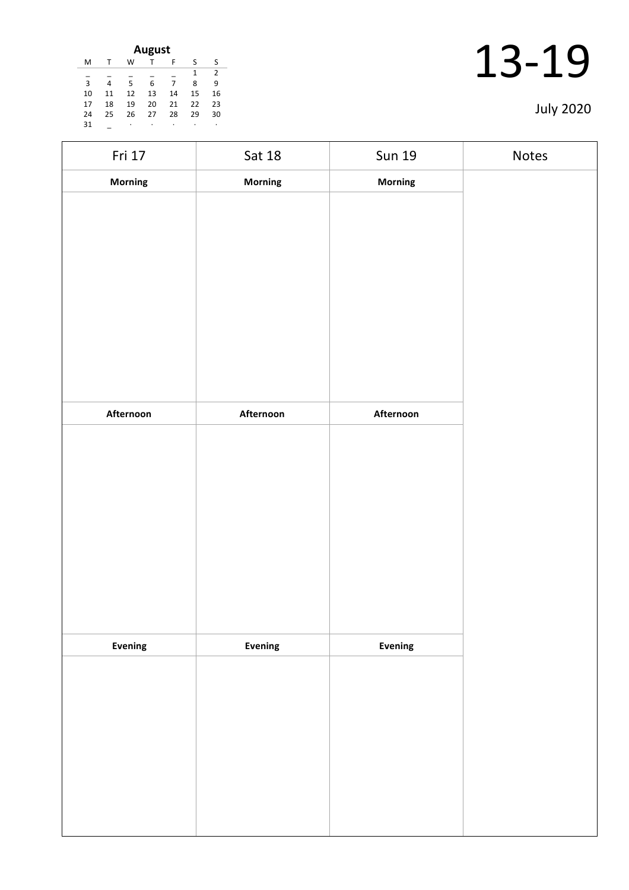| August |    |    |    |    |    |    |  |  |
|--------|----|----|----|----|----|----|--|--|
| м      |    | w  |    | F  | ς  | ς  |  |  |
|        |    |    |    |    | 1  | 2  |  |  |
| 3      | 4  | 5  | 6  | 7  | 8  | ٩  |  |  |
| 10     | 11 | 12 | 13 | 14 | 15 | 16 |  |  |
| 17     | 18 | 19 | 20 | 21 | 22 | 23 |  |  |
| 24     | 25 | 26 | 27 | 28 | 29 | 30 |  |  |
| 31     |    | ٠  | ٠  |    | ٠  | ٠  |  |  |

| Fri 17         | Sat 18    | <b>Sun 19</b> | Notes |
|----------------|-----------|---------------|-------|
| Morning        | Morning   | Morning       |       |
|                |           |               |       |
|                |           |               |       |
|                |           |               |       |
|                |           |               |       |
|                |           |               |       |
|                |           |               |       |
|                |           |               |       |
|                |           |               |       |
|                |           |               |       |
| Afternoon      | Afternoon | Afternoon     |       |
|                |           |               |       |
|                |           |               |       |
|                |           |               |       |
|                |           |               |       |
|                |           |               |       |
|                |           |               |       |
|                |           |               |       |
|                |           |               |       |
|                |           |               |       |
| <b>Evening</b> | Evening   | Evening       |       |
|                |           |               |       |
|                |           |               |       |
|                |           |               |       |
|                |           |               |       |
|                |           |               |       |
|                |           |               |       |
|                |           |               |       |
|                |           |               |       |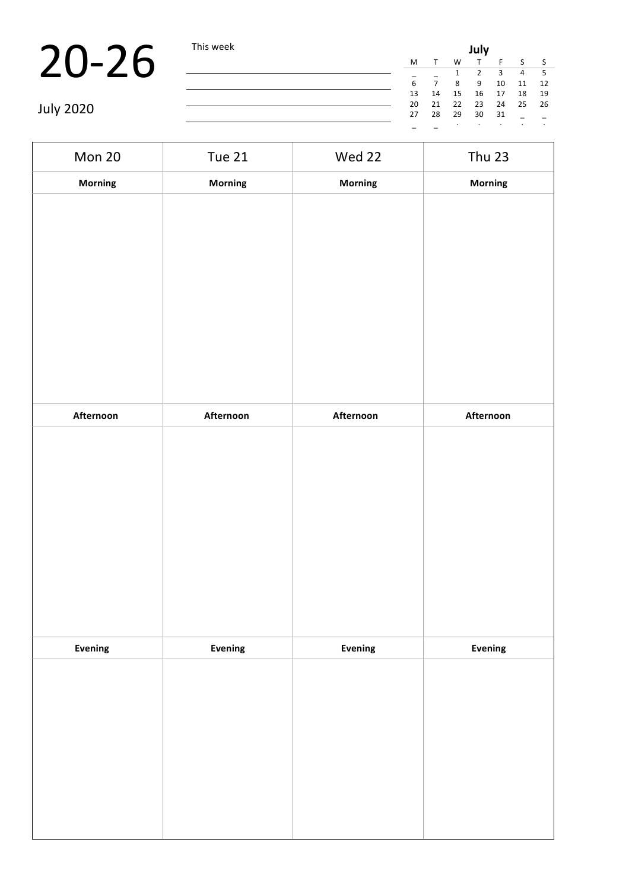|                   | This week | July |                |         |         |         |         |      |  |
|-------------------|-----------|------|----------------|---------|---------|---------|---------|------|--|
| $\cdot$ O $\cdot$ |           | M    |                | W       |         |         |         |      |  |
|                   |           |      |                |         |         |         | 4       |      |  |
|                   |           | 6    | $\overline{ }$ | 8       | -9      | 10      | 11      | -12  |  |
|                   |           | 13   | 14             | 15      | 16      | 17      | 18      | - 19 |  |
|                   |           | 20   | 21             | 22      | 23      | 24      | 25      | - 26 |  |
| <b>July 2020</b>  |           | 27   | 28             | 29      | 30      | 31      |         |      |  |
|                   |           |      |                | $\cdot$ | $\cdot$ | $\cdot$ | $\cdot$ |      |  |

| Mon 20         | <b>Tue 21</b> | Wed 22         | <b>Thu 23</b> |
|----------------|---------------|----------------|---------------|
| <b>Morning</b> | Morning       | Morning        | Morning       |
|                |               |                |               |
|                |               |                |               |
|                |               |                |               |
|                |               |                |               |
|                |               |                |               |
|                |               |                |               |
|                |               |                |               |
|                |               |                |               |
|                |               |                |               |
| Afternoon      | Afternoon     | Afternoon      | Afternoon     |
|                |               |                |               |
|                |               |                |               |
|                |               |                |               |
|                |               |                |               |
|                |               |                |               |
|                |               |                |               |
|                |               |                |               |
|                |               |                |               |
|                |               |                |               |
| Evening        | Evening       | <b>Evening</b> | Evening       |
|                |               |                |               |
|                |               |                |               |
|                |               |                |               |
|                |               |                |               |
|                |               |                |               |
|                |               |                |               |
|                |               |                |               |
|                |               |                |               |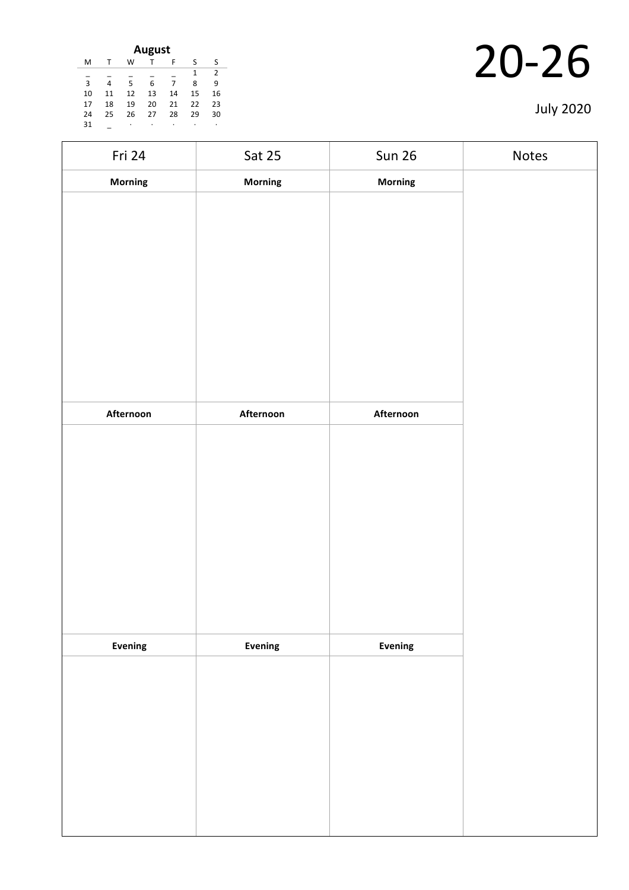| <b>August</b> |    |    |    |    |    |    |  |  |
|---------------|----|----|----|----|----|----|--|--|
| M             |    | w  |    | F  | ς  | S  |  |  |
|               |    |    |    |    | 1  | 2  |  |  |
| 3             | 4  | 5  | 6  | 7  | 8  | 9  |  |  |
| 10            | 11 | 12 | 13 | 14 | 15 | 16 |  |  |
| 17            | 18 | 19 | 20 | 21 | 22 | 23 |  |  |
| 24            | 25 | 26 | 27 | 28 | 29 | 30 |  |  |
| 31            |    | ٠  | ٠  |    | ٠  | ٠  |  |  |

| Fri 24    | Sat 25    | <b>Sun 26</b>  | Notes |
|-----------|-----------|----------------|-------|
| Morning   | Morning   | Morning        |       |
|           |           |                |       |
|           |           |                |       |
|           |           |                |       |
|           |           |                |       |
|           |           |                |       |
|           |           |                |       |
|           |           |                |       |
|           |           |                |       |
|           |           |                |       |
| Afternoon | Afternoon | Afternoon      |       |
|           |           |                |       |
|           |           |                |       |
|           |           |                |       |
|           |           |                |       |
|           |           |                |       |
|           |           |                |       |
|           |           |                |       |
|           |           |                |       |
|           |           |                |       |
|           |           |                |       |
| Evening   | Evening   | <b>Evening</b> |       |
|           |           |                |       |
|           |           |                |       |
|           |           |                |       |
|           |           |                |       |
|           |           |                |       |
|           |           |                |       |
|           |           |                |       |
|           |           |                |       |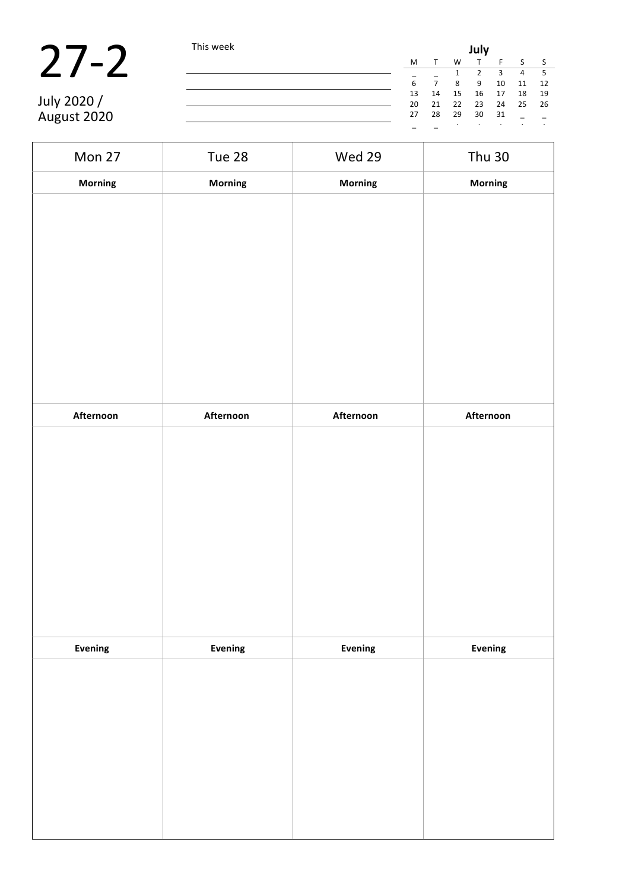| $\boldsymbol{I}$ |  | I |
|------------------|--|---|
|------------------|--|---|

| $\sqrt{2}$  | This week |    | July |    |    |    |    |      |  |  |
|-------------|-----------|----|------|----|----|----|----|------|--|--|
|             |           | M  |      | W  |    |    |    |      |  |  |
|             |           |    |      |    |    |    | 4  |      |  |  |
|             |           | 6  |      | 8  | 9  | 10 | 11 | -12  |  |  |
|             |           | 13 | 14   | 15 | 16 | 17 | 18 | - 19 |  |  |
| July 2020 / |           | 20 | 21   | 22 | 23 | 24 | 25 | - 26 |  |  |
| August 2020 |           | 27 | 28   | 29 | 30 | 31 |    |      |  |  |
|             |           |    |      |    |    |    |    |      |  |  |

| Mon 27    | Tue 28    | Wed 29    | <b>Thu 30</b> |
|-----------|-----------|-----------|---------------|
| Morning   | Morning   | Morning   | Morning       |
|           |           |           |               |
|           |           |           |               |
|           |           |           |               |
|           |           |           |               |
|           |           |           |               |
|           |           |           |               |
|           |           |           |               |
|           |           |           |               |
|           |           |           |               |
| Afternoon | Afternoon | Afternoon | Afternoon     |
|           |           |           |               |
|           |           |           |               |
|           |           |           |               |
|           |           |           |               |
|           |           |           |               |
|           |           |           |               |
|           |           |           |               |
|           |           |           |               |
|           |           |           |               |
| Evening   | Evening   | Evening   | Evening       |
|           |           |           |               |
|           |           |           |               |
|           |           |           |               |
|           |           |           |               |
|           |           |           |               |
|           |           |           |               |
|           |           |           |               |
|           |           |           |               |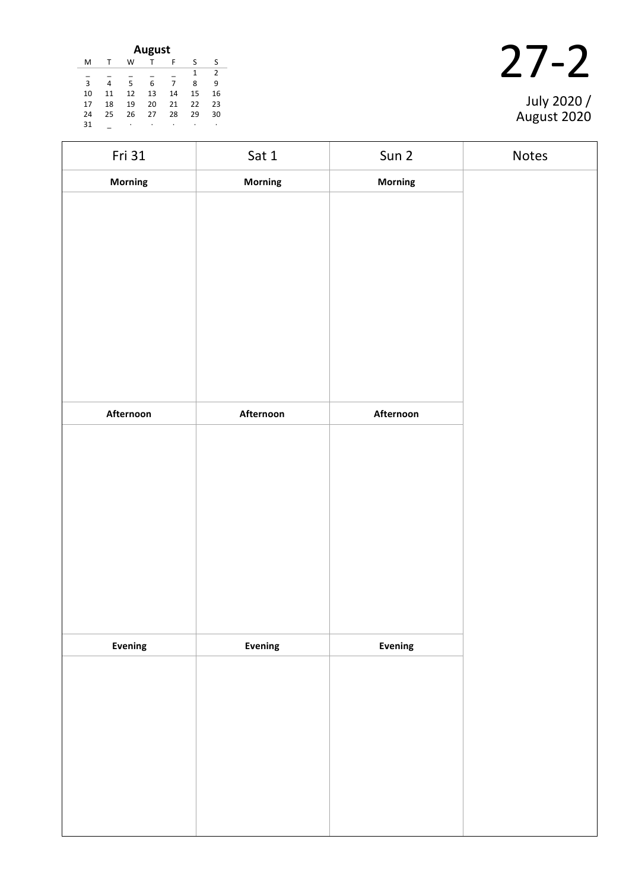| August |    |    |    |    |    |    |  |  |
|--------|----|----|----|----|----|----|--|--|
| M      |    | W  |    | F  | ς  | S  |  |  |
|        |    |    |    |    | 1  | 2  |  |  |
| 3      | 4  | 5  | 6  | 7  | 8  | ٩  |  |  |
| 10     | 11 | 12 | 13 | 14 | 15 | 16 |  |  |
| 17     | 18 | 19 | 20 | 21 | 22 | 23 |  |  |
| 24     | 25 | 26 | 27 | 28 | 29 | 30 |  |  |
| 31     |    | ٠  | ٠  | ٠  | ٠  |    |  |  |

| Fri 31    | Sat 1     | Sun 2          | Notes |
|-----------|-----------|----------------|-------|
| Morning   | Morning   | Morning        |       |
|           |           |                |       |
|           |           |                |       |
|           |           |                |       |
|           |           |                |       |
|           |           |                |       |
|           |           |                |       |
|           |           |                |       |
|           |           |                |       |
|           |           |                |       |
| Afternoon | Afternoon | Afternoon      |       |
|           |           |                |       |
|           |           |                |       |
|           |           |                |       |
|           |           |                |       |
|           |           |                |       |
|           |           |                |       |
|           |           |                |       |
|           |           |                |       |
|           |           |                |       |
| Evening   | Evening   | <b>Evening</b> |       |
|           |           |                |       |
|           |           |                |       |
|           |           |                |       |
|           |           |                |       |
|           |           |                |       |
|           |           |                |       |
|           |           |                |       |
|           |           |                |       |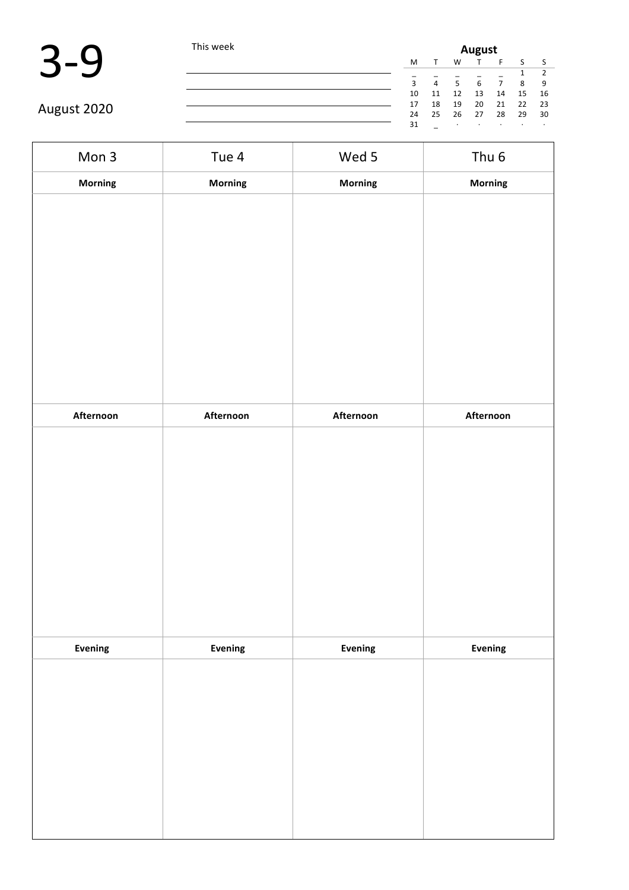| This week                                 |    | <b>August</b>  |                |         |    |         |    |  |  |
|-------------------------------------------|----|----------------|----------------|---------|----|---------|----|--|--|
|                                           | M  |                | W              |         |    |         |    |  |  |
|                                           |    |                |                |         |    |         |    |  |  |
|                                           | 3  | $\overline{4}$ | $\overline{5}$ | 6       |    | -8      | 9  |  |  |
|                                           | 10 | 11             | 12             | 13      | 14 | 15      | 16 |  |  |
| 18<br>17<br>August 2020<br>25<br>24<br>31 | 19 | 20             | 21             | 22      | 23 |         |    |  |  |
|                                           |    |                | 26             | 27      | 28 | 29      | 30 |  |  |
|                                           |    |                |                | $\cdot$ |    | $\cdot$ |    |  |  |

| Mon 3          | Tue 4     | Wed 5     | Thu <sub>6</sub> |
|----------------|-----------|-----------|------------------|
| Morning        | Morning   | Morning   | Morning          |
|                |           |           |                  |
|                |           |           |                  |
|                |           |           |                  |
|                |           |           |                  |
|                |           |           |                  |
|                |           |           |                  |
|                |           |           |                  |
| Afternoon      | Afternoon | Afternoon | Afternoon        |
|                |           |           |                  |
|                |           |           |                  |
|                |           |           |                  |
|                |           |           |                  |
|                |           |           |                  |
|                |           |           |                  |
|                |           |           |                  |
| <b>Evening</b> | Evening   | Evening   | Evening          |
|                |           |           |                  |
|                |           |           |                  |
|                |           |           |                  |
|                |           |           |                  |
|                |           |           |                  |
|                |           |           |                  |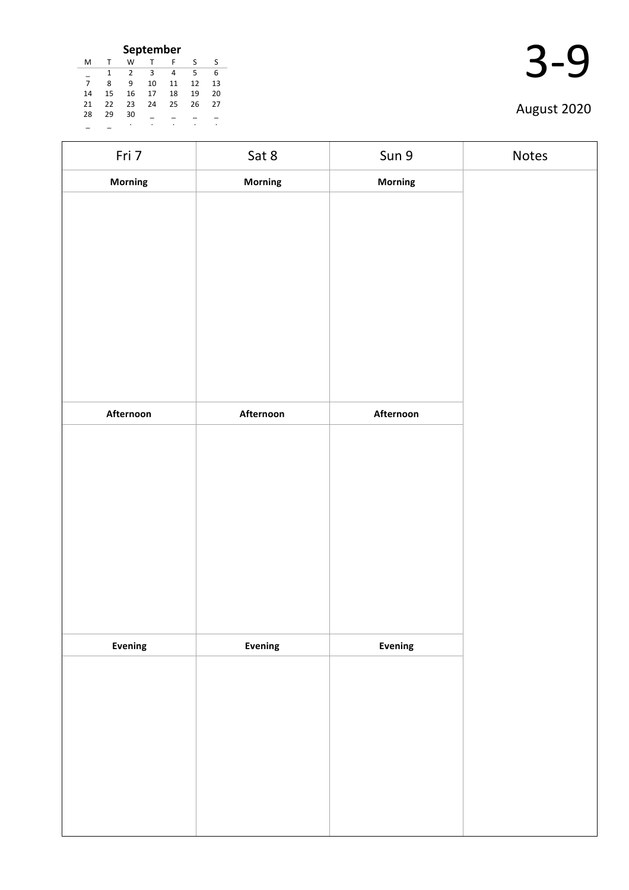| September      |    |    |    |    |    |    |  |  |
|----------------|----|----|----|----|----|----|--|--|
| M              | т  | W  |    | F  | S  | ς  |  |  |
|                | 1  | 2  | З  |    | 5  | 6  |  |  |
| $\overline{7}$ | ጸ  | ٩  | 10 | 11 | 12 | 13 |  |  |
| 14             | 15 | 16 | 17 | 18 | 19 | 20 |  |  |
| 21             | 22 | 23 | 24 | 25 | 26 | 27 |  |  |
| 28             | 29 | 30 |    |    |    |    |  |  |
|                |    |    |    |    |    |    |  |  |

| Fri 7          | Sat 8     | Sun 9     | Notes |
|----------------|-----------|-----------|-------|
| <b>Morning</b> | Morning   | Morning   |       |
|                |           |           |       |
|                |           |           |       |
|                |           |           |       |
|                |           |           |       |
|                |           |           |       |
|                |           |           |       |
|                |           |           |       |
|                |           |           |       |
| Afternoon      | Afternoon | Afternoon |       |
|                |           |           |       |
|                |           |           |       |
|                |           |           |       |
|                |           |           |       |
|                |           |           |       |
|                |           |           |       |
|                |           |           |       |
|                |           |           |       |
| Evening        | Evening   | Evening   |       |
|                |           |           |       |
|                |           |           |       |
|                |           |           |       |
|                |           |           |       |
|                |           |           |       |
|                |           |           |       |
|                |           |           |       |
|                |           |           |       |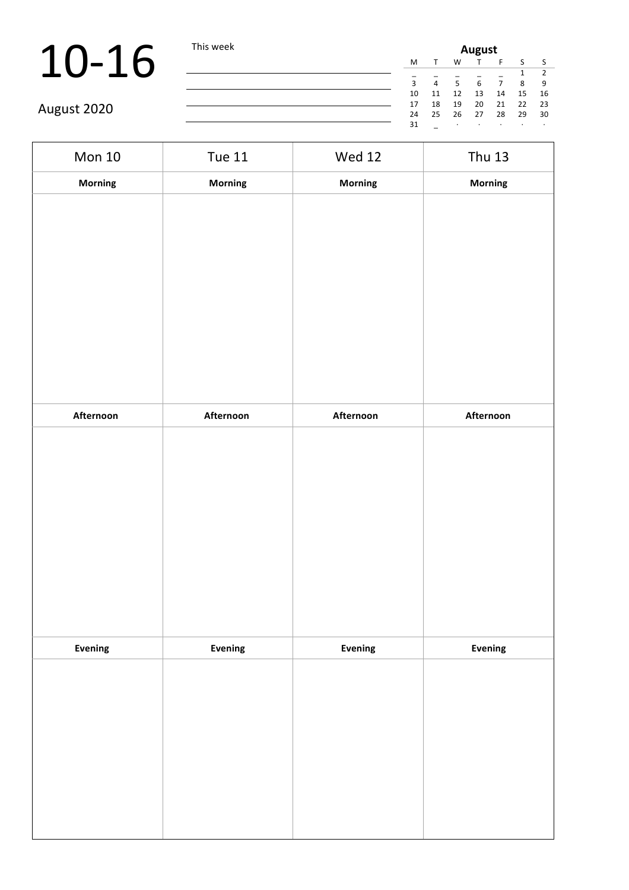# 10-16 This week

August 2020

| <b>August</b> |    |    |    |    |    |               |  |
|---------------|----|----|----|----|----|---------------|--|
| M             | т  | W  |    | F  | S  | -S            |  |
|               |    |    |    |    | 1  | $\mathcal{P}$ |  |
| 3             | 4  | 5  | 6  | 7  | 8  | 9             |  |
| 10            | 11 | 12 | 13 | 14 | 15 | 16            |  |
| 17            | 18 | 19 | 20 | 21 | 22 | 23            |  |
| 24            | 25 | 26 | 27 | 28 | 29 | 30            |  |
| 31            |    | ٠  |    |    |    | ٠             |  |

Mon 10 Tue 11 Wed 12 Thu 13 **Morning Morning Morning Morning Afternoon Afternoon Afternoon Afternoon Evening Evening Evening Evening**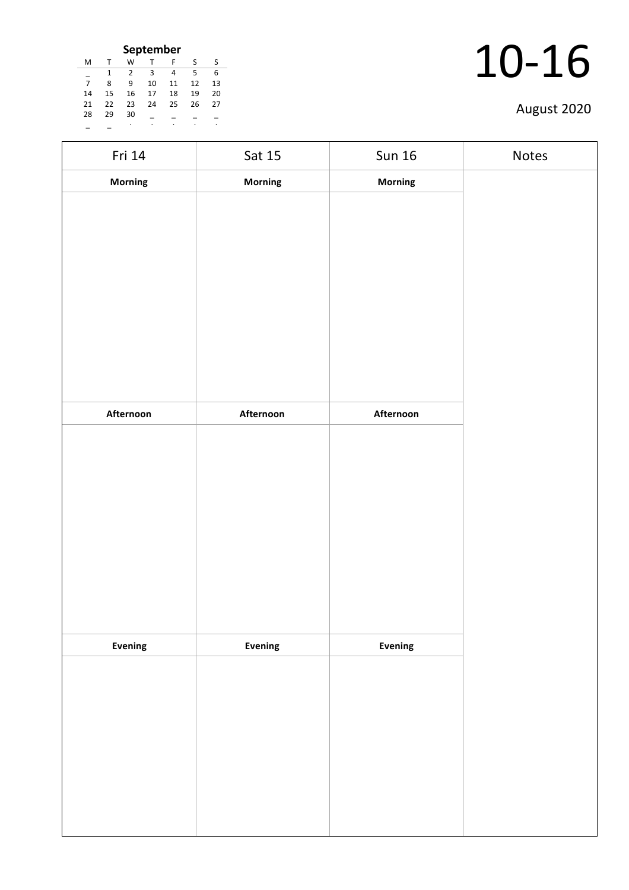| September |    |    |    |    |    |    |
|-----------|----|----|----|----|----|----|
| M         |    | w  |    | F  | S  | ς  |
|           | 1  | 2  | З  | 4  | 5  | 6  |
| 7         | ጸ  | q  | 10 | 11 | 12 | 13 |
| 14        | 15 | 16 | 17 | 18 | 19 | 20 |
| 21        | 22 | 23 | 24 | 25 | 26 | 27 |
| 28        | 29 | 30 |    |    |    |    |
|           |    | ٠  |    |    |    |    |

| Fri 14    | Sat 15         | <b>Sun 16</b> | Notes |
|-----------|----------------|---------------|-------|
| Morning   | Morning        | Morning       |       |
|           |                |               |       |
|           |                |               |       |
|           |                |               |       |
|           |                |               |       |
|           |                |               |       |
|           |                |               |       |
|           |                |               |       |
|           |                |               |       |
|           |                |               |       |
| Afternoon | Afternoon      | Afternoon     |       |
|           |                |               |       |
|           |                |               |       |
|           |                |               |       |
|           |                |               |       |
|           |                |               |       |
|           |                |               |       |
|           |                |               |       |
|           |                |               |       |
|           |                |               |       |
| Evening   | <b>Evening</b> | Evening       |       |
|           |                |               |       |
|           |                |               |       |
|           |                |               |       |
|           |                |               |       |
|           |                |               |       |
|           |                |               |       |
|           |                |               |       |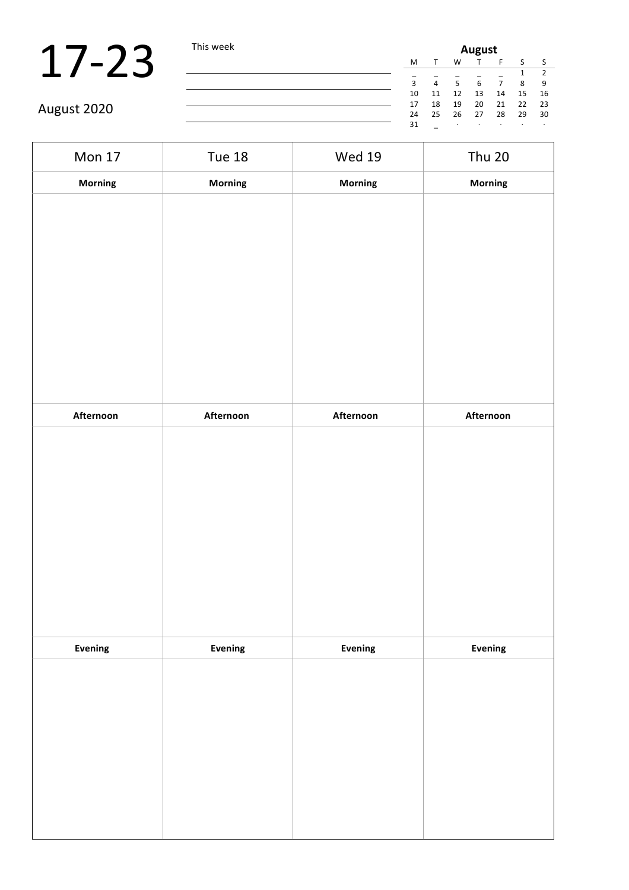# $17-23$  This week

| s week | August |    |           |    |    |    |           |
|--------|--------|----|-----------|----|----|----|-----------|
|        | M      | т  | W         | Τ  | F  | S  | - S       |
|        |        |    |           |    |    |    | 2         |
|        | 3      | 4  | 5         | 6  | 7  | 8  | 9         |
|        | 10     | 11 | 12        | 13 | 14 | 15 | 16        |
|        | 17     | 18 | 19        | 20 | 21 | 22 | -23       |
|        | 24     | 25 | 26        | 27 | 28 | 29 | 30        |
|        | 31     |    | $\bullet$ | ٠  |    | ٠  | $\bullet$ |

| <b>Mon 17</b> | <b>Tue 18</b> | <b>Wed 19</b> | <b>Thu 20</b> |
|---------------|---------------|---------------|---------------|
| Morning       | Morning       | Morning       | Morning       |
|               |               |               |               |
|               |               |               |               |
|               |               |               |               |
|               |               |               |               |
|               |               |               |               |
|               |               |               |               |
|               |               |               |               |
|               |               |               |               |
| Afternoon     | Afternoon     | Afternoon     | Afternoon     |
|               |               |               |               |
|               |               |               |               |
|               |               |               |               |
|               |               |               |               |
|               |               |               |               |
|               |               |               |               |
|               |               |               |               |
|               |               |               |               |
| Evening       | Evening       | Evening       | Evening       |
|               |               |               |               |
|               |               |               |               |
|               |               |               |               |
|               |               |               |               |
|               |               |               |               |
|               |               |               |               |
|               |               |               |               |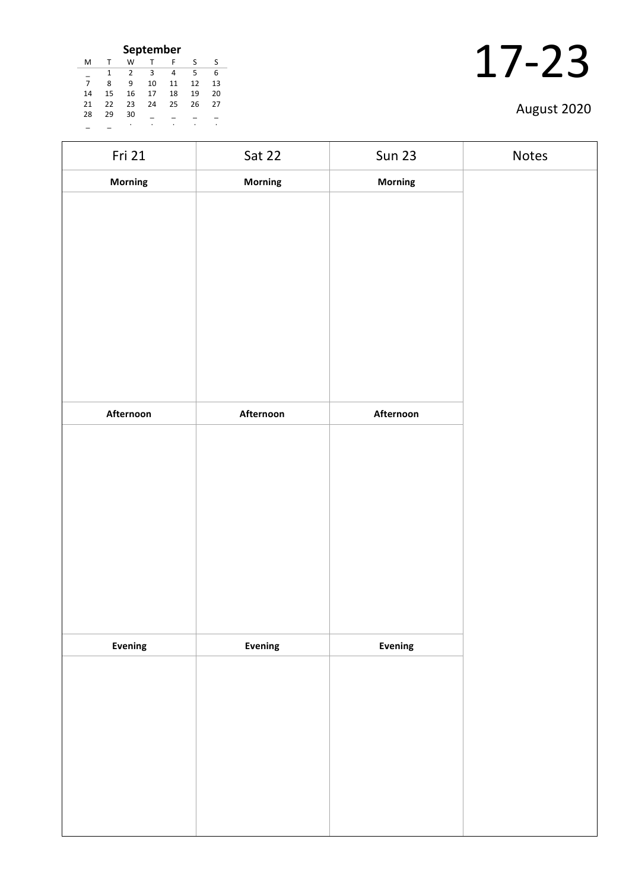| September |    |    |    |    |    |    |  |
|-----------|----|----|----|----|----|----|--|
| м         |    | w  |    | F  | S  | S  |  |
|           | 1  | 2  | з  | 4  | 5  | 6  |  |
| 7         | 8  | ٩  | 10 | 11 | 12 | 13 |  |
| 14        | 15 | 16 | 17 | 18 | 19 | 20 |  |
| 21        | 22 | 23 | 24 | 25 | 26 | 27 |  |
| 28        | 29 | 30 |    |    |    |    |  |
|           |    | ٠  |    |    |    |    |  |

| Fri 21    | Sat 22    | <b>Sun 23</b>  | Notes |
|-----------|-----------|----------------|-------|
| Morning   | Morning   | <b>Morning</b> |       |
|           |           |                |       |
|           |           |                |       |
|           |           |                |       |
|           |           |                |       |
|           |           |                |       |
|           |           |                |       |
|           |           |                |       |
|           |           |                |       |
| Afternoon | Afternoon | Afternoon      |       |
|           |           |                |       |
|           |           |                |       |
|           |           |                |       |
|           |           |                |       |
|           |           |                |       |
|           |           |                |       |
|           |           |                |       |
|           |           |                |       |
|           |           |                |       |
| Evening   | Evening   | Evening        |       |
|           |           |                |       |
|           |           |                |       |
|           |           |                |       |
|           |           |                |       |
|           |           |                |       |
|           |           |                |       |
|           |           |                |       |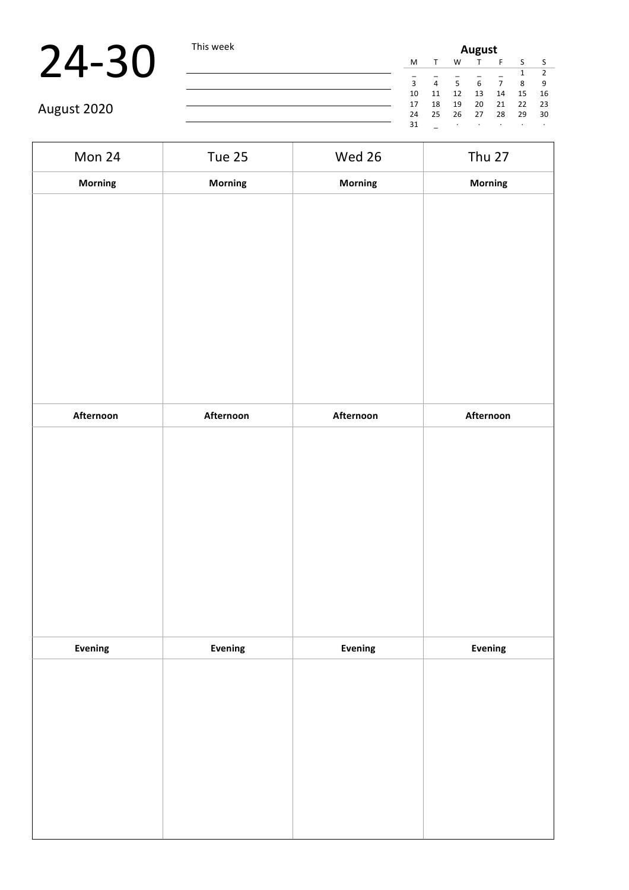| М  | T  | W  | Т  | F  | S      | -S            |
|----|----|----|----|----|--------|---------------|
|    |    |    |    |    | 1      | $\mathcal{P}$ |
| 3  | 4  | 5  | 6  | 7  | 8      | 9             |
| 10 | 11 | 12 | 13 | 14 | 15     | 16            |
| 17 | 18 | 19 | 20 | 21 | 22     | 23            |
| 24 | 25 | 26 | 27 | 28 | 29     | 30            |
| 31 |    |    |    |    | ٠      | ٠             |
|    |    |    |    |    | August |               |

| Mon 24    | <b>Tue 25</b> | Wed 26    | <b>Thu 27</b> |
|-----------|---------------|-----------|---------------|
| Morning   | Morning       | Morning   | Morning       |
|           |               |           |               |
|           |               |           |               |
|           |               |           |               |
|           |               |           |               |
|           |               |           |               |
|           |               |           |               |
|           |               |           |               |
|           |               |           |               |
|           |               |           |               |
| Afternoon | Afternoon     | Afternoon | Afternoon     |
|           |               |           |               |
|           |               |           |               |
|           |               |           |               |
|           |               |           |               |
|           |               |           |               |
|           |               |           |               |
|           |               |           |               |
|           |               |           |               |
| Evening   |               | Evening   |               |
|           | Evening       |           | Evening       |
|           |               |           |               |
|           |               |           |               |
|           |               |           |               |
|           |               |           |               |
|           |               |           |               |
|           |               |           |               |
|           |               |           |               |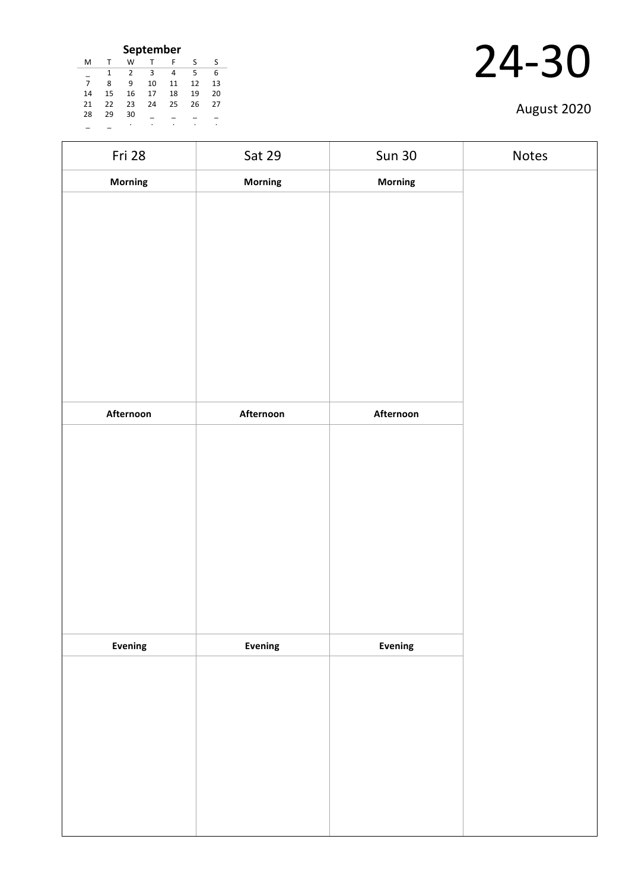| September                  |             |    |    |    |    |    |  |  |
|----------------------------|-------------|----|----|----|----|----|--|--|
| M                          | T           | w  | T  | F  | S  | S  |  |  |
| 1<br>3<br>5<br>2<br>4<br>6 |             |    |    |    |    |    |  |  |
| $\overline{7}$             | 8           | q  | 10 | 11 | 12 | 13 |  |  |
| 14                         | 15          | 16 | 17 | 18 | 19 | 20 |  |  |
| 21                         | 22          | 23 | 24 | 25 | 26 | 27 |  |  |
| 28                         | 29          | 30 |    |    |    |    |  |  |
|                            | ٠<br>٠<br>٠ |    |    |    |    |    |  |  |

| Fri 28    | Sat 29    | <b>Sun 30</b>  | Notes |
|-----------|-----------|----------------|-------|
| Morning   | Morning   | Morning        |       |
|           |           |                |       |
|           |           |                |       |
|           |           |                |       |
|           |           |                |       |
|           |           |                |       |
|           |           |                |       |
|           |           |                |       |
|           |           |                |       |
|           |           |                |       |
| Afternoon | Afternoon | Afternoon      |       |
|           |           |                |       |
|           |           |                |       |
|           |           |                |       |
|           |           |                |       |
|           |           |                |       |
|           |           |                |       |
|           |           |                |       |
|           |           |                |       |
|           |           |                |       |
|           |           |                |       |
| Evening   | Evening   | <b>Evening</b> |       |
|           |           |                |       |
|           |           |                |       |
|           |           |                |       |
|           |           |                |       |
|           |           |                |       |
|           |           |                |       |
|           |           |                |       |
|           |           |                |       |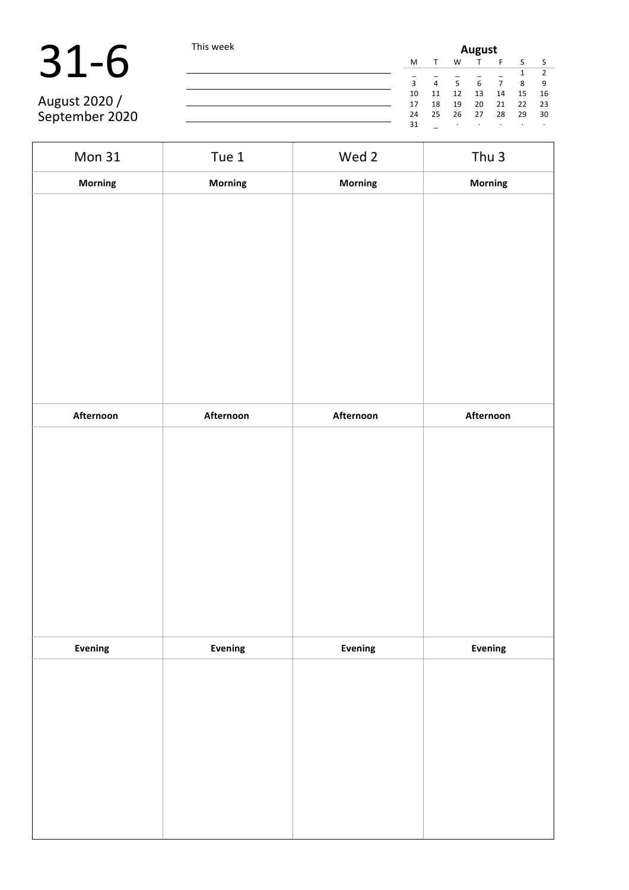# 31-6 This week

August 2020 / September 2020

| <b>August</b>       |  |  |  |  |  |
|---------------------|--|--|--|--|--|
|                     |  |  |  |  |  |
| 2                   |  |  |  |  |  |
| 9                   |  |  |  |  |  |
| 16                  |  |  |  |  |  |
| 23                  |  |  |  |  |  |
| 30                  |  |  |  |  |  |
| ٠                   |  |  |  |  |  |
| 8<br>15<br>22<br>29 |  |  |  |  |  |

| Mon 31    | Tue 1     | Wed 2     | Thu <sub>3</sub> |
|-----------|-----------|-----------|------------------|
| Morning   | Morning   | Morning   | Morning          |
|           |           |           |                  |
|           |           |           |                  |
|           |           |           |                  |
|           |           |           |                  |
|           |           |           |                  |
|           |           |           |                  |
|           |           |           |                  |
|           |           |           |                  |
|           |           |           |                  |
|           |           |           |                  |
| Afternoon | Afternoon | Afternoon | Afternoon        |
|           |           |           |                  |
|           |           |           |                  |
|           |           |           |                  |
|           |           |           |                  |
|           |           |           |                  |
|           |           |           |                  |
|           |           |           |                  |
|           |           |           |                  |
|           |           |           |                  |
|           |           |           |                  |
| Evening   | Evening   | Evening   | Evening          |
|           |           |           |                  |
|           |           |           |                  |
|           |           |           |                  |
|           |           |           |                  |
|           |           |           |                  |
|           |           |           |                  |
|           |           |           |                  |
|           |           |           |                  |
|           |           |           |                  |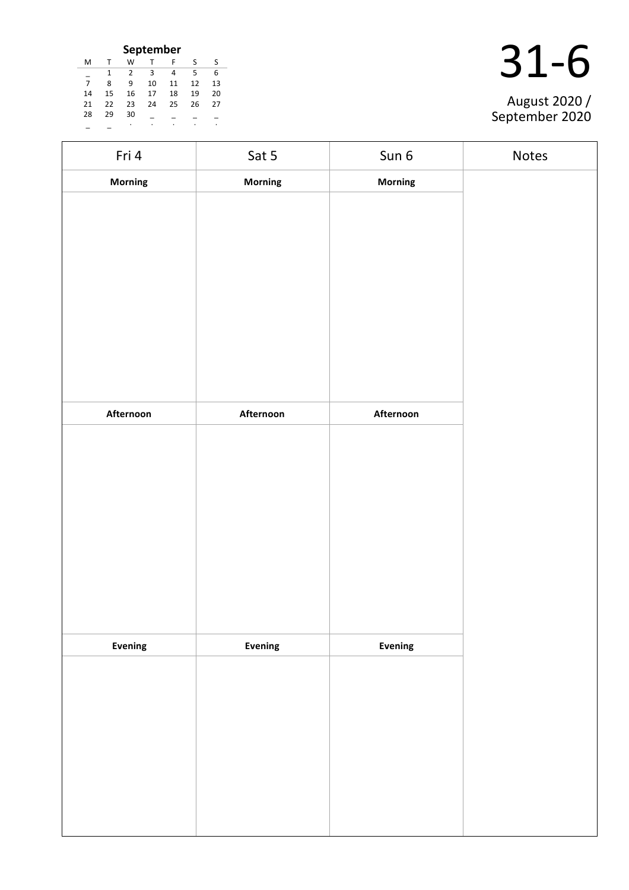| September      |    |    |    |    |    |    |  |  |
|----------------|----|----|----|----|----|----|--|--|
| M              | т  | W  |    | F  | S  | S  |  |  |
|                |    | 2  | 3  | 4  | 5  | 6  |  |  |
| $\overline{7}$ | 8  | ٩  | 10 | 11 | 12 | 13 |  |  |
| 14             | 15 | 16 | 17 | 18 | 19 | 20 |  |  |
| 21             | 22 | 23 | 24 | 25 | 26 | 27 |  |  |
| 28             | 29 | 30 |    |    |    |    |  |  |
|                |    | ٠  |    |    |    |    |  |  |

| August 2020 / |
|---------------|

| Fri 4     | Sat 5          | Sun 6     | Notes |
|-----------|----------------|-----------|-------|
| Morning   | <b>Morning</b> | Morning   |       |
|           |                |           |       |
|           |                |           |       |
|           |                |           |       |
|           |                |           |       |
|           |                |           |       |
|           |                |           |       |
|           |                |           |       |
|           |                |           |       |
| Afternoon | Afternoon      | Afternoon |       |
|           |                |           |       |
|           |                |           |       |
|           |                |           |       |
|           |                |           |       |
|           |                |           |       |
|           |                |           |       |
|           |                |           |       |
|           |                |           |       |
| Evening   | Evening        | Evening   |       |
|           |                |           |       |
|           |                |           |       |
|           |                |           |       |
|           |                |           |       |
|           |                |           |       |
|           |                |           |       |
|           |                |           |       |
|           |                |           |       |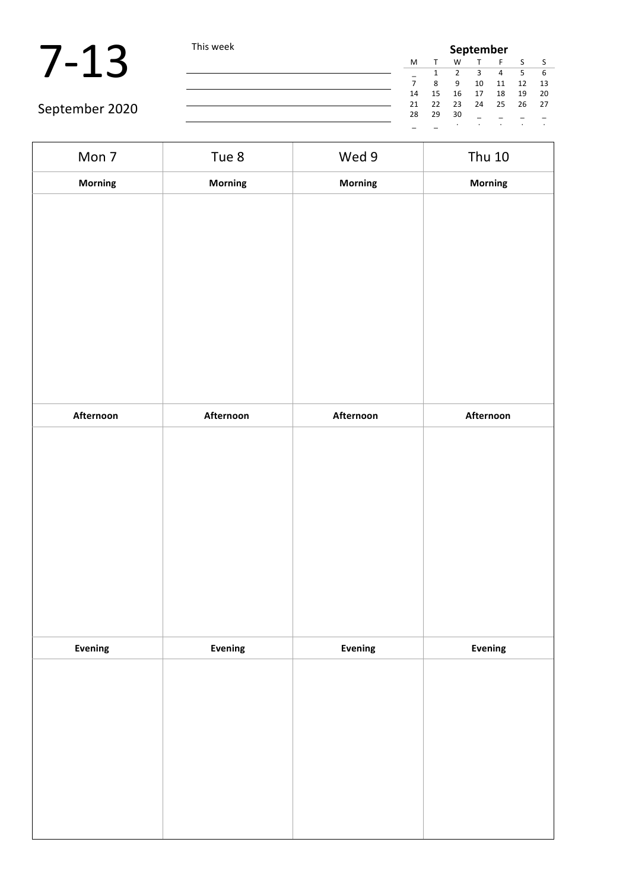|                | This week |    | <b>September</b> |    |    |    |    |      |  |  |
|----------------|-----------|----|------------------|----|----|----|----|------|--|--|
|                |           | M  |                  | W  |    |    |    |      |  |  |
|                |           |    |                  |    |    |    |    |      |  |  |
|                |           |    | Ջ                | 9  | 10 | 11 | 12 | -13  |  |  |
|                |           | 14 | 15               | 16 | 17 | 18 | 19 | 20   |  |  |
| September 2020 |           | 21 | 22               | 23 | 24 | 25 | 26 | - 27 |  |  |
|                |           | 28 | 29               | 30 |    |    |    |      |  |  |
|                |           |    |                  |    |    |    |    |      |  |  |

| Mon 7     | Tue 8     | Wed 9     | <b>Thu 10</b> |
|-----------|-----------|-----------|---------------|
| Morning   | Morning   | Morning   | Morning       |
|           |           |           |               |
|           |           |           |               |
|           |           |           |               |
|           |           |           |               |
|           |           |           |               |
|           |           |           |               |
|           |           |           |               |
|           |           |           |               |
| Afternoon | Afternoon | Afternoon | Afternoon     |
|           |           |           |               |
|           |           |           |               |
|           |           |           |               |
|           |           |           |               |
|           |           |           |               |
|           |           |           |               |
|           |           |           |               |
|           |           |           |               |
| Evening   | Evening   | Evening   | Evening       |
|           |           |           |               |
|           |           |           |               |
|           |           |           |               |
|           |           |           |               |
|           |           |           |               |
|           |           |           |               |
|           |           |           |               |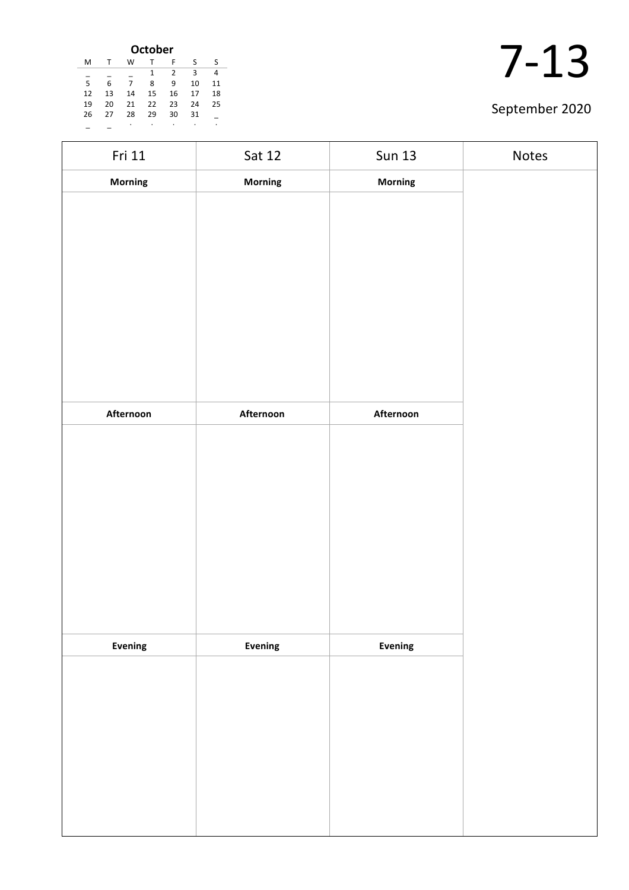| <b>October</b> |    |    |    |    |    |    |  |  |
|----------------|----|----|----|----|----|----|--|--|
| M              |    | W  |    | F  | S  | S  |  |  |
|                |    |    | 1  | 2  | 3  | 4  |  |  |
| 5              | 6  | 7  | 8  | 9  | 10 | 11 |  |  |
| 12             | 13 | 14 | 15 | 16 | 17 | 18 |  |  |
| 19             | 20 | 21 | 22 | 23 | 24 | 25 |  |  |
| 26             | 27 | 28 | 29 | 30 | 31 |    |  |  |
|                |    | ٠  | ٠  | ٠  | ٠  | ٠  |  |  |

| Fri 11    | Sat 12    | <b>Sun 13</b>  | Notes |
|-----------|-----------|----------------|-------|
| Morning   | Morning   | Morning        |       |
|           |           |                |       |
|           |           |                |       |
|           |           |                |       |
|           |           |                |       |
|           |           |                |       |
|           |           |                |       |
|           |           |                |       |
|           |           |                |       |
|           |           |                |       |
| Afternoon | Afternoon | Afternoon      |       |
|           |           |                |       |
|           |           |                |       |
|           |           |                |       |
|           |           |                |       |
|           |           |                |       |
|           |           |                |       |
|           |           |                |       |
|           |           |                |       |
|           |           |                |       |
|           |           | <b>Evening</b> |       |
| Evening   | Evening   |                |       |
|           |           |                |       |
|           |           |                |       |
|           |           |                |       |
|           |           |                |       |
|           |           |                |       |
|           |           |                |       |
|           |           |                |       |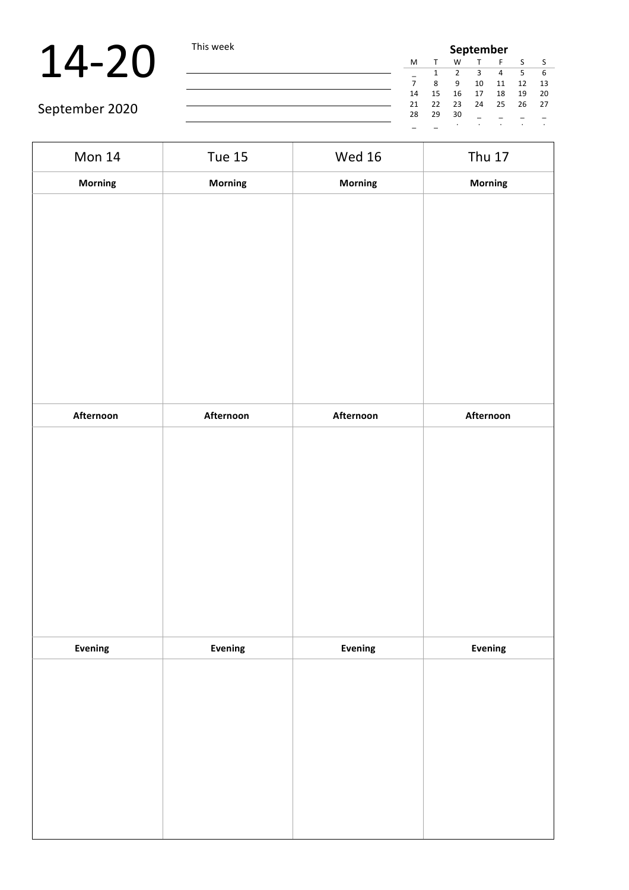| меек | September |    |    |    |    |         |    |  |
|------|-----------|----|----|----|----|---------|----|--|
|      | м         | т  | W  | т  | F  | S       | S  |  |
|      |           |    | 2  | 3  | 4  | 5       | 6  |  |
|      | 7         | 8  | 9  | 10 | 11 | 12      | 13 |  |
|      | 14        | 15 | 16 | 17 | 18 | 19      | 20 |  |
|      | 21        | 22 | 23 | 24 | 25 | 26      | 27 |  |
|      | 28        | 29 | 30 |    |    |         |    |  |
|      |           |    | ٠  |    |    | $\cdot$ | ٠  |  |

| Mon 14    | <b>Tue 15</b> | <b>Wed 16</b> | <b>Thu 17</b> |
|-----------|---------------|---------------|---------------|
| Morning   | Morning       | Morning       | Morning       |
|           |               |               |               |
|           |               |               |               |
|           |               |               |               |
|           |               |               |               |
|           |               |               |               |
|           |               |               |               |
|           |               |               |               |
|           |               |               |               |
| Afternoon | Afternoon     | Afternoon     | Afternoon     |
|           |               |               |               |
|           |               |               |               |
|           |               |               |               |
|           |               |               |               |
|           |               |               |               |
|           |               |               |               |
|           |               |               |               |
|           |               |               |               |
| Evening   | Evening       | Evening       | Evening       |
|           |               |               |               |
|           |               |               |               |
|           |               |               |               |
|           |               |               |               |
|           |               |               |               |
|           |               |               |               |
|           |               |               |               |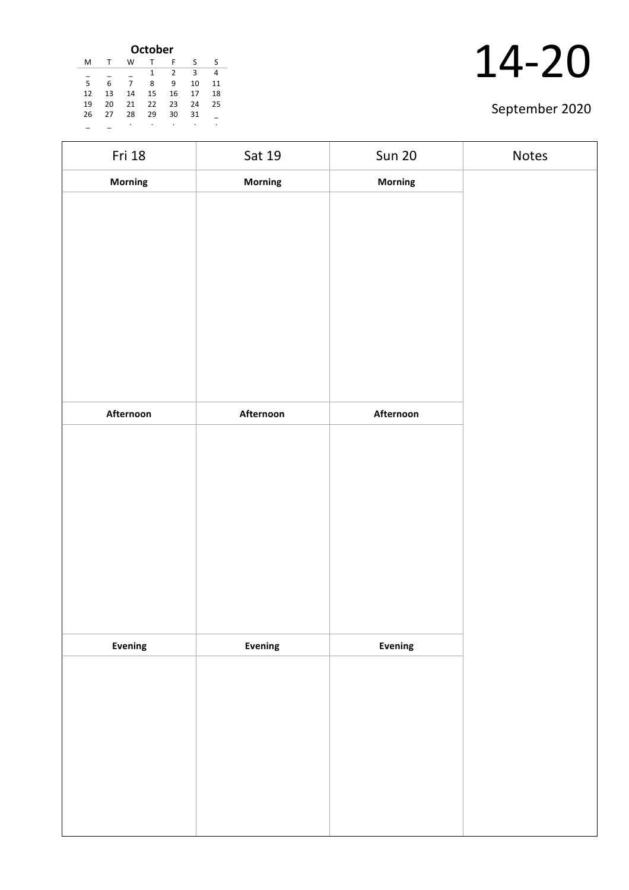| <b>October</b> |    |    |    |    |    |    |  |  |
|----------------|----|----|----|----|----|----|--|--|
| M              |    | W  |    | F  | S  | S  |  |  |
|                |    |    | 1  | 2  | 3  | 4  |  |  |
| 5              | 6  | 7  | 8  | 9  | 10 | 11 |  |  |
| 12             | 13 | 14 | 15 | 16 | 17 | 18 |  |  |
| 19             | 20 | 21 | 22 | 23 | 24 | 25 |  |  |
| 26             | 27 | 28 | 29 | 30 | 31 |    |  |  |
|                |    | ٠  | ٠  | ٠  | ٠  | ٠  |  |  |

| Fri 18    | Sat 19    | <b>Sun 20</b> | Notes |
|-----------|-----------|---------------|-------|
| Morning   | Morning   | Morning       |       |
|           |           |               |       |
|           |           |               |       |
|           |           |               |       |
|           |           |               |       |
|           |           |               |       |
|           |           |               |       |
|           |           |               |       |
|           |           |               |       |
| Afternoon | Afternoon | Afternoon     |       |
|           |           |               |       |
|           |           |               |       |
|           |           |               |       |
|           |           |               |       |
|           |           |               |       |
|           |           |               |       |
|           |           |               |       |
|           |           |               |       |
| Evening   | Evening   | Evening       |       |
|           |           |               |       |
|           |           |               |       |
|           |           |               |       |
|           |           |               |       |
|           |           |               |       |
|           |           |               |       |
|           |           |               |       |
|           |           |               |       |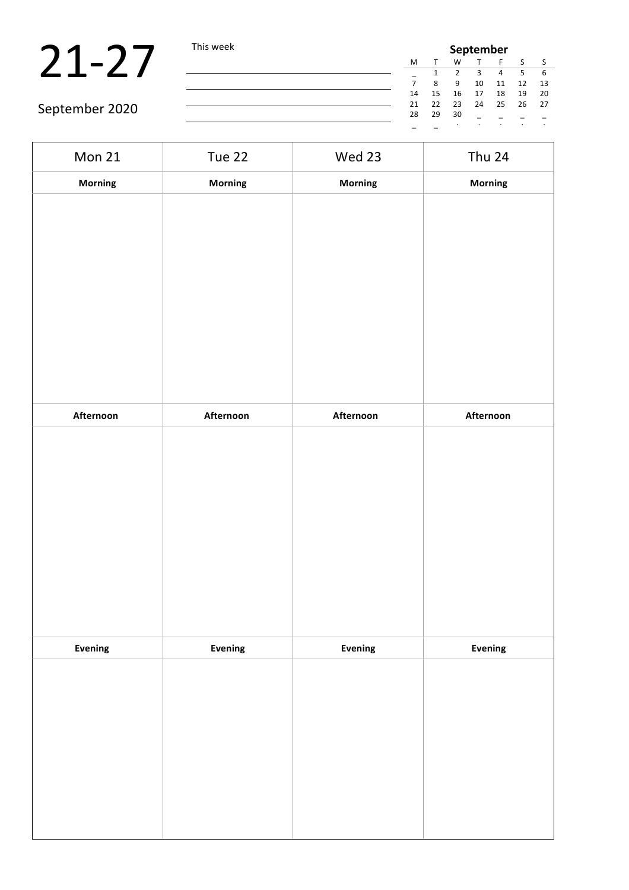## 21-27 This week

| week | September |    |         |    |    |         |         |
|------|-----------|----|---------|----|----|---------|---------|
|      | M         | T  | W       | т  | F  | S       |         |
|      |           |    | 2       | 3  | 4  | 5       | 6       |
|      |           | 8  | 9       | 10 | 11 | 12      | 13      |
|      | 14        | 15 | 16      | 17 | 18 | 19      | 20      |
|      | 21        | 22 | 23      | 24 | 25 | 26      | 27      |
|      | 28        | 29 | 30      |    |    |         |         |
|      |           |    | $\cdot$ | ٠  | ٠  | $\cdot$ | $\cdot$ |

| <b>Mon 21</b> | Tue 22    | Wed 23    | <b>Thu 24</b> |
|---------------|-----------|-----------|---------------|
| Morning       | Morning   | Morning   | Morning       |
|               |           |           |               |
| Afternoon     | Afternoon | Afternoon | Afternoon     |
|               |           |           |               |
| Evening       | Evening   | Evening   | Evening       |
|               |           |           |               |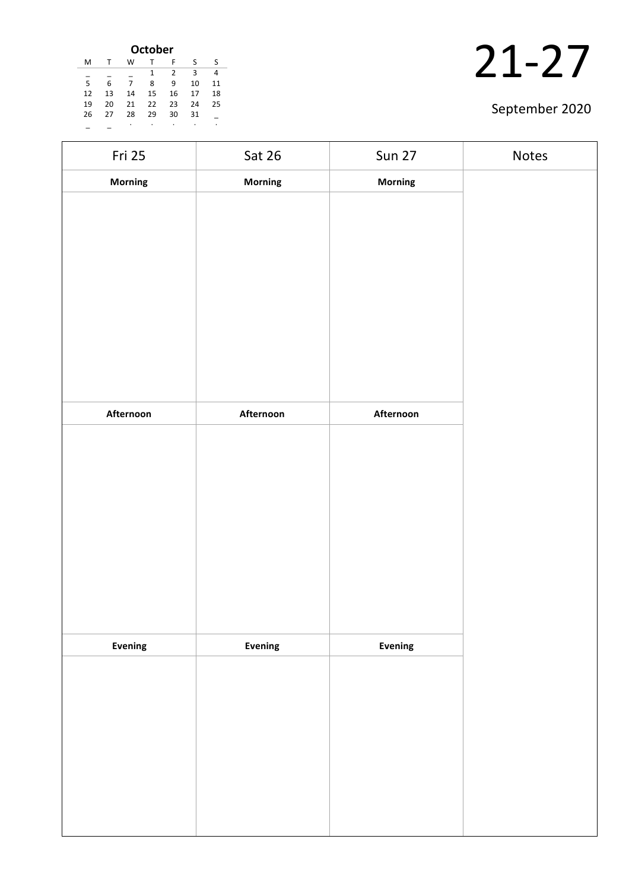| <b>October</b> |    |    |    |    |    |    |  |  |
|----------------|----|----|----|----|----|----|--|--|
| M              |    | W  |    | F  | S  | S  |  |  |
|                |    |    | 1  | 2  | 3  | 4  |  |  |
| 5              | 6  | 7  | 8  | 9  | 10 | 11 |  |  |
| 12             | 13 | 14 | 15 | 16 | 17 | 18 |  |  |
| 19             | 20 | 21 | 22 | 23 | 24 | 25 |  |  |
| 26             | 27 | 28 | 29 | 30 | 31 |    |  |  |
|                |    | ٠  | ٠  | ٠  | ٠  | ٠  |  |  |

| Fri 25    | Sat 26    | <b>Sun 27</b>  | Notes |
|-----------|-----------|----------------|-------|
| Morning   | Morning   | Morning        |       |
|           |           |                |       |
|           |           |                |       |
|           |           |                |       |
|           |           |                |       |
|           |           |                |       |
|           |           |                |       |
|           |           |                |       |
|           |           |                |       |
|           |           |                |       |
| Afternoon | Afternoon | Afternoon      |       |
|           |           |                |       |
|           |           |                |       |
|           |           |                |       |
|           |           |                |       |
|           |           |                |       |
|           |           |                |       |
|           |           |                |       |
|           |           |                |       |
| Evening   | Evening   | <b>Evening</b> |       |
|           |           |                |       |
|           |           |                |       |
|           |           |                |       |
|           |           |                |       |
|           |           |                |       |
|           |           |                |       |
|           |           |                |       |
|           |           |                |       |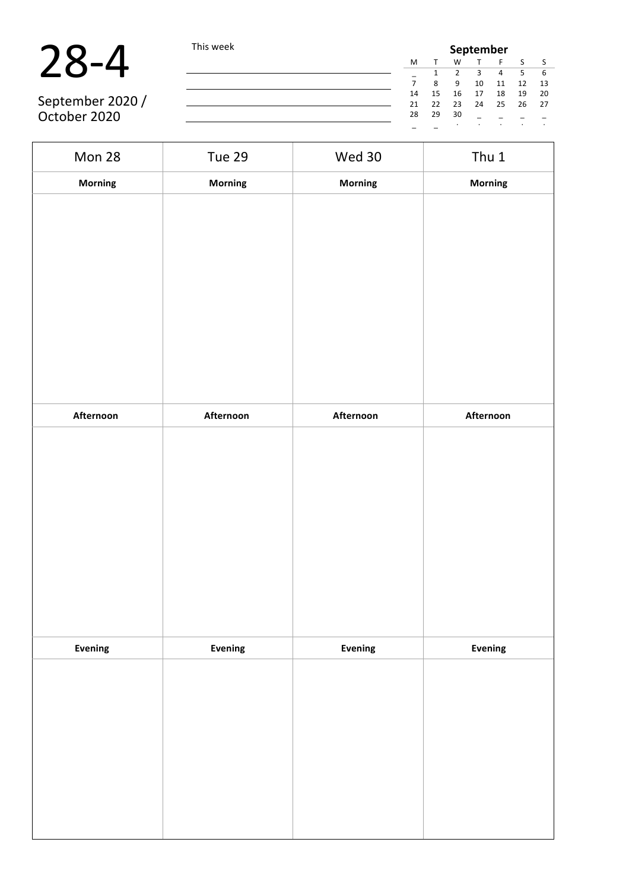| $\bigcap$ | $\blacksquare$ |  | $ \Delta$ |
|-----------|----------------|--|-----------|
|-----------|----------------|--|-----------|

|                  | This week |    |    | September |    |    |    |      |  |  |  |  |
|------------------|-----------|----|----|-----------|----|----|----|------|--|--|--|--|
|                  |           | M  |    |           |    |    |    |      |  |  |  |  |
|                  |           |    |    |           |    |    |    | -6   |  |  |  |  |
|                  |           |    | Я  |           | 10 | 11 | 12 | - 13 |  |  |  |  |
|                  |           | 14 | 15 | 16        | 17 | 18 | 19 | - 20 |  |  |  |  |
| September 2020 / |           | 21 | 22 | 23        | 24 | 25 | 26 | - 27 |  |  |  |  |
| October 2020     |           | 28 | 29 | 30        |    |    |    |      |  |  |  |  |
|                  |           |    |    |           |    |    |    |      |  |  |  |  |

| Mon 28         | <b>Tue 29</b>  | Wed 30    | Thu 1     |
|----------------|----------------|-----------|-----------|
| <b>Morning</b> | Morning        | Morning   | Morning   |
|                |                |           |           |
|                |                |           |           |
|                |                |           |           |
|                |                |           |           |
|                |                |           |           |
|                |                |           |           |
|                |                |           |           |
|                |                |           |           |
|                |                |           |           |
| Afternoon      | Afternoon      | Afternoon | Afternoon |
|                |                |           |           |
|                |                |           |           |
|                |                |           |           |
|                |                |           |           |
|                |                |           |           |
|                |                |           |           |
|                |                |           |           |
|                |                |           |           |
|                |                |           |           |
| Evening        | <b>Evening</b> | Evening   | Evening   |
|                |                |           |           |
|                |                |           |           |
|                |                |           |           |
|                |                |           |           |
|                |                |           |           |
|                |                |           |           |
|                |                |           |           |
|                |                |           |           |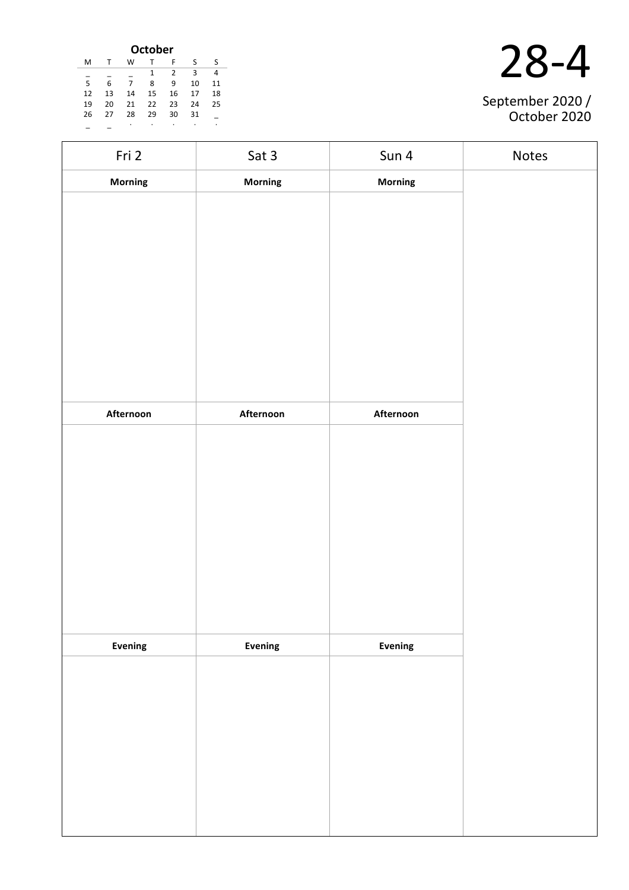| <b>October</b> |    |    |    |    |    |    |  |
|----------------|----|----|----|----|----|----|--|
| M              |    | w  |    | F  | S  | S  |  |
|                |    |    | 1  | 2  | 3  | 4  |  |
| 5              | 6  | 7  | 8  | 9  | 10 | 11 |  |
| 12             | 13 | 14 | 15 | 16 | 17 | 18 |  |
| 19             | 20 | 21 | 22 | 23 | 24 | 25 |  |
| 26             | 27 | 28 | 29 | 30 | 31 |    |  |
|                |    | ٠  | ٠  | ٠  | ٠  | ٠  |  |

| September 2020 /<br>October 2020 |
|----------------------------------|

| Fri 2     | Sat 3          | Sun 4          | Notes |
|-----------|----------------|----------------|-------|
| Morning   | <b>Morning</b> | <b>Morning</b> |       |
|           |                |                |       |
|           |                |                |       |
|           |                |                |       |
|           |                |                |       |
|           |                |                |       |
|           |                |                |       |
|           |                |                |       |
|           |                |                |       |
|           |                |                |       |
| Afternoon | Afternoon      | Afternoon      |       |
|           |                |                |       |
|           |                |                |       |
|           |                |                |       |
|           |                |                |       |
|           |                |                |       |
|           |                |                |       |
|           |                |                |       |
|           |                |                |       |
| Evening   | Evening        | Evening        |       |
|           |                |                |       |
|           |                |                |       |
|           |                |                |       |
|           |                |                |       |
|           |                |                |       |
|           |                |                |       |
|           |                |                |       |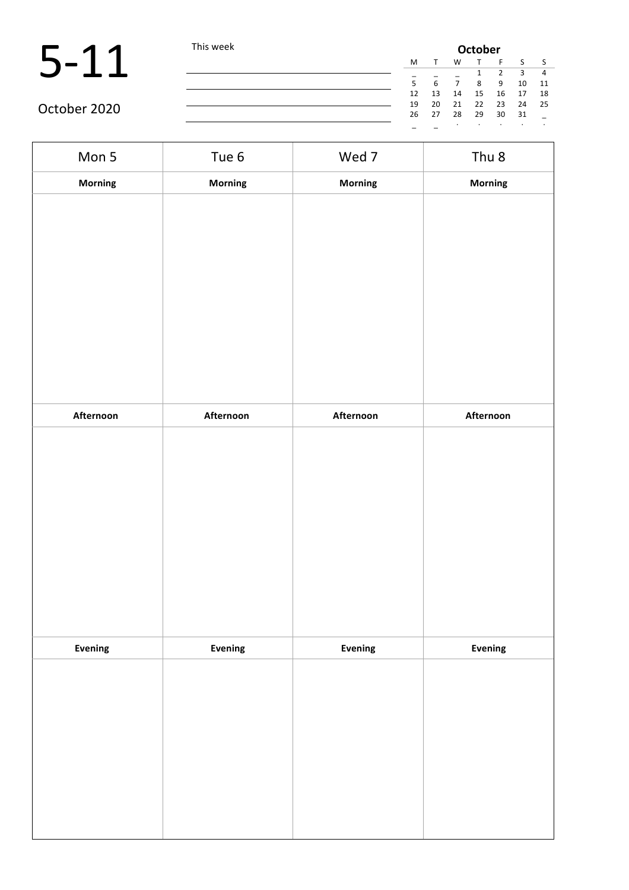|              | This week | <b>October</b> |    |    |    |    |    |      |  |
|--------------|-----------|----------------|----|----|----|----|----|------|--|
|              |           | M              |    | W  |    |    |    |      |  |
|              |           | -              |    |    |    |    |    |      |  |
|              |           |                | 6  |    | 8  | q  | 10 | 11   |  |
|              |           | 12             | 13 | 14 | 15 | 16 | 17 | -18  |  |
|              |           | 19             | 20 | 21 | 22 | 23 | 24 | - 25 |  |
| October 2020 |           | 26             | 27 | 28 | 29 | 30 | 31 |      |  |
|              |           |                |    |    |    |    |    |      |  |

| Mon 5          | Tue 6     | Wed 7     | Thu <sub>8</sub> |
|----------------|-----------|-----------|------------------|
| Morning        | Morning   | Morning   | Morning          |
|                |           |           |                  |
|                |           |           |                  |
|                |           |           |                  |
|                |           |           |                  |
|                |           |           |                  |
|                |           |           |                  |
|                |           |           |                  |
|                |           |           |                  |
|                |           |           |                  |
| Afternoon      | Afternoon | Afternoon | Afternoon        |
|                |           |           |                  |
|                |           |           |                  |
|                |           |           |                  |
|                |           |           |                  |
|                |           |           |                  |
|                |           |           |                  |
|                |           |           |                  |
|                |           |           |                  |
|                |           |           |                  |
| <b>Evening</b> | Evening   | Evening   | Evening          |
|                |           |           |                  |
|                |           |           |                  |
|                |           |           |                  |
|                |           |           |                  |
|                |           |           |                  |
|                |           |           |                  |
|                |           |           |                  |
|                |           |           |                  |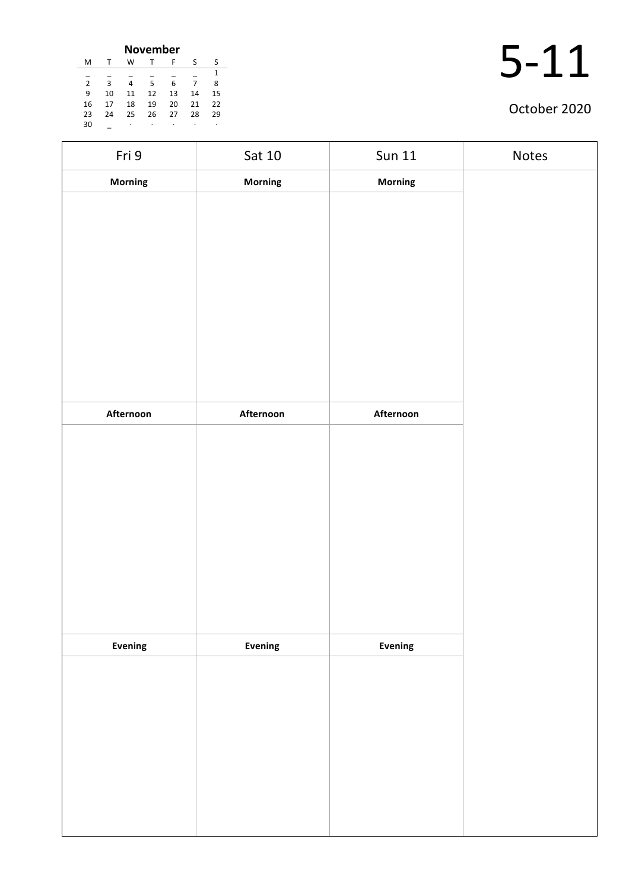| <b>November</b> |                |    |    |    |    |    |    |  |  |
|-----------------|----------------|----|----|----|----|----|----|--|--|
|                 | м              |    | w  | т  | F  | S  | S  |  |  |
|                 |                |    |    |    |    |    | 1  |  |  |
|                 | $\mathfrak{p}$ | κ  | 4  | 5  | 6  |    | 8  |  |  |
|                 | 9              | 10 | 11 | 12 | 13 | 14 | 15 |  |  |
|                 | 16             | 17 | 18 | 19 | 20 | 21 | 22 |  |  |
|                 | 23             | 24 | 25 | 26 | 27 | 28 | 29 |  |  |
|                 | 30             |    | ٠  | ٠  | ٠  |    | ٠  |  |  |

| Fri 9     | Sat 10    | <b>Sun 11</b>  | Notes |
|-----------|-----------|----------------|-------|
| Morning   | Morning   | Morning        |       |
|           |           |                |       |
|           |           |                |       |
|           |           |                |       |
|           |           |                |       |
|           |           |                |       |
|           |           |                |       |
|           |           |                |       |
|           |           |                |       |
| Afternoon | Afternoon | Afternoon      |       |
|           |           |                |       |
|           |           |                |       |
|           |           |                |       |
|           |           |                |       |
|           |           |                |       |
|           |           |                |       |
|           |           |                |       |
|           |           |                |       |
| Evening   | Evening   | <b>Evening</b> |       |
|           |           |                |       |
|           |           |                |       |
|           |           |                |       |
|           |           |                |       |
|           |           |                |       |
|           |           |                |       |
|           |           |                |       |
|           |           |                |       |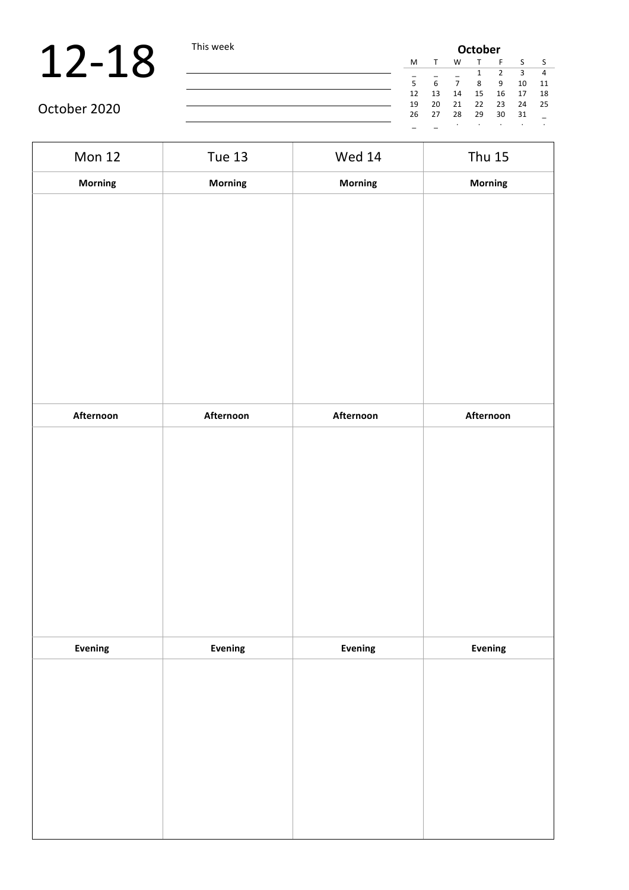# 12-18 This week

|    | <b>October</b> |    |    |    |    |    |  |  |
|----|----------------|----|----|----|----|----|--|--|
| М  |                | W  |    | F  | S  |    |  |  |
|    |                |    | 1  | 2  | 3  | 4  |  |  |
| 5  | 6              | 7  | 8  | 9  | 10 | 11 |  |  |
| 12 | 13             | 14 | 15 | 16 | 17 | 18 |  |  |
| 19 | 20             | 21 | 22 | 23 | 24 | 25 |  |  |
| 26 | 27             | 28 | 29 | 30 | 31 |    |  |  |
|    |                |    |    |    |    |    |  |  |

| <b>Mon 12</b> | <b>Tue 13</b>  | <b>Wed 14</b> | <b>Thu 15</b> |
|---------------|----------------|---------------|---------------|
| Morning       | <b>Morning</b> | Morning       | Morning       |
|               |                |               |               |
|               |                |               |               |
|               |                |               |               |
|               |                |               |               |
|               |                |               |               |
|               |                |               |               |
| Afternoon     | Afternoon      | Afternoon     | Afternoon     |
|               |                |               |               |
|               |                |               |               |
|               |                |               |               |
|               |                |               |               |
|               |                |               |               |
|               |                |               |               |
| Evening       | Evening        | Evening       | Evening       |
|               |                |               |               |
|               |                |               |               |
|               |                |               |               |
|               |                |               |               |
|               |                |               |               |
|               |                |               |               |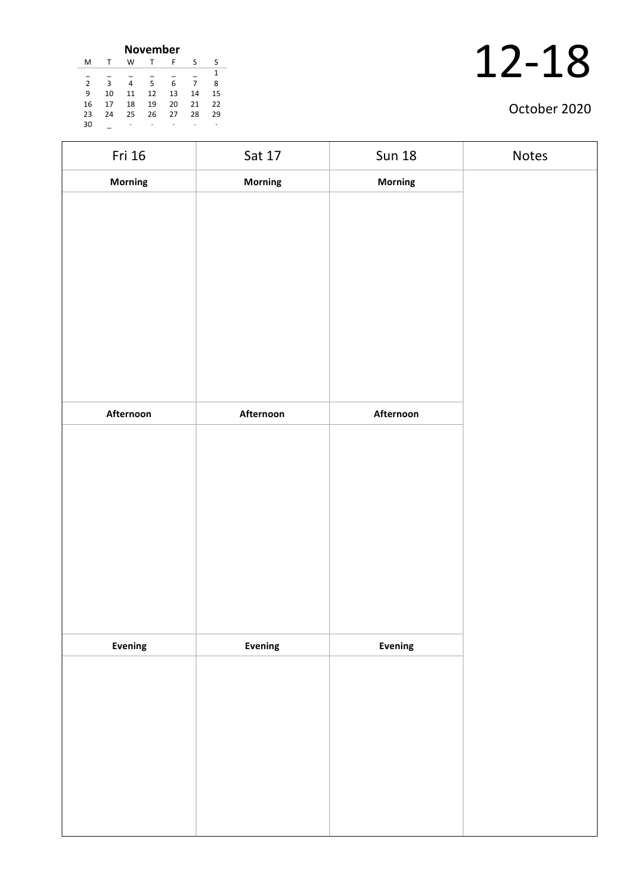| <b>November</b> |    |    |    |    |    |    |  |  |
|-----------------|----|----|----|----|----|----|--|--|
| м               |    | W  |    | F  | S  | S  |  |  |
|                 |    |    |    |    |    | 1  |  |  |
| $\overline{2}$  | κ  | 4  | 5  | 6  | 7  | 8  |  |  |
| 9               | 10 | 11 | 12 | 13 | 14 | 15 |  |  |
| 16              | 17 | 18 | 19 | 20 | 21 | 22 |  |  |
| 23              | 24 | 25 | 26 | 27 | 28 | 29 |  |  |
| 30              |    | ٠  | ٠  | ٠  |    | ٠  |  |  |

| Fri 16    | Sat 17    | <b>Sun 18</b>  | Notes |
|-----------|-----------|----------------|-------|
| Morning   | Morning   | Morning        |       |
|           |           |                |       |
|           |           |                |       |
|           |           |                |       |
|           |           |                |       |
|           |           |                |       |
|           |           |                |       |
|           |           |                |       |
|           |           |                |       |
|           |           |                |       |
| Afternoon | Afternoon | Afternoon      |       |
|           |           |                |       |
|           |           |                |       |
|           |           |                |       |
|           |           |                |       |
|           |           |                |       |
|           |           |                |       |
|           |           |                |       |
|           |           |                |       |
|           |           |                |       |
| Evening   | Evening   | <b>Evening</b> |       |
|           |           |                |       |
|           |           |                |       |
|           |           |                |       |
|           |           |                |       |
|           |           |                |       |
|           |           |                |       |
|           |           |                |       |
|           |           |                |       |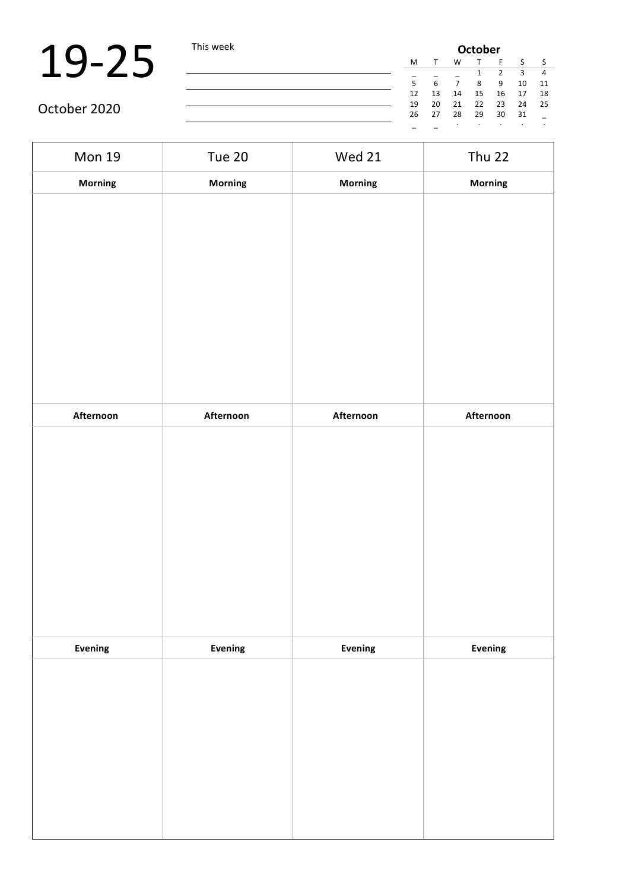| ils week | <b>October</b> |    |    |         |         |    |         |         |
|----------|----------------|----|----|---------|---------|----|---------|---------|
|          |                | М  | т  | W       | т       | F  | S       | - S     |
|          |                |    |    |         | 1       | 2  | 3       | 4       |
|          |                | 5  | 6  | 7       | 8       | 9  | 10      | 11      |
|          |                | 12 | 13 | 14      | 15      | 16 | 17      | 18      |
|          |                | 19 | 20 | 21      | 22      | 23 | 24      | 25      |
|          |                | 26 | 27 | 28      | 29      | 30 | 31      |         |
|          |                |    |    | $\cdot$ | $\cdot$ | ٠  | $\cdot$ | $\cdot$ |
|          |                |    |    |         |         |    |         |         |

| <b>Mon 19</b>  | <b>Tue 20</b>  | <b>Wed 21</b> | <b>Thu 22</b> |
|----------------|----------------|---------------|---------------|
| Morning        | <b>Morning</b> | Morning       | Morning       |
|                |                |               |               |
|                |                |               |               |
|                |                |               |               |
|                |                |               |               |
|                |                |               |               |
|                |                |               |               |
|                |                |               |               |
| Afternoon      | Afternoon      | Afternoon     | Afternoon     |
|                |                |               |               |
|                |                |               |               |
|                |                |               |               |
|                |                |               |               |
|                |                |               |               |
|                |                |               |               |
|                |                |               |               |
| <b>Evening</b> | Evening        | Evening       | Evening       |
|                |                |               |               |
|                |                |               |               |
|                |                |               |               |
|                |                |               |               |
|                |                |               |               |
|                |                |               |               |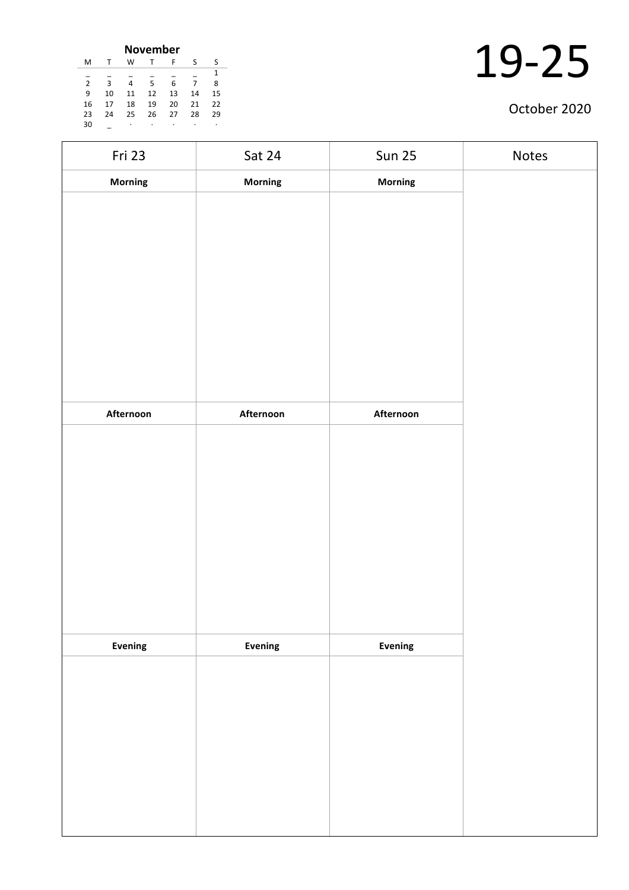| <b>November</b> |    |    |    |    |    |    |  |  |
|-----------------|----|----|----|----|----|----|--|--|
| м               |    | W  | т  | F  | S  | S  |  |  |
|                 |    |    |    |    |    | 1  |  |  |
| $\overline{2}$  | κ  | 4  | 5  | 6  | 7  | 8  |  |  |
| 9               | 10 | 11 | 12 | 13 | 14 | 15 |  |  |
| 16              | 17 | 18 | 19 | 20 | 21 | 22 |  |  |
| 23              | 24 | 25 | 26 | 27 | 28 | 29 |  |  |
| 30              |    | ٠  | ٠  | ٠  | ٠  | ٠  |  |  |

| Fri 23    | Sat 24    | <b>Sun 25</b> | Notes |
|-----------|-----------|---------------|-------|
| Morning   | Morning   | Morning       |       |
|           |           |               |       |
|           |           |               |       |
|           |           |               |       |
|           |           |               |       |
|           |           |               |       |
|           |           |               |       |
|           |           |               |       |
|           |           |               |       |
|           |           |               |       |
| Afternoon | Afternoon | Afternoon     |       |
|           |           |               |       |
|           |           |               |       |
|           |           |               |       |
|           |           |               |       |
|           |           |               |       |
|           |           |               |       |
|           |           |               |       |
|           |           |               |       |
| Evening   | Evening   | Evening       |       |
|           |           |               |       |
|           |           |               |       |
|           |           |               |       |
|           |           |               |       |
|           |           |               |       |
|           |           |               |       |
|           |           |               |       |
|           |           |               |       |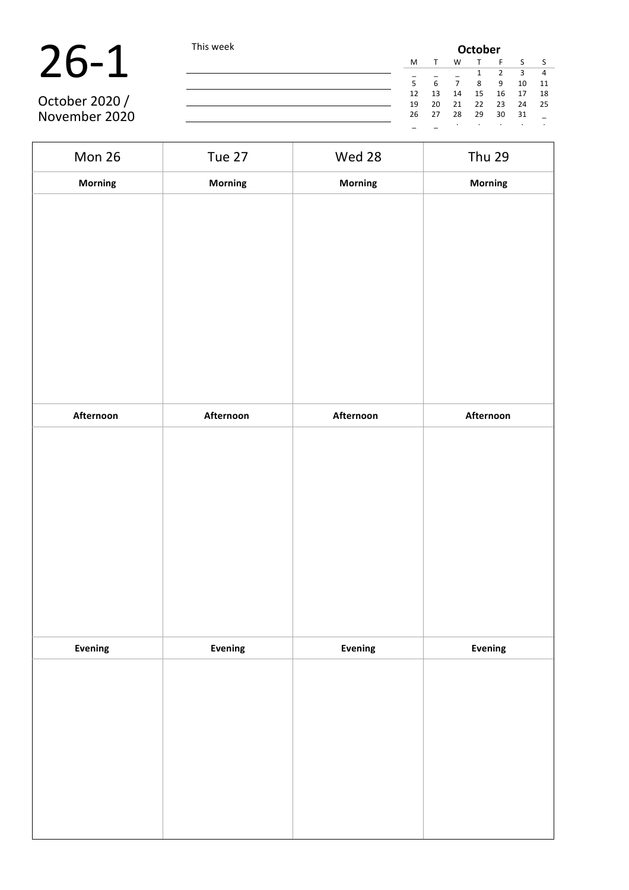| October 2020 / |
|----------------|

|                | This week |    | <b>October</b> |    |    |    |    |      |  |  |  |
|----------------|-----------|----|----------------|----|----|----|----|------|--|--|--|
|                |           | M  |                | W  |    |    |    |      |  |  |  |
|                |           |    |                |    |    |    |    | 4    |  |  |  |
|                |           | 5  |                |    | 8  | -9 | 10 | 11   |  |  |  |
|                |           | 12 | 13             | 14 | 15 | 16 | 17 | 18   |  |  |  |
| October 2020 / |           | 19 | 20             | 21 | 22 | 23 | 24 | - 25 |  |  |  |
| November 2020  |           | 26 | 27             | 28 | 29 | 30 | 31 |      |  |  |  |
|                |           |    |                |    |    |    |    |      |  |  |  |

Mon 26 Tue 27 Wed 28 Thu 29 **Morning Morning Morning Morning Afternoon Afternoon Afternoon Afternoon Evening Evening Evening Evening**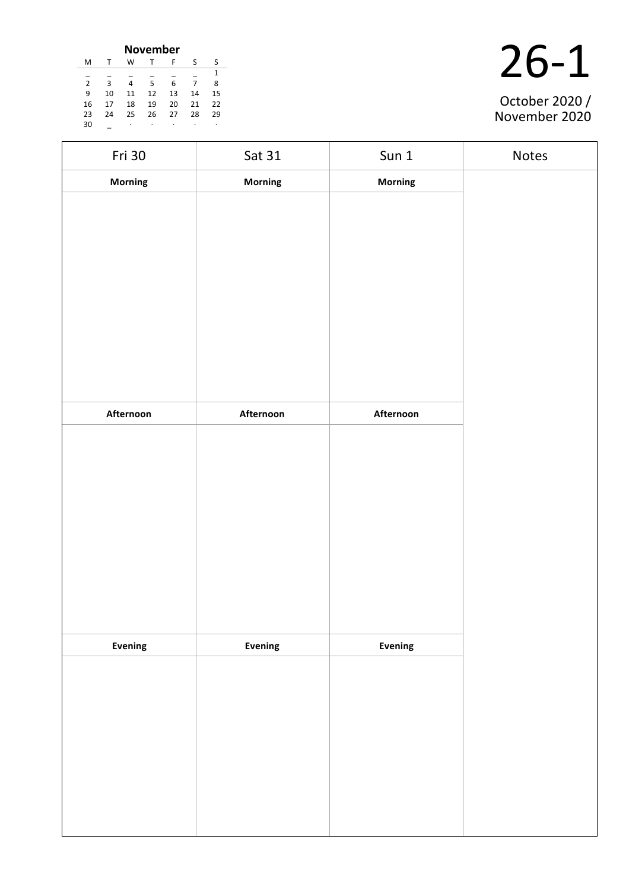|               | <b>November</b> |    |    |    |    |    |  |  |  |  |
|---------------|-----------------|----|----|----|----|----|--|--|--|--|
| м             | т               | w  |    | F  | S  | S  |  |  |  |  |
|               |                 |    |    |    |    | 1  |  |  |  |  |
| $\mathcal{P}$ | з               | 4  | 5  | 6  |    | 8  |  |  |  |  |
| 9             | 10              | 11 | 12 | 13 | 14 | 15 |  |  |  |  |
| 16            | 17              | 18 | 19 | 20 | 21 | 22 |  |  |  |  |
| 23            | 24              | 25 | 26 | 27 | 28 | 29 |  |  |  |  |
| 30            |                 | ٠  | ٠  | ٠  | ٠  | ٠  |  |  |  |  |

| Fri 30    | Sat 31         | Sun 1          | Notes |
|-----------|----------------|----------------|-------|
| Morning   | <b>Morning</b> | <b>Morning</b> |       |
|           |                |                |       |
|           |                |                |       |
|           |                |                |       |
|           |                |                |       |
|           |                |                |       |
|           |                |                |       |
|           |                |                |       |
|           |                |                |       |
|           |                |                |       |
| Afternoon | Afternoon      | Afternoon      |       |
|           |                |                |       |
|           |                |                |       |
|           |                |                |       |
|           |                |                |       |
|           |                |                |       |
|           |                |                |       |
|           |                |                |       |
|           |                |                |       |
| Evening   | <b>Evening</b> | Evening        |       |
|           |                |                |       |
|           |                |                |       |
|           |                |                |       |
|           |                |                |       |
|           |                |                |       |
|           |                |                |       |
|           |                |                |       |
|           |                |                |       |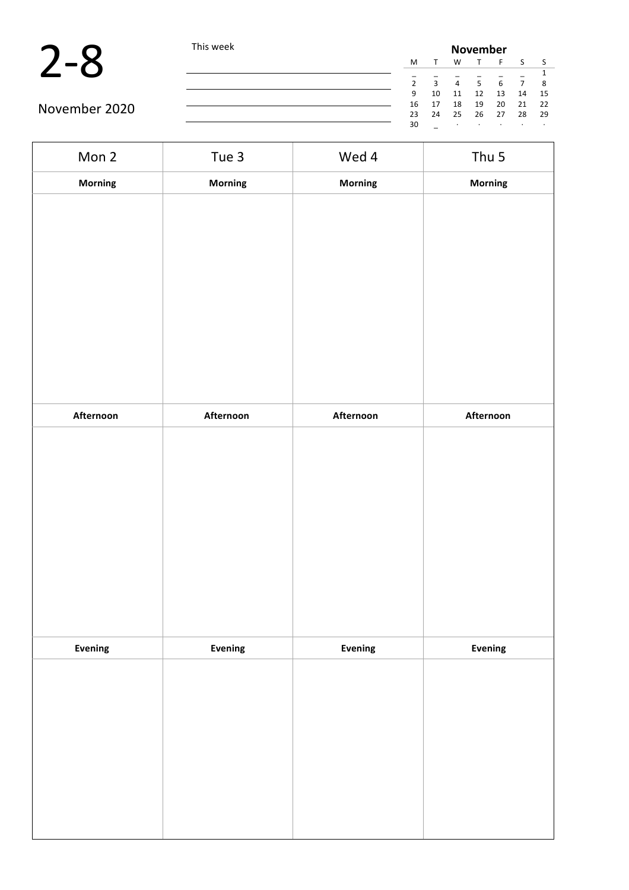

|               | This week |    | <b>November</b> |    |                |    |    |      |  |  |
|---------------|-----------|----|-----------------|----|----------------|----|----|------|--|--|
|               |           | M  |                 | W  |                |    |    |      |  |  |
|               |           |    |                 |    |                |    |    |      |  |  |
|               |           |    | $\mathbf{R}$    | 4  | $\overline{5}$ |    |    |      |  |  |
|               |           | 9  | 10              | 11 | 12             | 13 | 14 | - 15 |  |  |
| November 2020 |           | 16 | 17              | 18 | 19             | 20 | 21 | - 22 |  |  |
|               |           | 23 | 24              | 25 | - 26           | 27 | 28 | - 29 |  |  |
|               |           | 30 |                 |    |                |    |    |      |  |  |

| Mon 2          | Tue 3          | Wed 4     | Thu 5     |
|----------------|----------------|-----------|-----------|
| Morning        | Morning        | Morning   | Morning   |
|                |                |           |           |
| Afternoon      | Afternoon      | Afternoon | Afternoon |
|                |                |           |           |
| <b>Evening</b> | <b>Evening</b> | Evening   | Evening   |
|                |                |           |           |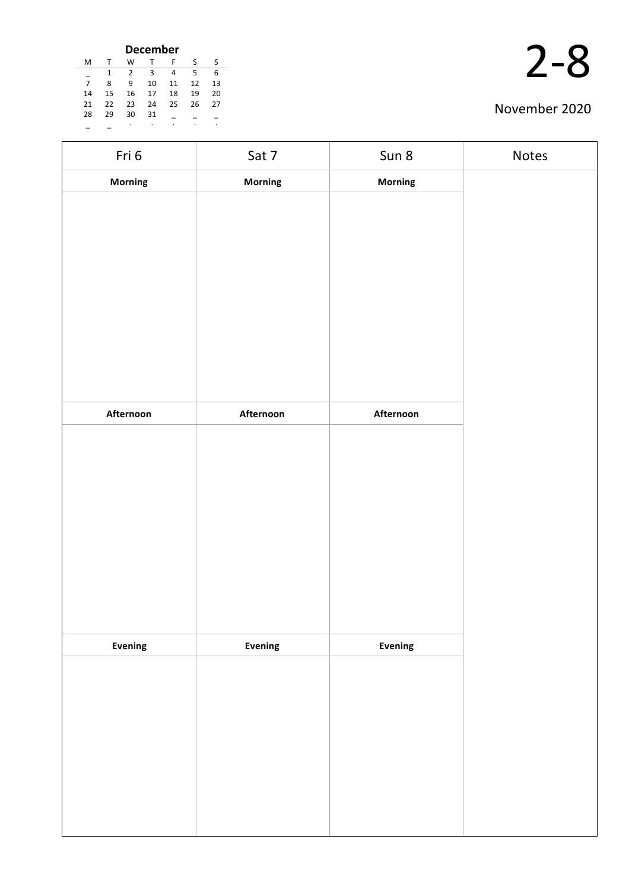| <b>December</b> |    |    |    |    |    |    |
|-----------------|----|----|----|----|----|----|
| M               |    | W  |    | F  | S  | S  |
|                 | 1  | 2  | ς  | 4  | 5  | 6  |
| $\overline{7}$  | 8  | ٩  | 10 | 11 | 12 | 13 |
| 14              | 15 | 16 | 17 | 18 | 19 | 20 |
| 21              | 22 | 23 | 24 | 25 | 26 | 27 |
| 28              | 29 | 30 | 31 |    |    |    |
|                 |    | ٠  | ٠  |    |    | ٠  |

| Fri 6     | Sat 7     | Sun 8     | Notes |
|-----------|-----------|-----------|-------|
| Morning   | Morning   | Morning   |       |
|           |           |           |       |
|           |           |           |       |
|           |           |           |       |
|           |           |           |       |
|           |           |           |       |
|           |           |           |       |
|           |           |           |       |
|           |           |           |       |
|           |           |           |       |
| Afternoon | Afternoon | Afternoon |       |
|           |           |           |       |
|           |           |           |       |
|           |           |           |       |
|           |           |           |       |
|           |           |           |       |
|           |           |           |       |
|           |           |           |       |
|           |           |           |       |
| Evening   | Evening   | Evening   |       |
|           |           |           |       |
|           |           |           |       |
|           |           |           |       |
|           |           |           |       |
|           |           |           |       |
|           |           |           |       |
|           |           |           |       |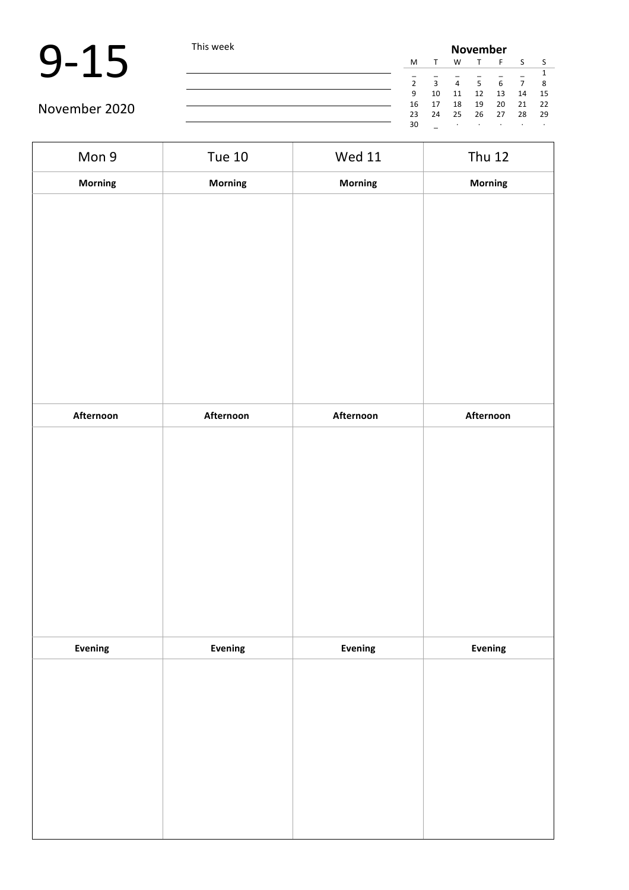|               | This week |    | <b>November</b>         |                |    |            |    |      |  |  |
|---------------|-----------|----|-------------------------|----------------|----|------------|----|------|--|--|
|               |           | M  |                         | W              |    |            |    |      |  |  |
|               |           |    |                         |                |    |            |    |      |  |  |
|               |           |    | $\overline{\mathbf{a}}$ | $\overline{a}$ | 5  | $\epsilon$ |    | 8    |  |  |
|               |           | 9  | 10                      | 11             | 12 | 13         | 14 | -15  |  |  |
| November 2020 |           | 16 | 17                      | 18             | 19 | 20         | 21 | - 22 |  |  |
|               |           | 23 | 24                      | 25             | 26 | 27         | 28 | - 29 |  |  |
|               |           | 30 |                         |                |    |            |    |      |  |  |

| Mon 9     | <b>Tue 10</b>  | <b>Wed 11</b> | <b>Thu 12</b> |
|-----------|----------------|---------------|---------------|
| Morning   | <b>Morning</b> | Morning       | Morning       |
|           |                |               |               |
|           |                |               |               |
|           |                |               |               |
|           |                |               |               |
|           |                |               |               |
|           |                |               |               |
|           |                |               |               |
|           |                |               |               |
|           |                |               |               |
| Afternoon | Afternoon      | Afternoon     | Afternoon     |
|           |                |               |               |
|           |                |               |               |
|           |                |               |               |
|           |                |               |               |
|           |                |               |               |
|           |                |               |               |
|           |                |               |               |
|           |                |               |               |
|           |                |               |               |
| Evening   | Evening        | Evening       | Evening       |
|           |                |               |               |
|           |                |               |               |
|           |                |               |               |
|           |                |               |               |
|           |                |               |               |
|           |                |               |               |
|           |                |               |               |
|           |                |               |               |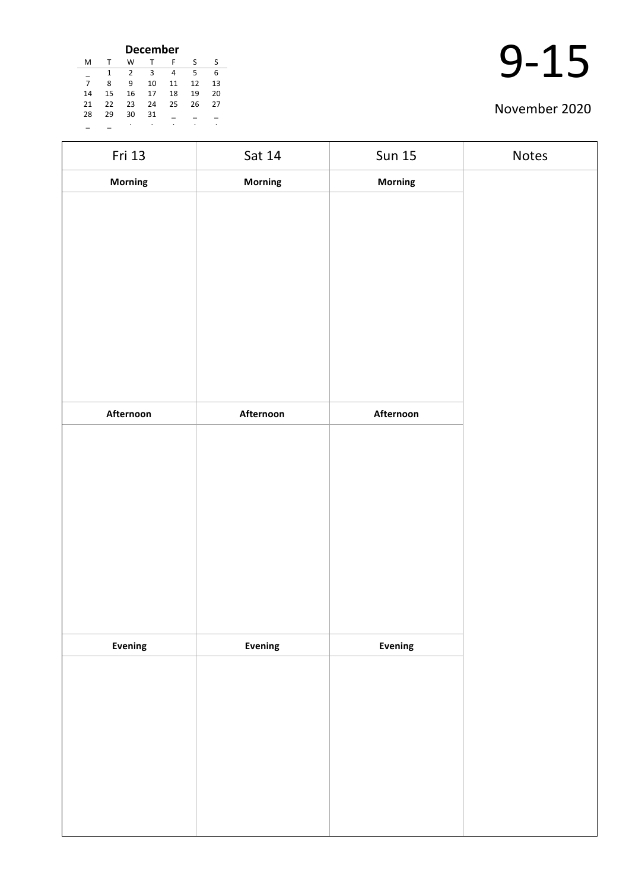| <b>December</b> |    |    |    |    |    |    |
|-----------------|----|----|----|----|----|----|
| M               | т  | W  | т  | F  | S  | S  |
|                 | 1  | 2  | 3  | 4  | 5  | 6  |
| 7               | 8  | ٩  | 10 | 11 | 12 | 13 |
| 14              | 15 | 16 | 17 | 18 | 19 | 20 |
| 21              | 22 | 23 | 24 | 25 | 26 | 27 |
| 28              | 29 | 30 | 31 |    |    |    |
|                 |    | ٠  | ٠  | ٠  |    | ٠  |

| Fri 13    | Sat 14    | <b>Sun 15</b>  | Notes |
|-----------|-----------|----------------|-------|
| Morning   | Morning   | Morning        |       |
|           |           |                |       |
|           |           |                |       |
|           |           |                |       |
|           |           |                |       |
|           |           |                |       |
|           |           |                |       |
|           |           |                |       |
|           |           |                |       |
|           |           |                |       |
| Afternoon | Afternoon | Afternoon      |       |
|           |           |                |       |
|           |           |                |       |
|           |           |                |       |
|           |           |                |       |
|           |           |                |       |
|           |           |                |       |
|           |           |                |       |
|           |           |                |       |
| Evening   | Evening   | <b>Evening</b> |       |
|           |           |                |       |
|           |           |                |       |
|           |           |                |       |
|           |           |                |       |
|           |           |                |       |
|           |           |                |       |
|           |           |                |       |
|           |           |                |       |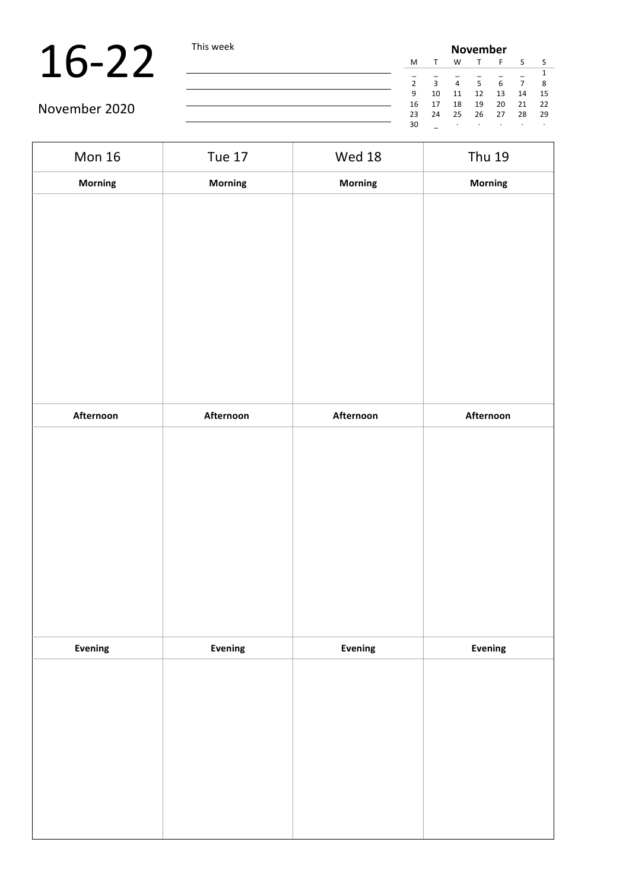|               | This week |    | <b>November</b> |                |    |    |    |      |  |  |  |
|---------------|-----------|----|-----------------|----------------|----|----|----|------|--|--|--|
|               |           | M  |                 | W              |    |    |    |      |  |  |  |
|               |           |    |                 |                |    |    |    |      |  |  |  |
|               |           |    | $\mathbf{a}$    | $\overline{a}$ | 5  | 6  |    | 8    |  |  |  |
|               |           | 9  | 10              | 11             | 12 | 13 | 14 | 15   |  |  |  |
|               |           | 16 |                 | 18             | 19 | 20 | 21 | - 22 |  |  |  |
| November 2020 |           | 23 | 24              | 25             | 26 | 27 | 28 | - 29 |  |  |  |
|               |           | 30 |                 |                |    |    |    |      |  |  |  |

| <b>Mon 16</b> | <b>Tue 17</b>  | Wed 18    | <b>Thu 19</b> |
|---------------|----------------|-----------|---------------|
| Morning       | <b>Morning</b> | Morning   | Morning       |
|               |                |           |               |
|               |                |           |               |
|               |                |           |               |
|               |                |           |               |
|               |                |           |               |
|               |                |           |               |
|               |                |           |               |
|               |                |           |               |
|               |                |           |               |
| Afternoon     | Afternoon      | Afternoon | Afternoon     |
|               |                |           |               |
|               |                |           |               |
|               |                |           |               |
|               |                |           |               |
|               |                |           |               |
|               |                |           |               |
|               |                |           |               |
|               |                |           |               |
| Evening       | Evening        | Evening   | Evening       |
|               |                |           |               |
|               |                |           |               |
|               |                |           |               |
|               |                |           |               |
|               |                |           |               |
|               |                |           |               |
|               |                |           |               |
|               |                |           |               |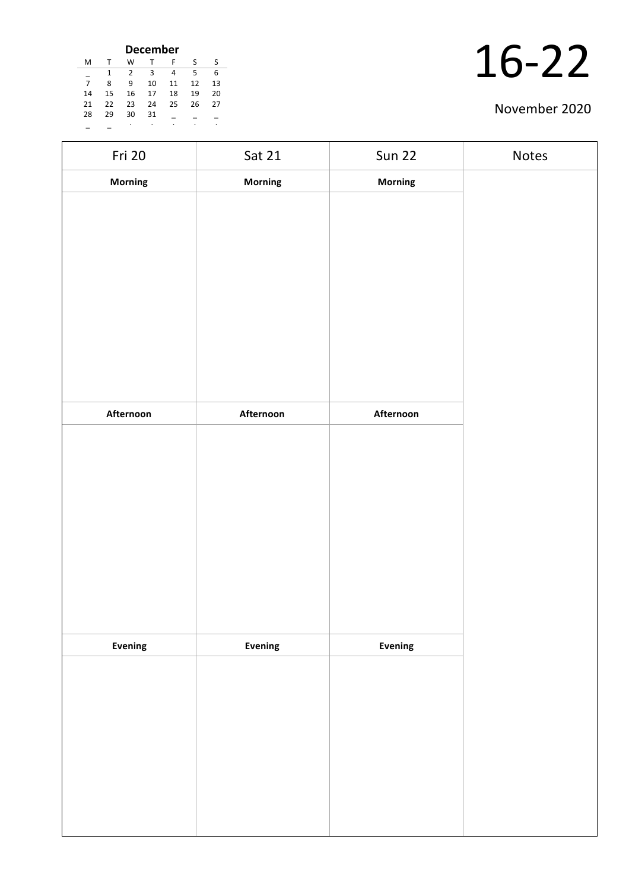| <b>December</b> |    |    |    |    |    |    |    |  |  |  |
|-----------------|----|----|----|----|----|----|----|--|--|--|
|                 | м  |    | w  |    | F  | S  | S  |  |  |  |
|                 |    |    | 2  | ς  | 4  | 5  | 6  |  |  |  |
|                 |    | 8  | q  | 10 | 11 | 12 | 13 |  |  |  |
|                 | 14 | 15 | 16 | 17 | 18 | 19 | 20 |  |  |  |
|                 | 21 | 22 | 23 | 24 | 25 | 26 | 27 |  |  |  |
|                 | 28 | 29 | 30 | 31 |    |    |    |  |  |  |
|                 |    |    | ٠  | ٠  |    |    |    |  |  |  |

| Fri 20    | Sat 21    | <b>Sun 22</b>  | Notes |
|-----------|-----------|----------------|-------|
| Morning   | Morning   | Morning        |       |
|           |           |                |       |
|           |           |                |       |
|           |           |                |       |
|           |           |                |       |
|           |           |                |       |
|           |           |                |       |
|           |           |                |       |
|           |           |                |       |
|           |           |                |       |
| Afternoon | Afternoon | Afternoon      |       |
|           |           |                |       |
|           |           |                |       |
|           |           |                |       |
|           |           |                |       |
|           |           |                |       |
|           |           |                |       |
|           |           |                |       |
|           |           |                |       |
| Evening   | Evening   | <b>Evening</b> |       |
|           |           |                |       |
|           |           |                |       |
|           |           |                |       |
|           |           |                |       |
|           |           |                |       |
|           |           |                |       |
|           |           |                |       |
|           |           |                |       |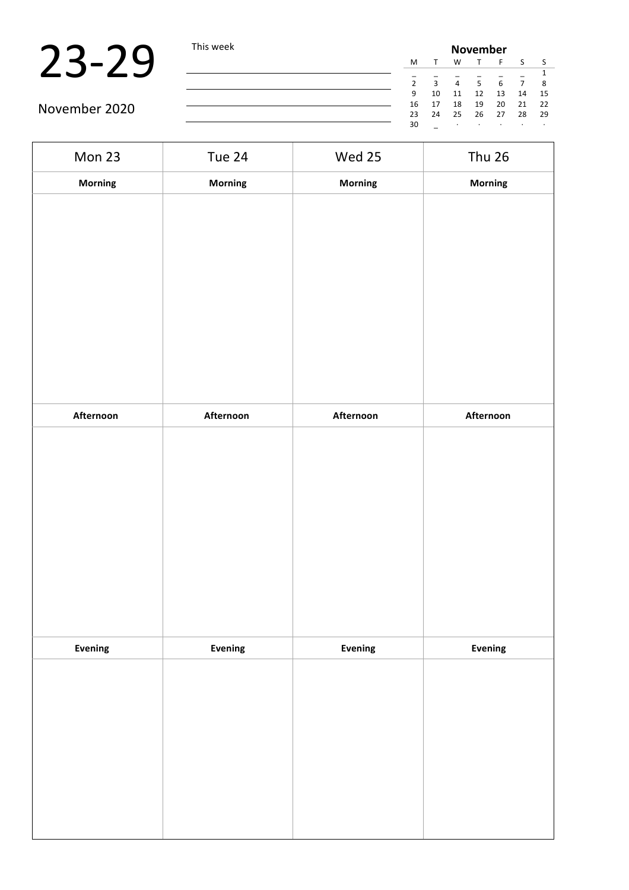|               | This week | <b>November</b> |              |    |                |    |    |      |  |
|---------------|-----------|-----------------|--------------|----|----------------|----|----|------|--|
|               |           | M               |              | W  |                |    |    |      |  |
|               |           |                 |              |    |                |    |    |      |  |
|               |           | っ               | $\mathbf{a}$ | 4  | 5 <sup>1</sup> |    |    |      |  |
|               |           | 9               | 10           | 11 | 12             | 13 | 14 | -15  |  |
| November 2020 |           | 16              |              | 18 | 19             | 20 | 21 | 22   |  |
|               |           | 23              | 24           | 25 | 26             | 27 | 28 | - 29 |  |
|               |           | 30              |              |    |                |    |    |      |  |

| Mon 23    | Tue 24    | Wed 25    | <b>Thu 26</b> |
|-----------|-----------|-----------|---------------|
| Morning   | Morning   | Morning   | Morning       |
|           |           |           |               |
|           |           |           |               |
|           |           |           |               |
|           |           |           |               |
|           |           |           |               |
|           |           |           |               |
|           |           |           |               |
|           |           |           |               |
|           |           |           |               |
| Afternoon | Afternoon | Afternoon | Afternoon     |
|           |           |           |               |
|           |           |           |               |
|           |           |           |               |
|           |           |           |               |
|           |           |           |               |
|           |           |           |               |
|           |           |           |               |
|           |           |           |               |
| Evening   | Evening   | Evening   | Evening       |
|           |           |           |               |
|           |           |           |               |
|           |           |           |               |
|           |           |           |               |
|           |           |           |               |
|           |           |           |               |
|           |           |           |               |
|           |           |           |               |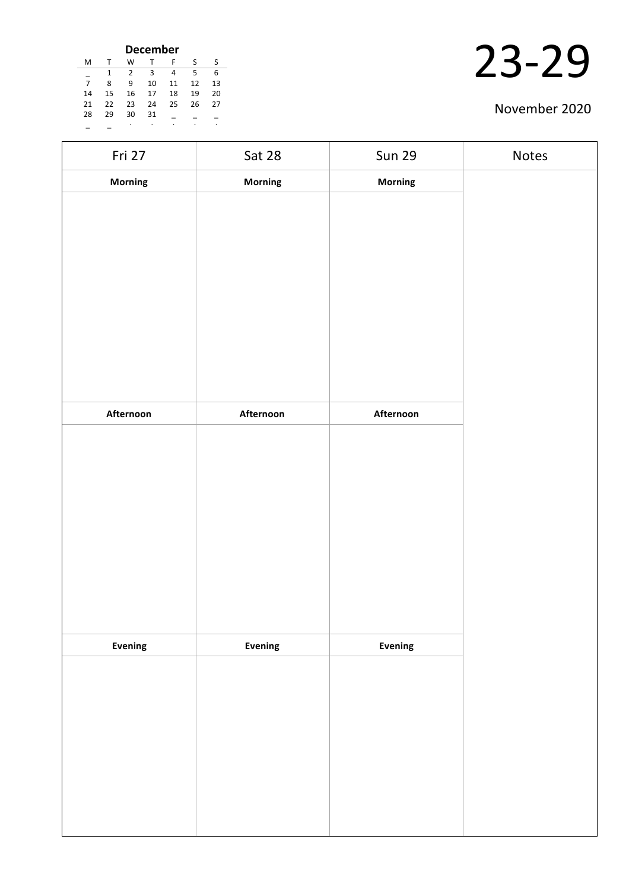| <b>December</b> |    |    |    |    |    |    |  |  |  |
|-----------------|----|----|----|----|----|----|--|--|--|
| м               |    | W  |    | F  | S  | S  |  |  |  |
|                 | 1  | 2  | з  | 4  | 5  | 6  |  |  |  |
| $\overline{7}$  | 8  | ٩  | 10 | 11 | 12 | 13 |  |  |  |
| 14              | 15 | 16 | 17 | 18 | 19 | 20 |  |  |  |
| 21              | 22 | 23 | 24 | 25 | 26 | 27 |  |  |  |
| 28              | 29 | 30 | 31 |    |    |    |  |  |  |
|                 |    | ٠  | ٠  |    |    | ٠  |  |  |  |

| Fri 27    | Sat 28    | <b>Sun 29</b> | Notes |
|-----------|-----------|---------------|-------|
| Morning   | Morning   | Morning       |       |
|           |           |               |       |
|           |           |               |       |
|           |           |               |       |
|           |           |               |       |
|           |           |               |       |
|           |           |               |       |
|           |           |               |       |
|           |           |               |       |
| Afternoon | Afternoon | Afternoon     |       |
|           |           |               |       |
|           |           |               |       |
|           |           |               |       |
|           |           |               |       |
|           |           |               |       |
|           |           |               |       |
|           |           |               |       |
|           |           |               |       |
|           |           |               |       |
| Evening   | Evening   | Evening       |       |
|           |           |               |       |
|           |           |               |       |
|           |           |               |       |
|           |           |               |       |
|           |           |               |       |
|           |           |               |       |
|           |           |               |       |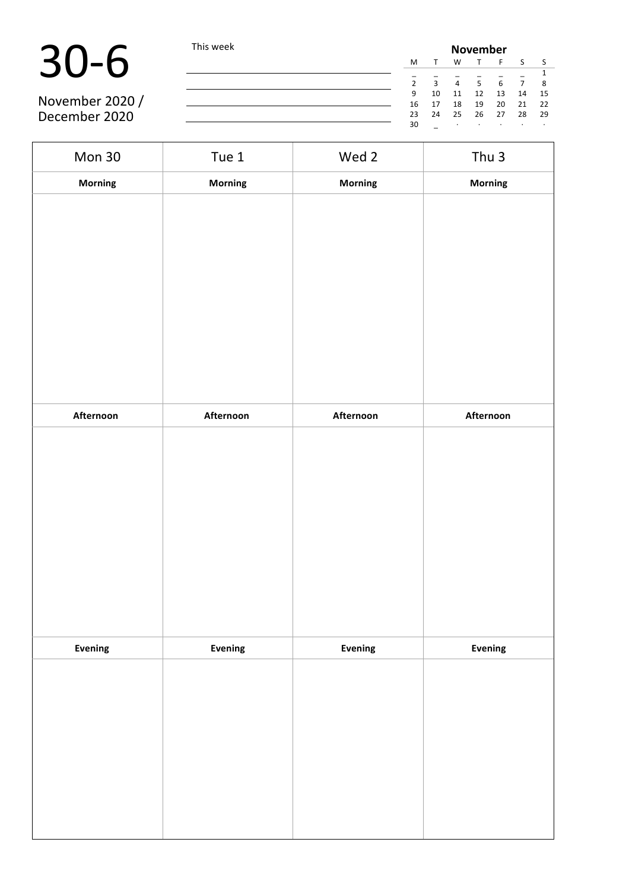November 2020 / December 2020

30-6 This week **November** T F S S \_ \_ \_ \_ \_ \_ 1 2 3 4 5 6 7 8 9 10 11 12 13 14 15 16 17 18 19 20<br>23 24 25 26 27 23 24 25 26 27 28 29 30 \_ · · · · · · ·

Mon 30 Tue 1 Wed 2 Thu 3 **Morning Morning Morning Morning Afternoon Afternoon Afternoon Afternoon Evening Evening Evening Evening**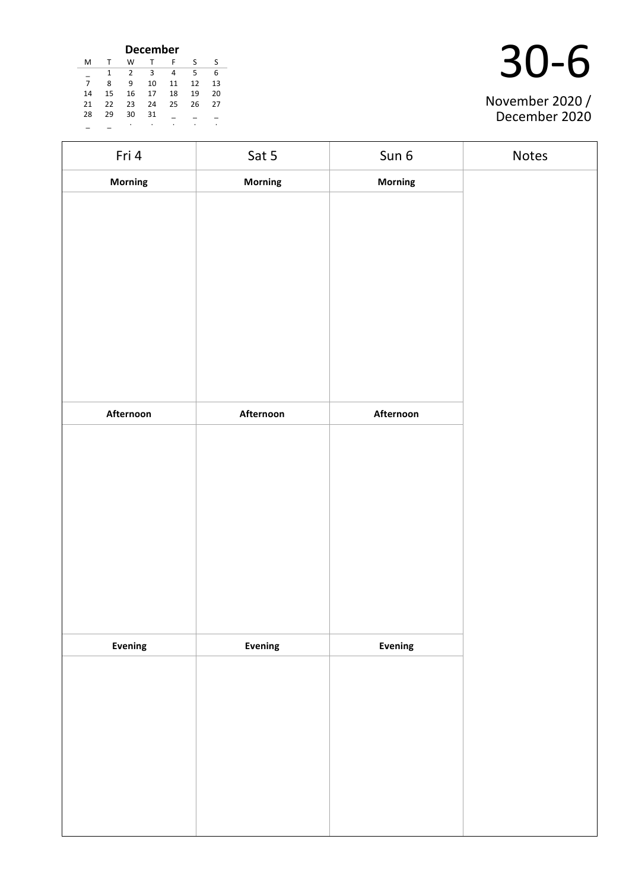| <b>December</b> |    |    |    |    |    |    |  |  |
|-----------------|----|----|----|----|----|----|--|--|
| м               | т  | w  |    | F  | S  | S. |  |  |
|                 | 1  | 2  | 3  | 4  | 5  | 6  |  |  |
|                 | 8  | 9  | 10 | 11 | 12 | 13 |  |  |
| 14              | 15 | 16 | 17 | 18 | 19 | 20 |  |  |
| 21              | 22 | 23 | 24 | 25 | 26 | 27 |  |  |
| 28              | 29 | 30 | 31 |    |    |    |  |  |
|                 |    | ٠  | ٠  | ٠  | ٠  | ٠  |  |  |

| November 2020 /<br>December 2020 |
|----------------------------------|

| Fri 4     | Sat 5     | Sun 6     | Notes |
|-----------|-----------|-----------|-------|
| Morning   | Morning   | Morning   |       |
|           |           |           |       |
|           |           |           |       |
|           |           |           |       |
|           |           |           |       |
|           |           |           |       |
|           |           |           |       |
|           |           |           |       |
|           |           |           |       |
|           |           |           |       |
| Afternoon | Afternoon | Afternoon |       |
|           |           |           |       |
|           |           |           |       |
|           |           |           |       |
|           |           |           |       |
|           |           |           |       |
|           |           |           |       |
|           |           |           |       |
|           |           |           |       |
| Evening   | Evening   | Evening   |       |
|           |           |           |       |
|           |           |           |       |
|           |           |           |       |
|           |           |           |       |
|           |           |           |       |
|           |           |           |       |
|           |           |           |       |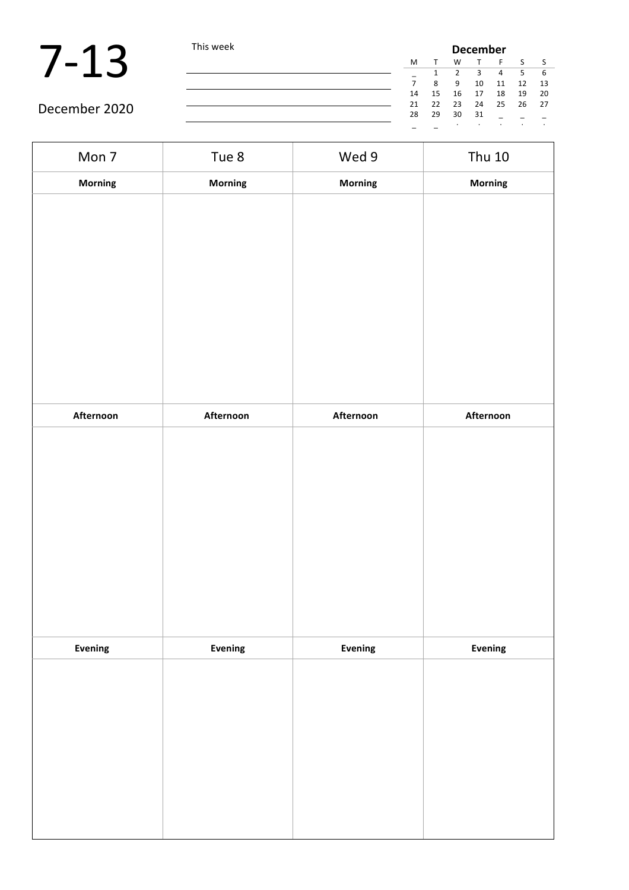|               | This week |    | <b>December</b> |    |    |    |    |      |  |  |
|---------------|-----------|----|-----------------|----|----|----|----|------|--|--|
|               |           | M  |                 | w  |    |    |    |      |  |  |
|               |           |    |                 |    |    |    | 5. |      |  |  |
|               |           |    | 8               | 9  | 10 | 11 | 12 | - 13 |  |  |
|               |           | 14 | 15              | 16 | 17 | 18 | 19 | -20  |  |  |
|               |           | 21 | 22              | 23 | 24 | 25 | 26 | 27   |  |  |
| December 2020 |           | 28 | 29              | 30 | 31 |    |    |      |  |  |
|               |           |    |                 |    |    |    |    |      |  |  |

| Mon 7     | Tue 8     | Wed 9     | <b>Thu 10</b> |
|-----------|-----------|-----------|---------------|
| Morning   | Morning   | Morning   | Morning       |
|           |           |           |               |
|           |           |           |               |
|           |           |           |               |
|           |           |           |               |
|           |           |           |               |
|           |           |           |               |
|           |           |           |               |
|           |           |           |               |
|           |           |           |               |
| Afternoon | Afternoon | Afternoon | Afternoon     |
|           |           |           |               |
|           |           |           |               |
|           |           |           |               |
|           |           |           |               |
|           |           |           |               |
|           |           |           |               |
|           |           |           |               |
|           |           |           |               |
|           |           |           |               |
| Evening   | Evening   | Evening   | Evening       |
|           |           |           |               |
|           |           |           |               |
|           |           |           |               |
|           |           |           |               |
|           |           |           |               |
|           |           |           |               |
|           |           |           |               |
|           |           |           |               |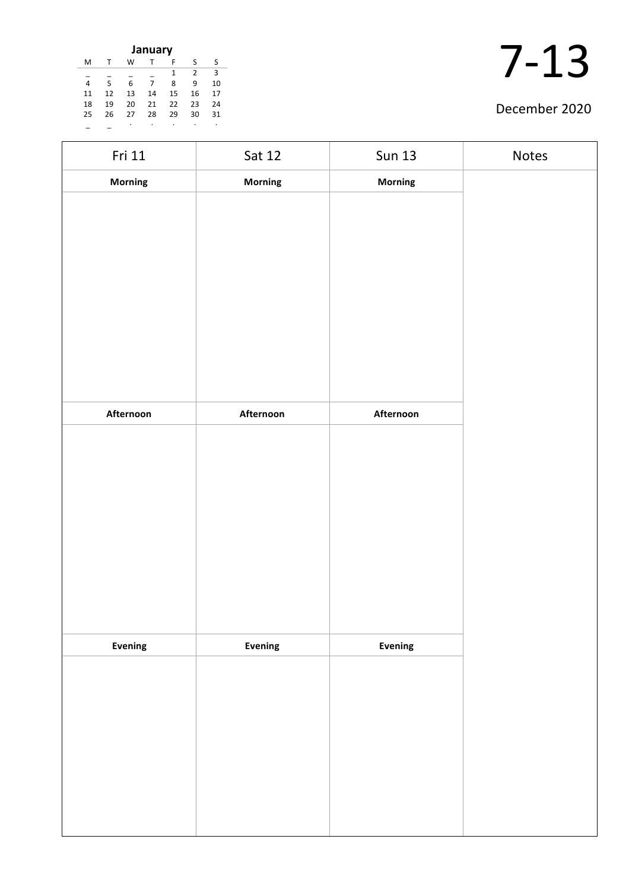| January |    |    |    |    |                |    |  |  |
|---------|----|----|----|----|----------------|----|--|--|
| M       |    | w  |    | F  | S              | ς  |  |  |
|         |    |    |    | 1  | $\overline{2}$ | 3  |  |  |
| 4       | 5  | 6  | 7  | 8  | 9              | 10 |  |  |
| 11      | 12 | 13 | 14 | 15 | 16             | 17 |  |  |
| 18      | 19 | 20 | 21 | 22 | 23             | 24 |  |  |
| 25      | 26 | 27 | 28 | 29 | 30             | 31 |  |  |
|         |    |    |    |    |                |    |  |  |

| Fri 11    | Sat 12    | <b>Sun 13</b>  | Notes |
|-----------|-----------|----------------|-------|
| Morning   | Morning   | Morning        |       |
|           |           |                |       |
|           |           |                |       |
|           |           |                |       |
|           |           |                |       |
|           |           |                |       |
|           |           |                |       |
|           |           |                |       |
|           |           |                |       |
|           |           |                |       |
| Afternoon | Afternoon | Afternoon      |       |
|           |           |                |       |
|           |           |                |       |
|           |           |                |       |
|           |           |                |       |
|           |           |                |       |
|           |           |                |       |
|           |           |                |       |
|           |           |                |       |
|           |           |                |       |
| Evening   | Evening   | <b>Evening</b> |       |
|           |           |                |       |
|           |           |                |       |
|           |           |                |       |
|           |           |                |       |
|           |           |                |       |
|           |           |                |       |
|           |           |                |       |
|           |           |                |       |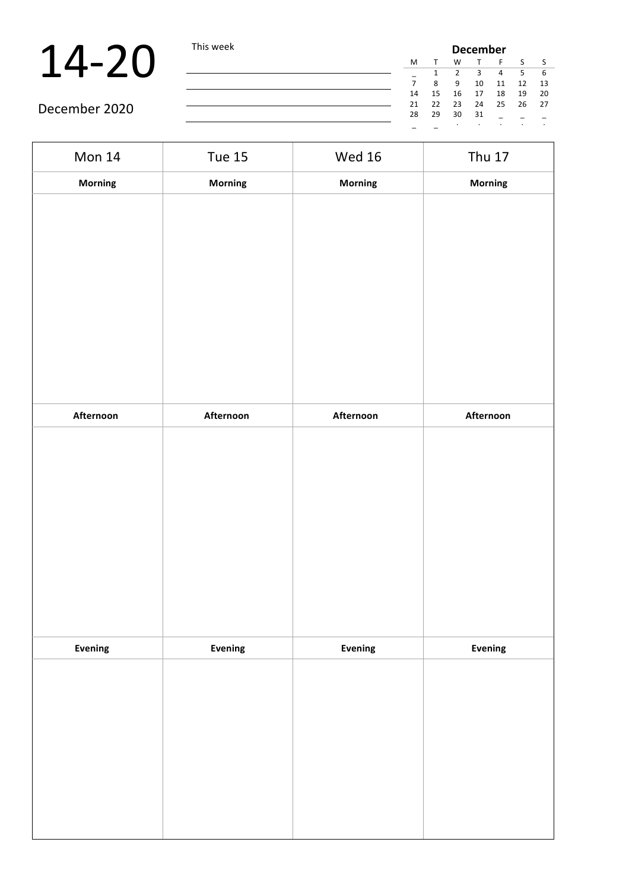| <b>December</b> |    |    |    |    |    |    |
|-----------------|----|----|----|----|----|----|
| М               |    | W  |    | F  | S  |    |
|                 | 1  | 2  | 3  | 4  | 5  | 6  |
| 7               | 8  | 9  | 10 | 11 | 12 | 13 |
| 14              | 15 | 16 | 17 | 18 | 19 | 20 |
| 21              | 22 | 23 | 24 | 25 | 26 | 27 |
| 28              | 29 | 30 | 31 |    |    |    |
|                 |    | ٠  |    |    | ٠  | ٠  |

| Mon 14    | <b>Tue 15</b> | <b>Wed 16</b> | <b>Thu 17</b> |
|-----------|---------------|---------------|---------------|
| Morning   | Morning       | Morning       | Morning       |
|           |               |               |               |
|           |               |               |               |
|           |               |               |               |
|           |               |               |               |
|           |               |               |               |
|           |               |               |               |
|           |               |               |               |
|           |               |               |               |
| Afternoon | Afternoon     | Afternoon     | Afternoon     |
|           |               |               |               |
|           |               |               |               |
|           |               |               |               |
|           |               |               |               |
|           |               |               |               |
|           |               |               |               |
|           |               |               |               |
|           |               |               |               |
| Evening   | Evening       | Evening       | Evening       |
|           |               |               |               |
|           |               |               |               |
|           |               |               |               |
|           |               |               |               |
|           |               |               |               |
|           |               |               |               |
|           |               |               |               |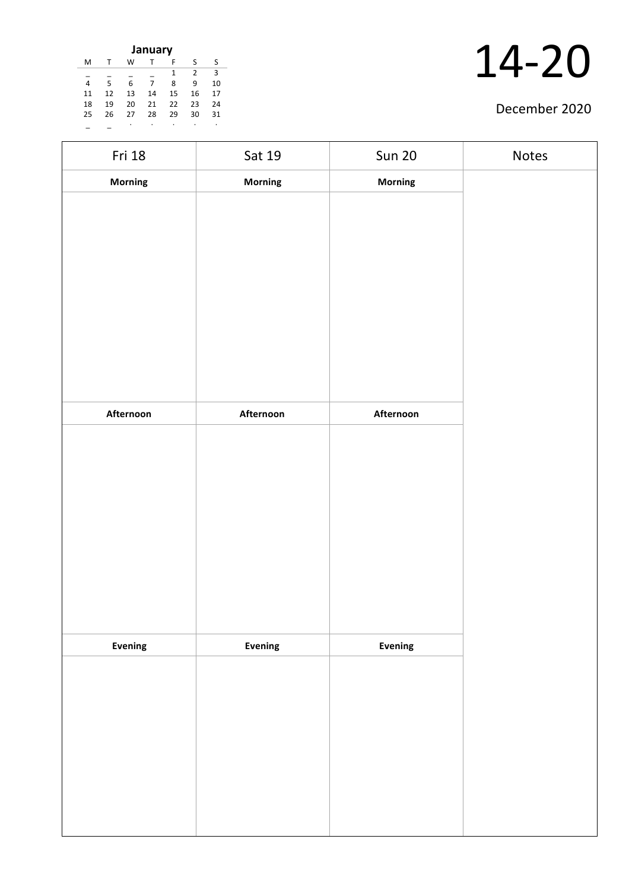| January |    |    |    |    |    |               |    |  |  |
|---------|----|----|----|----|----|---------------|----|--|--|
|         | м  |    | w  |    | F  | s             | s  |  |  |
|         |    |    |    |    | 1  | $\mathcal{P}$ | 3  |  |  |
|         |    | 5  | 6  | 7  | 8  | 9             | 10 |  |  |
|         | 11 | 12 | 13 | 14 | 15 | 16            | 17 |  |  |
|         | 18 | 19 | 20 | 21 | 22 | 23            | 24 |  |  |
|         | 25 | 26 | 27 | 28 | 29 | 30            | 31 |  |  |
|         |    |    |    |    |    |               | ٠  |  |  |

| Fri 18    | Sat 19         | <b>Sun 20</b>  | Notes |
|-----------|----------------|----------------|-------|
| Morning   | <b>Morning</b> | Morning        |       |
|           |                |                |       |
|           |                |                |       |
|           |                |                |       |
|           |                |                |       |
|           |                |                |       |
|           |                |                |       |
|           |                |                |       |
|           |                |                |       |
|           |                |                |       |
| Afternoon | Afternoon      | Afternoon      |       |
|           |                |                |       |
|           |                |                |       |
|           |                |                |       |
|           |                |                |       |
|           |                |                |       |
|           |                |                |       |
|           |                |                |       |
|           |                |                |       |
| Evening   | Evening        | <b>Evening</b> |       |
|           |                |                |       |
|           |                |                |       |
|           |                |                |       |
|           |                |                |       |
|           |                |                |       |
|           |                |                |       |
|           |                |                |       |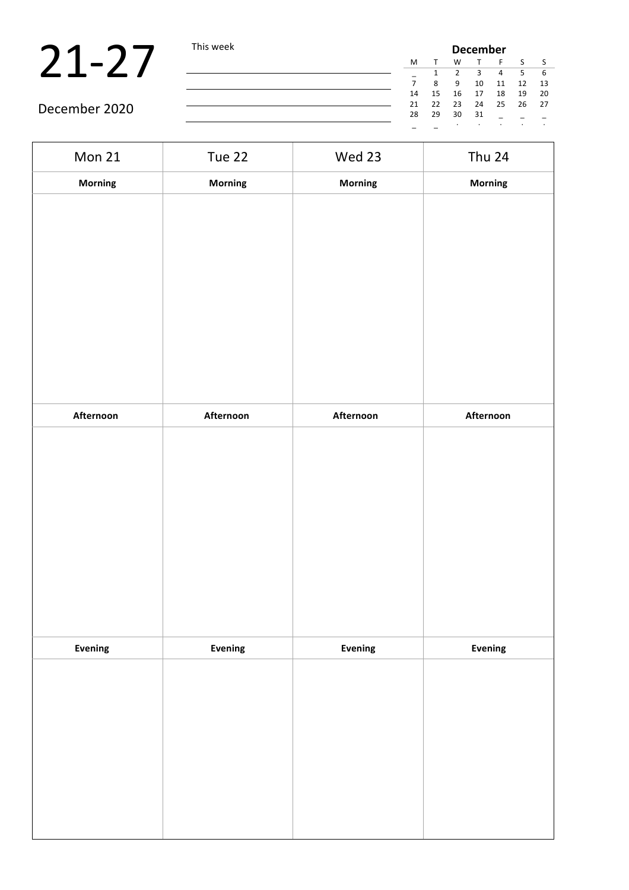## $21-27$  This week

| າເs week |    |    |    | <b>December</b> |    |    |      |
|----------|----|----|----|-----------------|----|----|------|
|          | м  | т  | w  | T               | F  | S  | S    |
|          |    | 1  | 2  | 3               | 4  | 5  | 6    |
|          | 7  | 8  | 9  | 10              | 11 | 12 | 13   |
|          | 14 | 15 | 16 | 17              | 18 | 19 | 20   |
|          | 21 | 22 | 23 | 24              | 25 | 26 | - 27 |
|          | 28 | 29 | 30 | 31              |    |    |      |
|          |    |    | ٠  | ٠               |    |    | ٠    |

| Mon 21         | Tue 22    | Wed 23    | <b>Thu 24</b> |
|----------------|-----------|-----------|---------------|
| <b>Morning</b> | Morning   | Morning   | Morning       |
|                |           |           |               |
|                |           |           |               |
|                |           |           |               |
|                |           |           |               |
|                |           |           |               |
|                |           |           |               |
| Afternoon      | Afternoon | Afternoon | Afternoon     |
|                |           |           |               |
|                |           |           |               |
|                |           |           |               |
|                |           |           |               |
|                |           |           |               |
|                |           |           |               |
| Evening        | Evening   | Evening   | Evening       |
|                |           |           |               |
|                |           |           |               |
|                |           |           |               |
|                |           |           |               |
|                |           |           |               |
|                |           |           |               |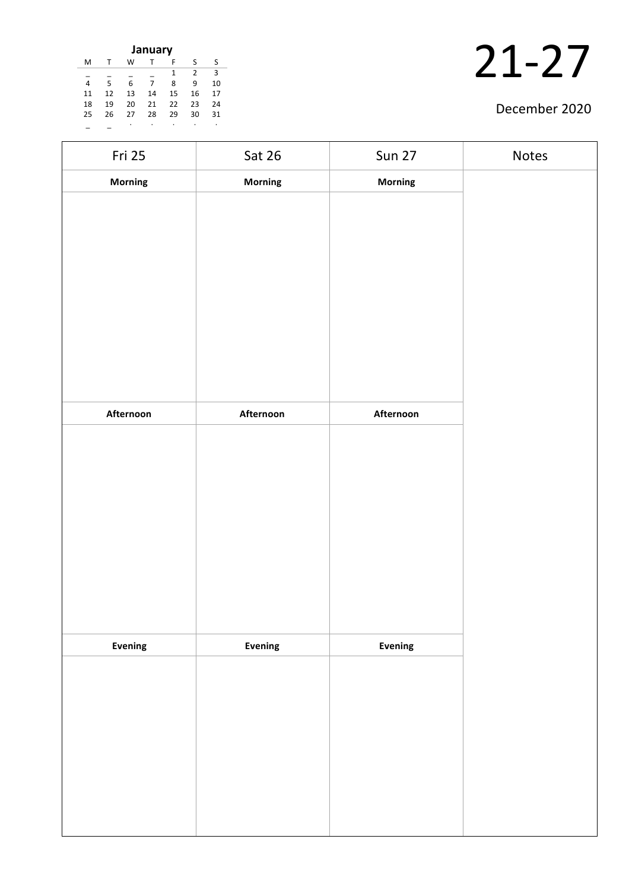| January |    |    |    |    |    |    |  |  |
|---------|----|----|----|----|----|----|--|--|
| M       |    | w  |    | F  | S  | S  |  |  |
|         |    |    |    | 1  | 2  | 3  |  |  |
| 4       | 5  | 6  | 7  | 8  | 9  | 10 |  |  |
| 11      | 12 | 13 | 14 | 15 | 16 | 17 |  |  |
| 18      | 19 | 20 | 21 | 22 | 23 | 24 |  |  |
| 25      | 26 | 27 | 28 | 29 | 30 | 31 |  |  |
|         |    |    |    | ٠  | ٠  | ٠  |  |  |

| Fri 25    | Sat 26    | <b>Sun 27</b> | Notes |
|-----------|-----------|---------------|-------|
| Morning   | Morning   | Morning       |       |
|           |           |               |       |
|           |           |               |       |
|           |           |               |       |
|           |           |               |       |
|           |           |               |       |
|           |           |               |       |
|           |           |               |       |
|           |           |               |       |
| Afternoon | Afternoon | Afternoon     |       |
|           |           |               |       |
|           |           |               |       |
|           |           |               |       |
|           |           |               |       |
|           |           |               |       |
|           |           |               |       |
|           |           |               |       |
|           |           |               |       |
|           |           |               |       |
| Evening   | Evening   | Evening       |       |
|           |           |               |       |
|           |           |               |       |
|           |           |               |       |
|           |           |               |       |
|           |           |               |       |
|           |           |               |       |
|           |           |               |       |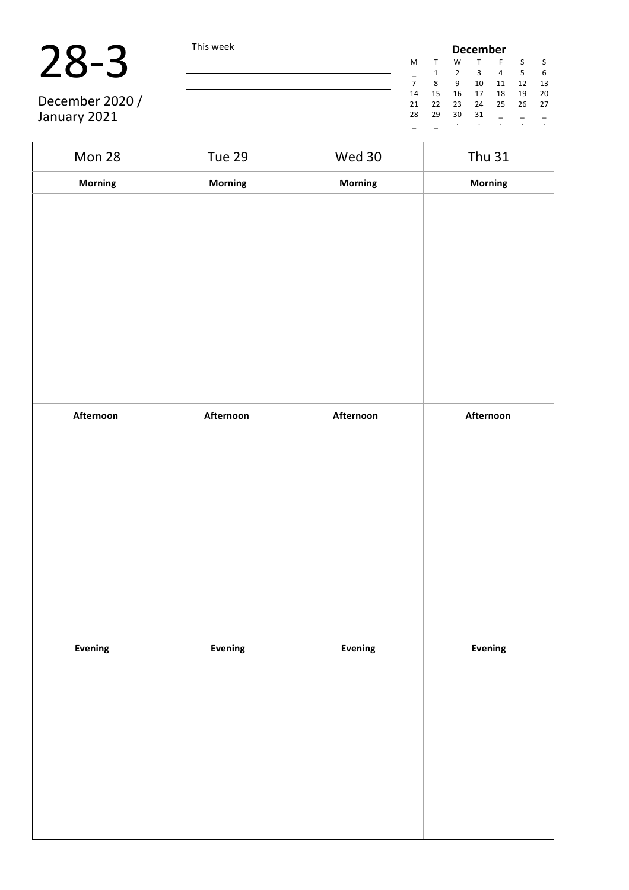

 $\mathbf{r}$ 

|                 | This week |    | <b>December</b> |    |    |    |    |      |  |
|-----------------|-----------|----|-----------------|----|----|----|----|------|--|
|                 |           | M  |                 |    |    |    |    |      |  |
|                 |           |    |                 |    |    |    |    | -6   |  |
|                 |           |    | 8               | 9  | 10 | 11 | 12 | - 13 |  |
|                 |           | 14 | 15              | 16 | 17 | 18 | 19 | - 20 |  |
| December 2020 / |           | 21 | 22              | 23 | 24 | 25 | 26 | 27   |  |
| January 2021    |           | 28 | 29              | 30 | 31 |    |    |      |  |
|                 |           |    |                 |    |    |    |    |      |  |

| Mon 28         | <b>Tue 29</b>  | Wed 30    | <b>Thu 31</b> |  |  |
|----------------|----------------|-----------|---------------|--|--|
| <b>Morning</b> | <b>Morning</b> | Morning   | Morning       |  |  |
|                |                |           |               |  |  |
|                |                |           |               |  |  |
|                |                |           |               |  |  |
|                |                |           |               |  |  |
|                |                |           |               |  |  |
|                |                |           |               |  |  |
|                |                |           |               |  |  |
|                |                |           |               |  |  |
|                |                |           |               |  |  |
| Afternoon      | Afternoon      | Afternoon | Afternoon     |  |  |
|                |                |           |               |  |  |
|                |                |           |               |  |  |
|                |                |           |               |  |  |
|                |                |           |               |  |  |
|                |                |           |               |  |  |
|                |                |           |               |  |  |
|                |                |           |               |  |  |
|                |                |           |               |  |  |
|                |                |           |               |  |  |
| Evening        | <b>Evening</b> | Evening   | Evening       |  |  |
|                |                |           |               |  |  |
|                |                |           |               |  |  |
|                |                |           |               |  |  |
|                |                |           |               |  |  |
|                |                |           |               |  |  |
|                |                |           |               |  |  |
|                |                |           |               |  |  |
|                |                |           |               |  |  |